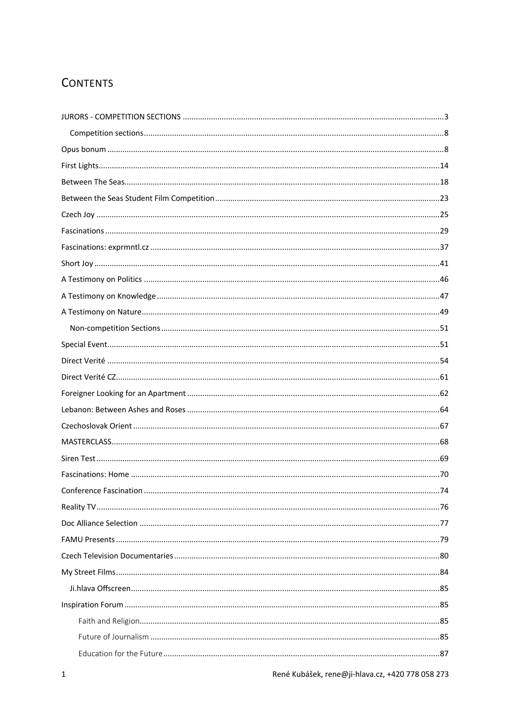# **CONTENTS**

| Conference Eascination | .74 |
|------------------------|-----|
|                        |     |
|                        |     |
|                        |     |
|                        |     |
|                        |     |
|                        |     |
|                        |     |
|                        |     |
|                        |     |
|                        |     |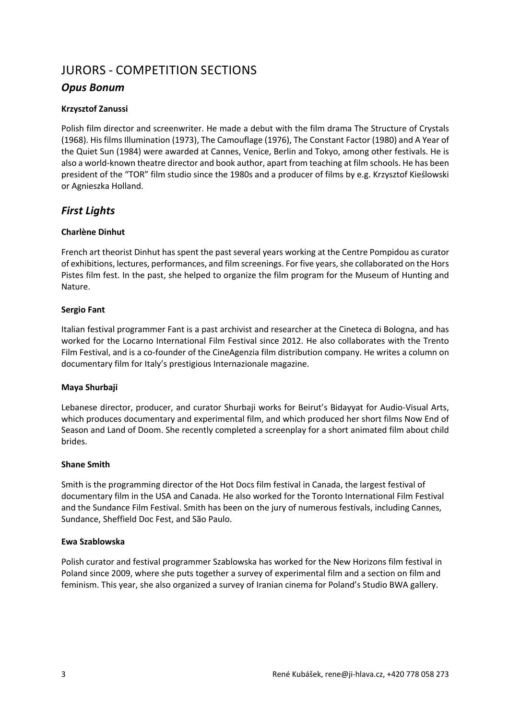# JURORS - COMPETITION SECTIONS

# *Opus Bonum*

## **Krzysztof Zanussi**

Polish film director and screenwriter. He made a debut with the film drama The Structure of Crystals (1968). His films Illumination (1973), The Camouflage (1976), The Constant Factor (1980) and A Year of the Quiet Sun (1984) were awarded at Cannes, Venice, Berlin and Tokyo, among other festivals. He is also a world-known theatre director and book author, apart from teaching at film schools. He has been president of the "TOR" film studio since the 1980s and a producer of films by e.g. Krzysztof Kieślowski or Agnieszka Holland.

# *First Lights*

## **Charlène Dinhut**

French art theorist Dinhut has spent the past several years working at the Centre Pompidou as curator of exhibitions, lectures, performances, and film screenings. For five years, she collaborated on the Hors Pistes film fest. In the past, she helped to organize the film program for the Museum of Hunting and Nature.

## **Sergio Fant**

Italian festival programmer Fant is a past archivist and researcher at the Cineteca di Bologna, and has worked for the Locarno International Film Festival since 2012. He also collaborates with the Trento Film Festival, and is a co-founder of the CineAgenzia film distribution company. He writes a column on documentary film for Italy's prestigious Internazionale magazine.

## **Maya Shurbaji**

Lebanese director, producer, and curator Shurbaji works for Beirut's Bidayyat for Audio-Visual Arts, which produces documentary and experimental film, and which produced her short films Now End of Season and Land of Doom. She recently completed a screenplay for a short animated film about child brides.

## **Shane Smith**

Smith is the programming director of the Hot Docs film festival in Canada, the largest festival of documentary film in the USA and Canada. He also worked for the Toronto International Film Festival and the Sundance Film Festival. Smith has been on the jury of numerous festivals, including Cannes, Sundance, Sheffield Doc Fest, and São Paulo.

## **Ewa Szablowska**

Polish curator and festival programmer Szablowska has worked for the New Horizons film festival in Poland since 2009, where she puts together a survey of experimental film and a section on film and feminism. This year, she also organized a survey of Iranian cinema for Poland's Studio BWA gallery.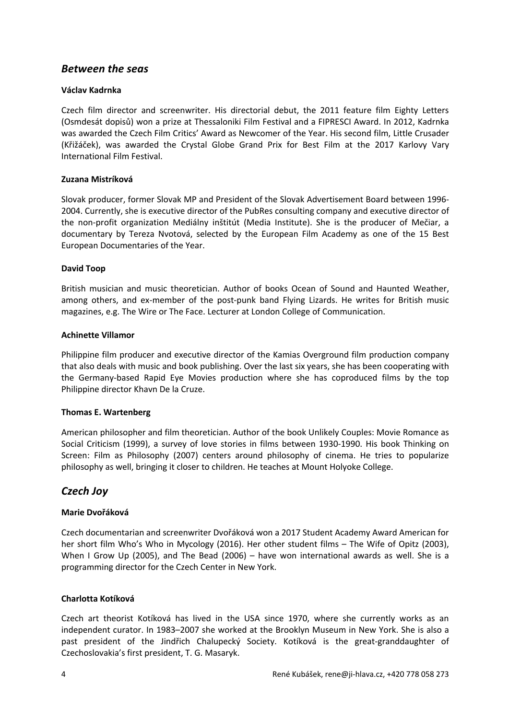# *Between the seas*

#### **Václav Kadrnka**

Czech film director and screenwriter. His directorial debut, the 2011 feature film Eighty Letters (Osmdesát dopisů) won a prize at Thessaloniki Film Festival and a FIPRESCI Award. In 2012, Kadrnka was awarded the Czech Film Critics' Award as Newcomer of the Year. His second film, Little Crusader (Křižáček), was awarded the Crystal Globe Grand Prix for Best Film at the 2017 Karlovy Vary International Film Festival.

#### **Zuzana Mistríková**

Slovak producer, former Slovak MP and President of the Slovak Advertisement Board between 1996- 2004. Currently, she is executive director of the PubRes consulting company and executive director of the non-profit organization Mediálny inštitút (Media Institute). She is the producer of Mečiar, a documentary by Tereza Nvotová, selected by the European Film Academy as one of the 15 Best European Documentaries of the Year.

#### **David Toop**

British musician and music theoretician. Author of books Ocean of Sound and Haunted Weather, among others, and ex-member of the post-punk band Flying Lizards. He writes for British music magazines, e.g. The Wire or The Face. Lecturer at London College of Communication.

#### **Achinette Villamor**

Philippine film producer and executive director of the Kamias Overground film production company that also deals with music and book publishing. Over the last six years, she has been cooperating with the Germany-based Rapid Eye Movies production where she has coproduced films by the top Philippine director Khavn De la Cruze.

#### **Thomas E. Wartenberg**

American philosopher and film theoretician. Author of the book Unlikely Couples: Movie Romance as Social Criticism (1999), a survey of love stories in films between 1930-1990. His book Thinking on Screen: Film as Philosophy (2007) centers around philosophy of cinema. He tries to popularize philosophy as well, bringing it closer to children. He teaches at Mount Holyoke College.

# *Czech Joy*

## **Marie Dvořáková**

Czech documentarian and screenwriter Dvořáková won a 2017 Student Academy Award American for her short film Who's Who in Mycology (2016). Her other student films – The Wife of Opitz (2003), When I Grow Up (2005), and The Bead (2006) – have won international awards as well. She is a programming director for the Czech Center in New York.

#### **Charlotta Kotíková**

Czech art theorist Kotíková has lived in the USA since 1970, where she currently works as an independent curator. In 1983–2007 she worked at the Brooklyn Museum in New York. She is also a past president of the Jindřich Chalupecký Society. Kotíková is the great-granddaughter of Czechoslovakia's first president, T. G. Masaryk.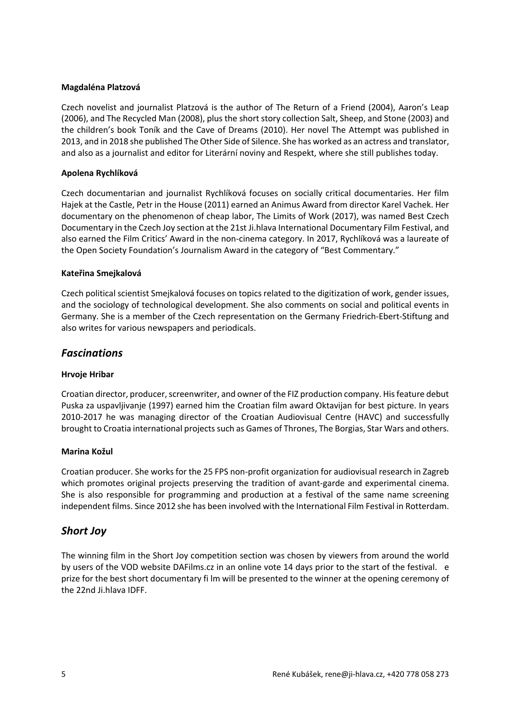#### **Magdaléna Platzová**

Czech novelist and journalist Platzová is the author of The Return of a Friend (2004), Aaron's Leap (2006), and The Recycled Man (2008), plus the short story collection Salt, Sheep, and Stone (2003) and the children's book Toník and the Cave of Dreams (2010). Her novel The Attempt was published in 2013, and in 2018 she published The Other Side of Silence. She has worked as an actress and translator, and also as a journalist and editor for Literární noviny and Respekt, where she still publishes today.

#### **Apolena Rychlíková**

Czech documentarian and journalist Rychlíková focuses on socially critical documentaries. Her film Hajek at the Castle, Petr in the House (2011) earned an Animus Award from director Karel Vachek. Her documentary on the phenomenon of cheap labor, The Limits of Work (2017), was named Best Czech Documentary in the Czech Joy section at the 21st Ji.hlava International Documentary Film Festival, and also earned the Film Critics' Award in the non-cinema category. In 2017, Rychlíková was a laureate of the Open Society Foundation's Journalism Award in the category of "Best Commentary."

#### **Kateřina Smejkalová**

Czech political scientist Smejkalová focuses on topics related to the digitization of work, gender issues, and the sociology of technological development. She also comments on social and political events in Germany. She is a member of the Czech representation on the Germany Friedrich-Ebert-Stiftung and also writes for various newspapers and periodicals.

# *Fascinations*

## **Hrvoje Hribar**

Croatian director, producer, screenwriter, and owner of the FIZ production company. His feature debut Puska za uspavljivanje (1997) earned him the Croatian film award Oktavijan for best picture. In years 2010-2017 he was managing director of the Croatian Audiovisual Centre (HAVC) and successfully brought to Croatia international projects such as Games of Thrones, The Borgias, Star Wars and others.

#### **Marina Kožul**

Croatian producer. She works for the 25 FPS non-profit organization for audiovisual research in Zagreb which promotes original projects preserving the tradition of avant-garde and experimental cinema. She is also responsible for programming and production at a festival of the same name screening independent films. Since 2012 she has been involved with the International Film Festival in Rotterdam.

# *Short Joy*

The winning film in the Short Joy competition section was chosen by viewers from around the world by users of the VOD website DAFilms.cz in an online vote 14 days prior to the start of the festival. e prize for the best short documentary fi lm will be presented to the winner at the opening ceremony of the 22nd Ji.hlava IDFF.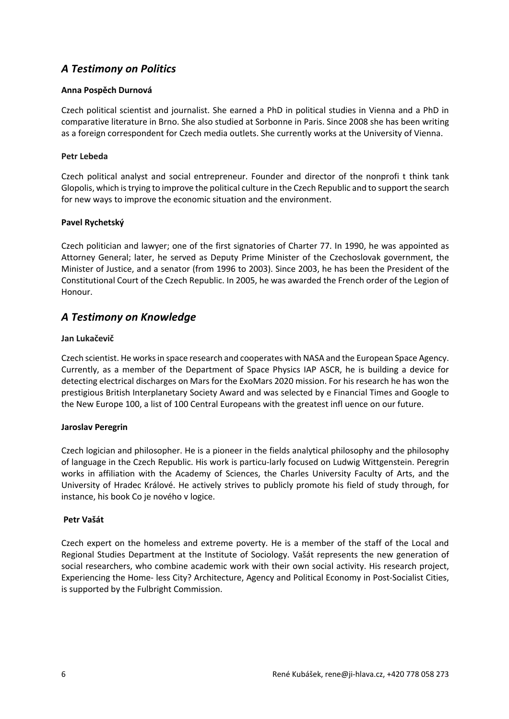# *A Testimony on Politics*

#### **Anna Pospěch Durnová**

Czech political scientist and journalist. She earned a PhD in political studies in Vienna and a PhD in comparative literature in Brno. She also studied at Sorbonne in Paris. Since 2008 she has been writing as a foreign correspondent for Czech media outlets. She currently works at the University of Vienna.

#### **Petr Lebeda**

Czech political analyst and social entrepreneur. Founder and director of the nonprofi t think tank Glopolis, which is trying to improve the political culture in the Czech Republic and to support the search for new ways to improve the economic situation and the environment.

#### **Pavel Rychetský**

Czech politician and lawyer; one of the first signatories of Charter 77. In 1990, he was appointed as Attorney General; later, he served as Deputy Prime Minister of the Czechoslovak government, the Minister of Justice, and a senator (from 1996 to 2003). Since 2003, he has been the President of the Constitutional Court of the Czech Republic. In 2005, he was awarded the French order of the Legion of Honour.

# *A Testimony on Knowledge*

#### **Jan Lukačevič**

Czech scientist. He works in space research and cooperates with NASA and the European Space Agency. Currently, as a member of the Department of Space Physics IAP ASCR, he is building a device for detecting electrical discharges on Mars for the ExoMars 2020 mission. For his research he has won the prestigious British Interplanetary Society Award and was selected by e Financial Times and Google to the New Europe 100, a list of 100 Central Europeans with the greatest infl uence on our future.

#### **Jaroslav Peregrin**

Czech logician and philosopher. He is a pioneer in the fields analytical philosophy and the philosophy of language in the Czech Republic. His work is particu-larly focused on Ludwig Wittgenstein. Peregrin works in affiliation with the Academy of Sciences, the Charles University Faculty of Arts, and the University of Hradec Králové. He actively strives to publicly promote his field of study through, for instance, his book Co je nového v logice.

#### **Petr Vašát**

Czech expert on the homeless and extreme poverty. He is a member of the staff of the Local and Regional Studies Department at the Institute of Sociology. Vašát represents the new generation of social researchers, who combine academic work with their own social activity. His research project, Experiencing the Home- less City? Architecture, Agency and Political Economy in Post-Socialist Cities, is supported by the Fulbright Commission.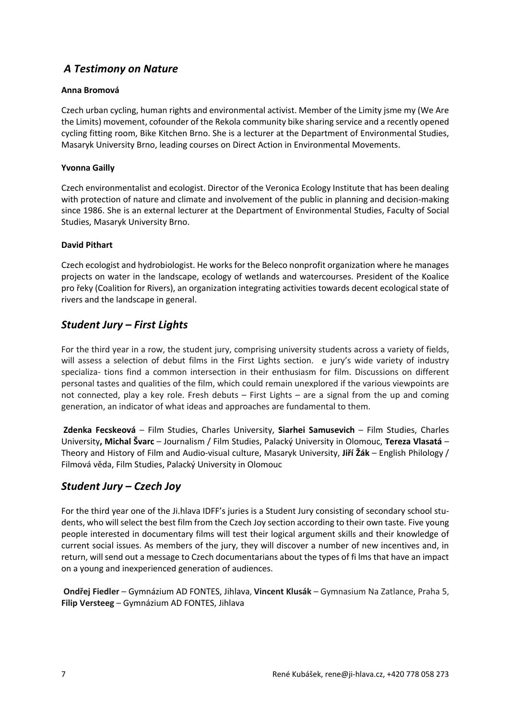# *A Testimony on Nature*

## **Anna Bromová**

Czech urban cycling, human rights and environmental activist. Member of the Limity jsme my (We Are the Limits) movement, cofounder of the Rekola community bike sharing service and a recently opened cycling fitting room, Bike Kitchen Brno. She is a lecturer at the Department of Environmental Studies, Masaryk University Brno, leading courses on Direct Action in Environmental Movements.

## **Yvonna Gailly**

Czech environmentalist and ecologist. Director of the Veronica Ecology Institute that has been dealing with protection of nature and climate and involvement of the public in planning and decision-making since 1986. She is an external lecturer at the Department of Environmental Studies, Faculty of Social Studies, Masaryk University Brno.

## **David Pithart**

Czech ecologist and hydrobiologist. He works for the Beleco nonprofit organization where he manages projects on water in the landscape, ecology of wetlands and watercourses. President of the Koalice pro řeky (Coalition for Rivers), an organization integrating activities towards decent ecological state of rivers and the landscape in general.

# *Student Jury – First Lights*

For the third year in a row, the student jury, comprising university students across a variety of fields, will assess a selection of debut films in the First Lights section. e jury's wide variety of industry specializa- tions find a common intersection in their enthusiasm for film. Discussions on different personal tastes and qualities of the film, which could remain unexplored if the various viewpoints are not connected, play a key role. Fresh debuts – First Lights – are a signal from the up and coming generation, an indicator of what ideas and approaches are fundamental to them.

**Zdenka Fecskeová** – Film Studies, Charles University, **Siarhei Samusevich** – Film Studies, Charles University**, Michal Švarc** – Journalism / Film Studies, Palacký University in Olomouc, **Tereza Vlasatá** – Theory and History of Film and Audio-visual culture, Masaryk University, **Jiří Žák** – English Philology / Filmová věda, Film Studies, Palacký University in Olomouc

# *Student Jury – Czech Joy*

For the third year one of the Ji.hlava IDFF's juries is a Student Jury consisting of secondary school students, who will select the best film from the Czech Joy section according to their own taste. Five young people interested in documentary films will test their logical argument skills and their knowledge of current social issues. As members of the jury, they will discover a number of new incentives and, in return, will send out a message to Czech documentarians about the types of fi lms that have an impact on a young and inexperienced generation of audiences.

**Ondřej Fiedler** – Gymnázium AD FONTES, Jihlava, **Vincent Klusák** – Gymnasium Na Zatlance, Praha 5, **Filip Versteeg** – Gymnázium AD FONTES, Jihlava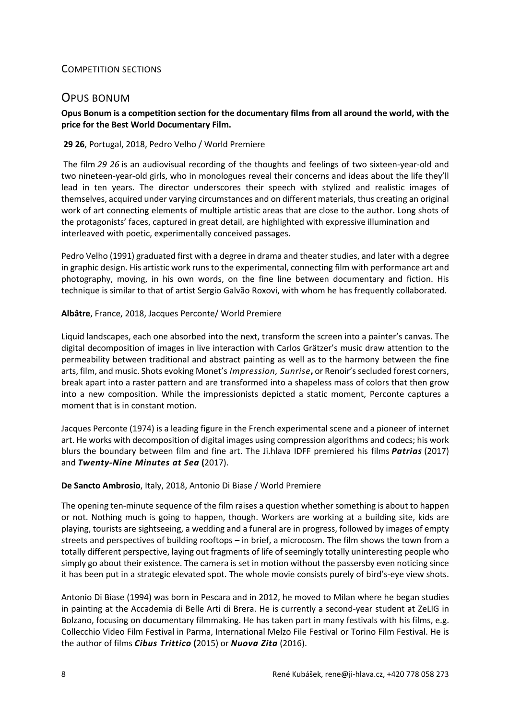## COMPETITION SECTIONS

# OPUS BONUM

#### **Opus Bonum is a competition section for the documentary films from all around the world, with the price for the Best World Documentary Film.**

#### **29 26**, Portugal, 2018, Pedro Velho / World Premiere

The film *29 26* is an audiovisual recording of the thoughts and feelings of two sixteen-year-old and two nineteen-year-old girls, who in monologues reveal their concerns and ideas about the life they'll lead in ten years. The director underscores their speech with stylized and realistic images of themselves, acquired under varying circumstances and on different materials, thus creating an original work of art connecting elements of multiple artistic areas that are close to the author. Long shots of the protagonists' faces, captured in great detail, are highlighted with expressive illumination and interleaved with poetic, experimentally conceived passages.

Pedro Velho (1991) graduated first with a degree in drama and theater studies, and later with a degree in graphic design. His artistic work runs to the experimental, connecting film with performance art and photography, moving, in his own words, on the fine line between documentary and fiction. His technique is similar to that of artist Sergio Galvão Roxovi, with whom he has frequently collaborated.

#### **Albâtre**, France, 2018, Jacques Perconte/ World Premiere

Liquid landscapes, each one absorbed into the next, transform the screen into a painter's canvas. The digital decomposition of images in live interaction with Carlos Grätzer's music draw attention to the permeability between traditional and abstract painting as well as to the harmony between the fine arts, film, and music. Shots evoking Monet's *Impression, Sunrise***,** or Renoir's secluded forest corners, break apart into a raster pattern and are transformed into a shapeless mass of colors that then grow into a new composition. While the impressionists depicted a static moment, Perconte captures a moment that is in constant motion.

Jacques Perconte (1974) is a leading figure in the French experimental scene and a pioneer of internet art. He works with decomposition of digital images using compression algorithms and codecs; his work blurs the boundary between film and fine art. The Ji.hlava IDFF premiered his films *Patrias* (2017) and *Twenty-Nine Minutes at Sea* **(**2017).

#### **De Sancto Ambrosio**, Italy, 2018, Antonio Di Biase / World Premiere

The opening ten-minute sequence of the film raises a question whether something is about to happen or not. Nothing much is going to happen, though. Workers are working at a building site, kids are playing, tourists are sightseeing, a wedding and a funeral are in progress, followed by images of empty streets and perspectives of building rooftops – in brief, a microcosm. The film shows the town from a totally different perspective, laying out fragments of life of seemingly totally uninteresting people who simply go about their existence. The camera is set in motion without the passersby even noticing since it has been put in a strategic elevated spot. The whole movie consists purely of bird's-eye view shots.

Antonio Di Biase (1994) was born in Pescara and in 2012, he moved to Milan where he began studies in painting at the Accademia di Belle Arti di Brera. He is currently a second-year student at ZeLIG in Bolzano, focusing on documentary filmmaking. He has taken part in many festivals with his films, e.g. Collecchio Video Film Festival in Parma, International Melzo File Festival or Torino Film Festival. He is the author of films *Cibus Trittico* **(**2015) or *Nuova Zita* (2016).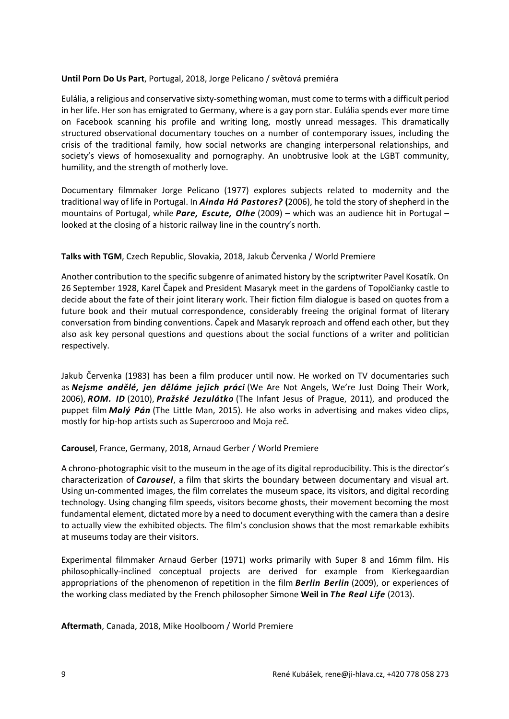#### **Until Porn Do Us Part**, Portugal, 2018, Jorge Pelicano / světová premiéra

Eulália, a religious and conservative sixty-something woman, must come to terms with a difficult period in her life. Her son has emigrated to Germany, where is a gay porn star. Eulália spends ever more time on Facebook scanning his profile and writing long, mostly unread messages. This dramatically structured observational documentary touches on a number of contemporary issues, including the crisis of the traditional family, how social networks are changing interpersonal relationships, and society's views of homosexuality and pornography. An unobtrusive look at the LGBT community, humility, and the strength of motherly love.

Documentary filmmaker Jorge Pelicano (1977) explores subjects related to modernity and the traditional way of life in Portugal. In *Ainda Há Pastores?* **(**2006), he told the story of shepherd in the mountains of Portugal, while *Pare, Escute, Olhe* (2009) – which was an audience hit in Portugal – looked at the closing of a historic railway line in the country's north.

## **Talks with TGM**, Czech Republic, Slovakia, 2018, Jakub Červenka / World Premiere

Another contribution to the specific subgenre of animated history by the scriptwriter Pavel Kosatík. On 26 September 1928, Karel Čapek and President Masaryk meet in the gardens of Topolčianky castle to decide about the fate of their joint literary work. Their fiction film dialogue is based on quotes from a future book and their mutual correspondence, considerably freeing the original format of literary conversation from binding conventions. Čapek and Masaryk reproach and offend each other, but they also ask key personal questions and questions about the social functions of a writer and politician respectively.

Jakub Červenka (1983) has been a film producer until now. He worked on TV documentaries such as *Nejsme andělé, jen děláme jejich práci* (We Are Not Angels, We're Just Doing Their Work, 2006), *ROM. ID* (2010), *Pražské Jezulátko* (The Infant Jesus of Prague, 2011), and produced the puppet film *Malý Pán* (The Little Man, 2015). He also works in advertising and makes video clips, mostly for hip-hop artists such as Supercrooo and Moja reč.

#### **Carousel**, France, Germany, 2018, Arnaud Gerber / World Premiere

A chrono-photographic visit to the museum in the age of its digital reproducibility. This is the director's characterization of *Carousel*, a film that skirts the boundary between documentary and visual art. Using un-commented images, the film correlates the museum space, its visitors, and digital recording technology. Using changing film speeds, visitors become ghosts, their movement becoming the most fundamental element, dictated more by a need to document everything with the camera than a desire to actually view the exhibited objects. The film's conclusion shows that the most remarkable exhibits at museums today are their visitors.

Experimental filmmaker Arnaud Gerber (1971) works primarily with Super 8 and 16mm film. His philosophically-inclined conceptual projects are derived for example from Kierkegaardian appropriations of the phenomenon of repetition in the film *Berlin Berlin* (2009), or experiences of the working class mediated by the French philosopher Simone **Weil in** *The Real Life* (2013).

**Aftermath**, Canada, 2018, Mike Hoolboom / World Premiere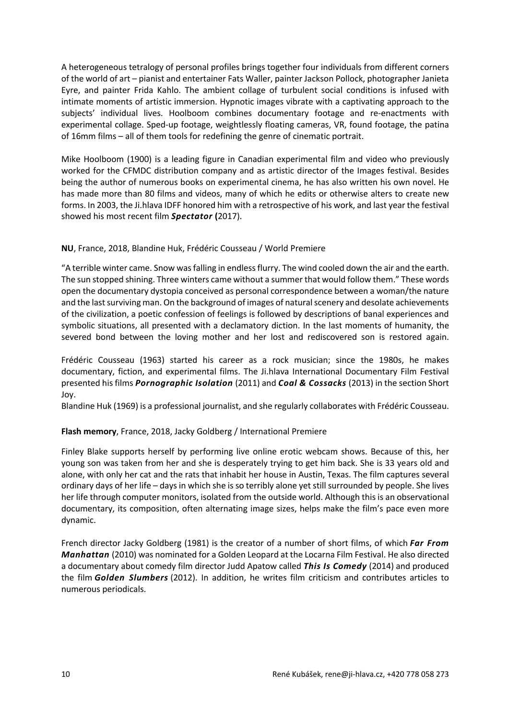A heterogeneous tetralogy of personal profiles brings together four individuals from different corners of the world of art – pianist and entertainer Fats Waller, painter Jackson Pollock, photographer Janieta Eyre, and painter Frida Kahlo. The ambient collage of turbulent social conditions is infused with intimate moments of artistic immersion. Hypnotic images vibrate with a captivating approach to the subjects' individual lives. Hoolboom combines documentary footage and re-enactments with experimental collage. Sped-up footage, weightlessly floating cameras, VR, found footage, the patina of 16mm films – all of them tools for redefining the genre of cinematic portrait.

Mike Hoolboom (1900) is a leading figure in Canadian experimental film and video who previously worked for the CFMDC distribution company and as artistic director of the Images festival. Besides being the author of numerous books on experimental cinema, he has also written his own novel. He has made more than 80 films and videos, many of which he edits or otherwise alters to create new forms. In 2003, the Ji.hlava IDFF honored him with a retrospective of his work, and last year the festival showed his most recent film *Spectator* **(**2017).

#### **NU**, France, 2018, Blandine Huk, Frédéric Cousseau / World Premiere

"A terrible winter came. Snow was falling in endless flurry. The wind cooled down the air and the earth. The sun stopped shining. Three winters came without a summer that would follow them." These words open the documentary dystopia conceived as personal correspondence between a woman/the nature and the last surviving man. On the background of images of natural scenery and desolate achievements of the civilization, a poetic confession of feelings is followed by descriptions of banal experiences and symbolic situations, all presented with a declamatory diction. In the last moments of humanity, the severed bond between the loving mother and her lost and rediscovered son is restored again.

Frédéric Cousseau (1963) started his career as a rock musician; since the 1980s, he makes documentary, fiction, and experimental films. The Ji.hlava International Documentary Film Festival presented his films *Pornographic Isolation* (2011) and *Coal & Cossacks* (2013) in the section Short Joy.

Blandine Huk (1969) is a professional journalist, and she regularly collaborates with Frédéric Cousseau.

## **Flash memory**, France, 2018, Jacky Goldberg / International Premiere

Finley Blake supports herself by performing live online erotic webcam shows. Because of this, her young son was taken from her and she is desperately trying to get him back. She is 33 years old and alone, with only her cat and the rats that inhabit her house in Austin, Texas. The film captures several ordinary days of her life – days in which she is so terribly alone yet still surrounded by people. She lives her life through computer monitors, isolated from the outside world. Although this is an observational documentary, its composition, often alternating image sizes, helps make the film's pace even more dynamic.

French director Jacky Goldberg (1981) is the creator of a number of short films, of which *Far From Manhattan* (2010) was nominated for a Golden Leopard at the Locarna Film Festival. He also directed a documentary about comedy film director Judd Apatow called *This Is Comedy* (2014) and produced the film *Golden Slumbers* (2012). In addition, he writes film criticism and contributes articles to numerous periodicals.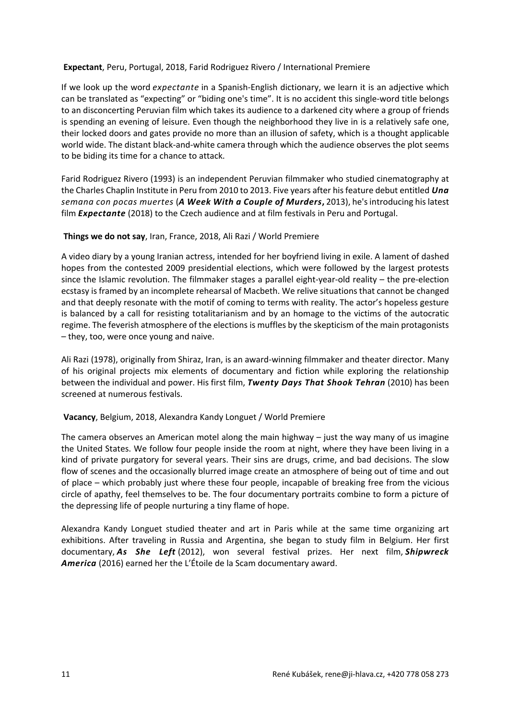#### **Expectant**, Peru, Portugal, 2018, Farid Rodriguez Rivero / International Premiere

If we look up the word *expectante* in a Spanish-English dictionary, we learn it is an adjective which can be translated as "expecting" or "biding one's time". It is no accident this single-word title belongs to an disconcerting Peruvian film which takes its audience to a darkened city where a group of friends is spending an evening of leisure. Even though the neighborhood they live in is a relatively safe one, their locked doors and gates provide no more than an illusion of safety, which is a thought applicable world wide. The distant black-and-white camera through which the audience observes the plot seems to be biding its time for a chance to attack.

Farid Rodriguez Rivero (1993) is an independent Peruvian filmmaker who studied cinematography at the Charles Chaplin Institute in Peru from 2010 to 2013. Five years after his feature debut entitled *Una semana con pocas muertes* (*A Week With a Couple of Murders***,** 2013), he's introducing his latest film *Expectante* (2018) to the Czech audience and at film festivals in Peru and Portugal.

#### **Things we do not say**, Iran, France, 2018, Ali Razi / World Premiere

A video diary by a young Iranian actress, intended for her boyfriend living in exile. A lament of dashed hopes from the contested 2009 presidential elections, which were followed by the largest protests since the Islamic revolution. The filmmaker stages a parallel eight-year-old reality – the pre-election ecstasy is framed by an incomplete rehearsal of Macbeth. We relive situations that cannot be changed and that deeply resonate with the motif of coming to terms with reality. The actor's hopeless gesture is balanced by a call for resisting totalitarianism and by an homage to the victims of the autocratic regime. The feverish atmosphere of the elections is muffles by the skepticism of the main protagonists – they, too, were once young and naive.

Ali Razi (1978), originally from Shiraz, Iran, is an award-winning filmmaker and theater director. Many of his original projects mix elements of documentary and fiction while exploring the relationship between the individual and power. His first film, *Twenty Days That Shook Tehran* (2010) has been screened at numerous festivals.

#### **Vacancy**, Belgium, 2018, Alexandra Kandy Longuet / World Premiere

The camera observes an American motel along the main highway – just the way many of us imagine the United States. We follow four people inside the room at night, where they have been living in a kind of private purgatory for several years. Their sins are drugs, crime, and bad decisions. The slow flow of scenes and the occasionally blurred image create an atmosphere of being out of time and out of place – which probably just where these four people, incapable of breaking free from the vicious circle of apathy, feel themselves to be. The four documentary portraits combine to form a picture of the depressing life of people nurturing a tiny flame of hope.

Alexandra Kandy Longuet studied theater and art in Paris while at the same time organizing art exhibitions. After traveling in Russia and Argentina, she began to study film in Belgium. Her first documentary, *As She Left* (2012), won several festival prizes. Her next film, *Shipwreck America* (2016) earned her the L'Étoile de la Scam documentary award.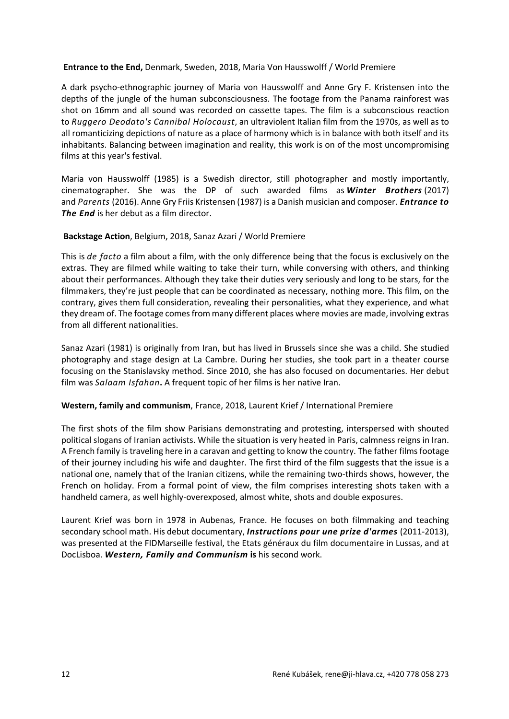#### **Entrance to the End,** Denmark, Sweden, 2018, Maria Von Hausswolff / World Premiere

A dark psycho-ethnographic journey of Maria von Hausswolff and Anne Gry F. Kristensen into the depths of the jungle of the human subconsciousness. The footage from the Panama rainforest was shot on 16mm and all sound was recorded on cassette tapes. The film is a subconscious reaction to *Ruggero Deodato's Cannibal Holocaust*, an ultraviolent Italian film from the 1970s, as well as to all romanticizing depictions of nature as a place of harmony which is in balance with both itself and its inhabitants. Balancing between imagination and reality, this work is on of the most uncompromising films at this year's festival.

Maria von Hausswolff (1985) is a Swedish director, still photographer and mostly importantly, cinematographer. She was the DP of such awarded films as *Winter Brothers* (2017) and *Parents* (2016). Anne Gry Friis Kristensen (1987) is a Danish musician and composer. *Entrance to The End* is her debut as a film director.

#### **Backstage Action**, Belgium, 2018, Sanaz Azari / World Premiere

This is *de facto* a film about a film, with the only difference being that the focus is exclusively on the extras. They are filmed while waiting to take their turn, while conversing with others, and thinking about their performances. Although they take their duties very seriously and long to be stars, for the filmmakers, they're just people that can be coordinated as necessary, nothing more. This film, on the contrary, gives them full consideration, revealing their personalities, what they experience, and what they dream of. The footage comes from many different places where movies are made, involving extras from all different nationalities.

Sanaz Azari (1981) is originally from Iran, but has lived in Brussels since she was a child. She studied photography and stage design at La Cambre. During her studies, she took part in a theater course focusing on the Stanislavsky method. Since 2010, she has also focused on documentaries. Her debut film was *Salaam Isfahan***.** A frequent topic of her films is her native Iran.

#### **Western, family and communism**, France, 2018, Laurent Krief / International Premiere

The first shots of the film show Parisians demonstrating and protesting, interspersed with shouted political slogans of Iranian activists. While the situation is very heated in Paris, calmness reigns in Iran. A French family is traveling here in a caravan and getting to know the country. The father films footage of their journey including his wife and daughter. The first third of the film suggests that the issue is a national one, namely that of the Iranian citizens, while the remaining two-thirds shows, however, the French on holiday. From a formal point of view, the film comprises interesting shots taken with a handheld camera, as well highly-overexposed, almost white, shots and double exposures.

Laurent Krief was born in 1978 in Aubenas, France. He focuses on both filmmaking and teaching secondary school math. His debut documentary, *Instructions pour une prize d'armes* (2011-2013), was presented at the FIDMarseille festival, the Etats généraux du film documentaire in Lussas, and at DocLisboa. *Western, Family and Communism* **is** his second work.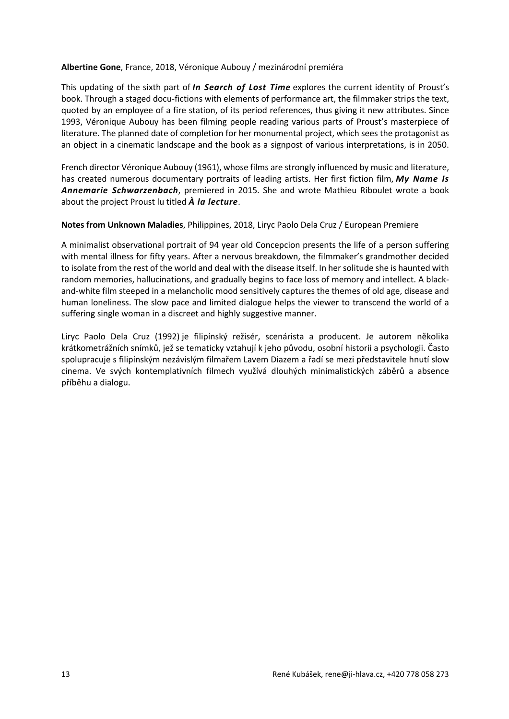#### **Albertine Gone**, France, 2018, Véronique Aubouy / mezinárodní premiéra

This updating of the sixth part of *In Search of Lost Time* explores the current identity of Proust's book. Through a staged docu-fictions with elements of performance art, the filmmaker strips the text, quoted by an employee of a fire station, of its period references, thus giving it new attributes. Since 1993, Véronique Aubouy has been filming people reading various parts of Proust's masterpiece of literature. The planned date of completion for her monumental project, which sees the protagonist as an object in a cinematic landscape and the book as a signpost of various interpretations, is in 2050.

French director Véronique Aubouy (1961), whose films are strongly influenced by music and literature, has created numerous documentary portraits of leading artists. Her first fiction film, *My Name Is Annemarie Schwarzenbach*, premiered in 2015. She and wrote Mathieu Riboulet wrote a book about the project Proust lu titled *À la lecture*.

#### **Notes from Unknown Maladies**, Philippines, 2018, Liryc Paolo Dela Cruz / European Premiere

A minimalist observational portrait of 94 year old Concepcion presents the life of a person suffering with mental illness for fifty years. After a nervous breakdown, the filmmaker's grandmother decided to isolate from the rest of the world and deal with the disease itself. In her solitude she is haunted with random memories, hallucinations, and gradually begins to face loss of memory and intellect. A blackand-white film steeped in a melancholic mood sensitively captures the themes of old age, disease and human loneliness. The slow pace and limited dialogue helps the viewer to transcend the world of a suffering single woman in a discreet and highly suggestive manner.

Liryc Paolo Dela Cruz (1992) je filipínský režisér, scenárista a producent. Je autorem několika krátkometrážních snímků, jež se tematicky vztahují k jeho původu, osobní historii a psychologii. Často spolupracuje s filipínským nezávislým filmařem Lavem Diazem a řadí se mezi představitele hnutí slow cinema. Ve svých kontemplativních filmech využívá dlouhých minimalistických záběrů a absence příběhu a dialogu.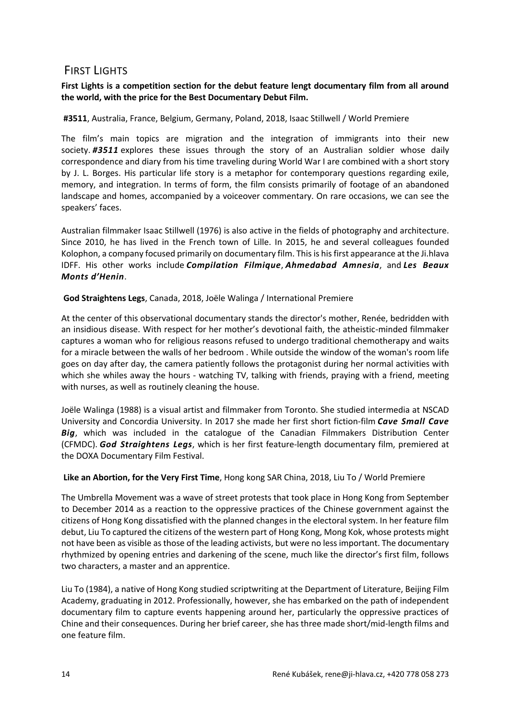# FIRST LIGHTS

## **First Lights is a competition section for the debut feature lengt documentary film from all around the world, with the price for the Best Documentary Debut Film.**

## **#3511**, Australia, France, Belgium, Germany, Poland, 2018, Isaac Stillwell / World Premiere

The film's main topics are migration and the integration of immigrants into their new society. *#3511* explores these issues through the story of an Australian soldier whose daily correspondence and diary from his time traveling during World War I are combined with a short story by J. L. Borges. His particular life story is a metaphor for contemporary questions regarding exile, memory, and integration. In terms of form, the film consists primarily of footage of an abandoned landscape and homes, accompanied by a voiceover commentary. On rare occasions, we can see the speakers' faces.

Australian filmmaker Isaac Stillwell (1976) is also active in the fields of photography and architecture. Since 2010, he has lived in the French town of Lille. In 2015, he and several colleagues founded Kolophon, a company focused primarily on documentary film. This is his first appearance at the Ji.hlava IDFF. His other works include *Compilation Filmique*, *Ahmedabad Amnesia*, and *Les Beaux Monts d'Henin*.

**God Straightens Legs**, Canada, 2018, Joële Walinga / International Premiere

At the center of this observational documentary stands the director's mother, Renée, bedridden with an insidious disease. With respect for her mother's devotional faith, the atheistic-minded filmmaker captures a woman who for religious reasons refused to undergo traditional chemotherapy and waits for a miracle between the walls of her bedroom . While outside the window of the woman's room life goes on day after day, the camera patiently follows the protagonist during her normal activities with which she whiles away the hours - watching TV, talking with friends, praying with a friend, meeting with nurses, as well as routinely cleaning the house.

Joële Walinga (1988) is a visual artist and filmmaker from Toronto. She studied intermedia at NSCAD University and Concordia University. In 2017 she made her first short fiction-film *Cave Small Cave Big*, which was included in the catalogue of the Canadian Filmmakers Distribution Center (CFMDC). *God Straightens Legs*, which is her first feature-length documentary film, premiered at the DOXA Documentary Film Festival.

## **Like an Abortion, for the Very First Time**, Hong kong SAR China, 2018, Liu To / World Premiere

The Umbrella Movement was a wave of street protests that took place in Hong Kong from September to December 2014 as a reaction to the oppressive practices of the Chinese government against the citizens of Hong Kong dissatisfied with the planned changes in the electoral system. In her feature film debut, Liu To captured the citizens of the western part of Hong Kong, Mong Kok, whose protests might not have been as visible as those of the leading activists, but were no less important. The documentary rhythmized by opening entries and darkening of the scene, much like the director's first film, follows two characters, a master and an apprentice.

Liu To (1984), a native of Hong Kong studied scriptwriting at the Department of Literature, Beijing Film Academy, graduating in 2012. Professionally, however, she has embarked on the path of independent documentary film to capture events happening around her, particularly the oppressive practices of Chine and their consequences. During her brief career, she has three made short/mid-length films and one feature film.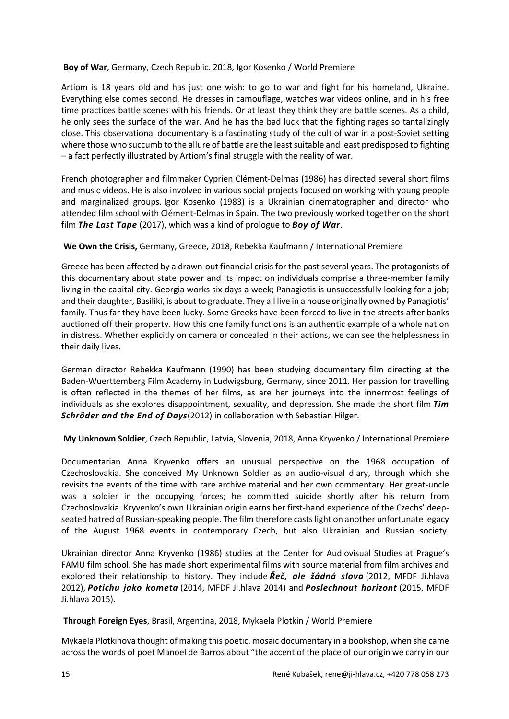#### **Boy of War**, Germany, Czech Republic. 2018, Igor Kosenko / World Premiere

Artiom is 18 years old and has just one wish: to go to war and fight for his homeland, Ukraine. Everything else comes second. He dresses in camouflage, watches war videos online, and in his free time practices battle scenes with his friends. Or at least they think they are battle scenes. As a child, he only sees the surface of the war. And he has the bad luck that the fighting rages so tantalizingly close. This observational documentary is a fascinating study of the cult of war in a post-Soviet setting where those who succumb to the allure of battle are the least suitable and least predisposed to fighting – a fact perfectly illustrated by Artiom's final struggle with the reality of war.

French photographer and filmmaker Cyprien Clément-Delmas (1986) has directed several short films and music videos. He is also involved in various social projects focused on working with young people and marginalized groups. Igor Kosenko (1983) is a Ukrainian cinematographer and director who attended film school with Clément-Delmas in Spain. The two previously worked together on the short film *The Last Tape* (2017), which was a kind of prologue to *Boy of War*.

#### **We Own the Crisis,** Germany, Greece, 2018, Rebekka Kaufmann / International Premiere

Greece has been affected by a drawn-out financial crisis for the past several years. The protagonists of this documentary about state power and its impact on individuals comprise a three-member family living in the capital city. Georgia works six days a week; Panagiotis is unsuccessfully looking for a job; and their daughter, Basiliki, is about to graduate. They all live in a house originally owned by Panagiotis' family. Thus far they have been lucky. Some Greeks have been forced to live in the streets after banks auctioned off their property. How this one family functions is an authentic example of a whole nation in distress. Whether explicitly on camera or concealed in their actions, we can see the helplessness in their daily lives.

German director Rebekka Kaufmann (1990) has been studying documentary film directing at the Baden-Wuerttemberg Film Academy in Ludwigsburg, Germany, since 2011. Her passion for travelling is often reflected in the themes of her films, as are her journeys into the innermost feelings of individuals as she explores disappointment, sexuality, and depression. She made the short film *Tim Schröder and the End of Days*(2012) in collaboration with Sebastian Hilger.

**My Unknown Soldier**, Czech Republic, Latvia, Slovenia, 2018, Anna Kryvenko / International Premiere

Documentarian Anna Kryvenko offers an unusual perspective on the 1968 occupation of Czechoslovakia. She conceived My Unknown Soldier as an audio-visual diary, through which she revisits the events of the time with rare archive material and her own commentary. Her great-uncle was a soldier in the occupying forces; he committed suicide shortly after his return from Czechoslovakia. Kryvenko's own Ukrainian origin earns her first-hand experience of the Czechs' deepseated hatred of Russian-speaking people. The film therefore casts light on another unfortunate legacy of the August 1968 events in contemporary Czech, but also Ukrainian and Russian society.

Ukrainian director Anna Kryvenko (1986) studies at the Center for Audiovisual Studies at Prague's FAMU film school. She has made short experimental films with source material from film archives and explored their relationship to history. They include *Řeč, ale žádná slova* (2012, MFDF Ji.hlava 2012), *Potichu jako kometa* (2014, MFDF Ji.hlava 2014) and *Poslechnout horizont* (2015, MFDF Ji.hlava 2015).

**Through Foreign Eyes**, Brasil, Argentina, 2018, Mykaela Plotkin / World Premiere

Mykaela Plotkinova thought of making this poetic, mosaic documentary in a bookshop, when she came across the words of poet Manoel de Barros about "the accent of the place of our origin we carry in our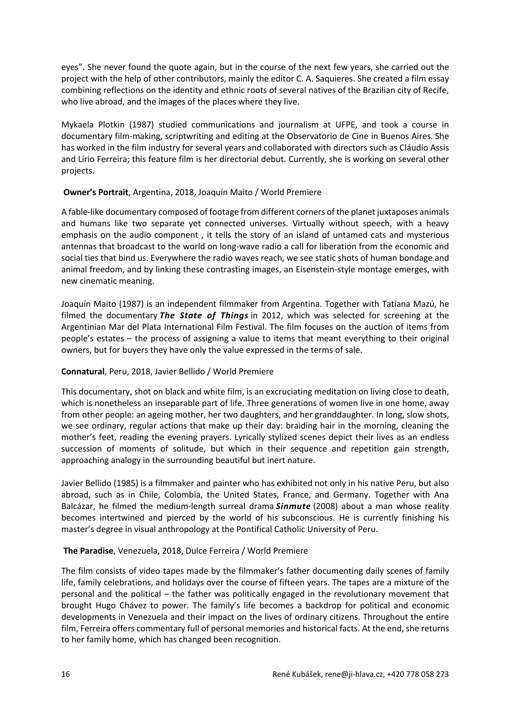eyes". She never found the quote again, but in the course of the next few years, she carried out the project with the help of other contributors, mainly the editor C. A. Saquieres. She created a film essay combining reflections on the identity and ethnic roots of several natives of the Brazilian city of Recife, who live abroad, and the images of the places where they live.

Mykaela Plotkin (1987) studied communications and journalism at UFPE, and took a course in documentary film-making, scriptwriting and editing at the Observatorio de Cine in Buenos Aires. She has worked in the film industry for several years and collaborated with directors such as Cláudio Assis and Lírio Ferreira; this feature film is her directorial debut. Currently, she is working on several other projects.

#### **Owner's Portrait**, Argentina, 2018, Joaquín Maito / World Premiere

A fable-like documentary composed of footage from different corners of the planet juxtaposes animals and humans like two separate yet connected universes. Virtually without speech, with a heavy emphasis on the audio component , it tells the story of an island of untamed cats and mysterious antennas that broadcast to the world on long-wave radio a call for liberation from the economic and social ties that bind us. Everywhere the radio waves reach, we see static shots of human bondage and animal freedom, and by linking these contrasting images, an Eisenstein-style montage emerges, with new cinematic meaning.

Joaquín Maito (1987) is an independent filmmaker from Argentina. Together with Tatiana Mazú, he filmed the documentary *The State of Things* in 2012, which was selected for screening at the Argentinian Mar del Plata International Film Festival. The film focuses on the auction of items from people's estates – the process of assigning a value to items that meant everything to their original owners, but for buyers they have only the value expressed in the terms of sale.

#### **Connatural**, Peru, 2018, Javier Bellido / World Premiere

This documentary, shot on black and white film, is an excruciating meditation on living close to death, which is nonetheless an inseparable part of life. Three generations of women live in one home, away from other people: an ageing mother, her two daughters, and her granddaughter. In long, slow shots, we see ordinary, regular actions that make up their day: braiding hair in the morning, cleaning the mother's feet, reading the evening prayers. Lyrically stylized scenes depict their lives as an endless succession of moments of solitude, but which in their sequence and repetition gain strength, approaching analogy in the surrounding beautiful but inert nature.

Javier Bellido (1985) is a filmmaker and painter who has exhibited not only in his native Peru, but also abroad, such as in Chile, Colombia, the United States, France, and Germany. Together with Ana Balcázar, he filmed the medium-length surreal drama *Sinmute* (2008) about a man whose reality becomes intertwined and pierced by the world of his subconscious. He is currently finishing his master's degree in visual anthropology at the Pontifical Catholic University of Peru.

## **The Paradise**, Venezuela, 2018, Dulce Ferreira / World Premiere

The film consists of video tapes made by the filmmaker's father documenting daily scenes of family life, family celebrations, and holidays over the course of fifteen years. The tapes are a mixture of the personal and the political – the father was politically engaged in the revolutionary movement that brought Hugo Chávez to power. The family's life becomes a backdrop for political and economic developments in Venezuela and their impact on the lives of ordinary citizens. Throughout the entire film, Ferreira offers commentary full of personal memories and historical facts. At the end, she returns to her family home, which has changed been recognition.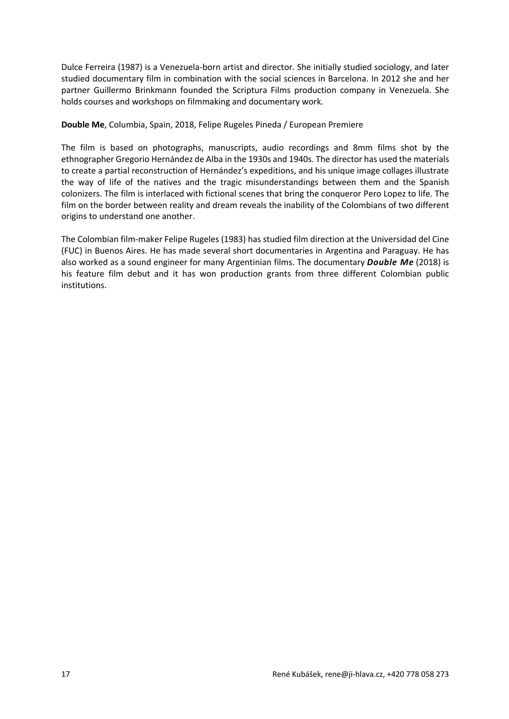Dulce Ferreira (1987) is a Venezuela-born artist and director. She initially studied sociology, and later studied documentary film in combination with the social sciences in Barcelona. In 2012 she and her partner Guillermo Brinkmann founded the Scriptura Films production company in Venezuela. She holds courses and workshops on filmmaking and documentary work.

**Double Me**, Columbia, Spain, 2018, Felipe Rugeles Pineda / European Premiere

The film is based on photographs, manuscripts, audio recordings and 8mm films shot by the ethnographer Gregorio Hernández de Alba in the 1930s and 1940s. The director has used the materials to create a partial reconstruction of Hernández's expeditions, and his unique image collages illustrate the way of life of the natives and the tragic misunderstandings between them and the Spanish colonizers. The film is interlaced with fictional scenes that bring the conqueror Pero Lopez to life. The film on the border between reality and dream reveals the inability of the Colombians of two different origins to understand one another.

The Colombian film-maker Felipe Rugeles (1983) has studied film direction at the Universidad del Cine (FUC) in Buenos Aires. He has made several short documentaries in Argentina and Paraguay. He has also worked as a sound engineer for many Argentinian films. The documentary *Double Me* (2018) is his feature film debut and it has won production grants from three different Colombian public institutions.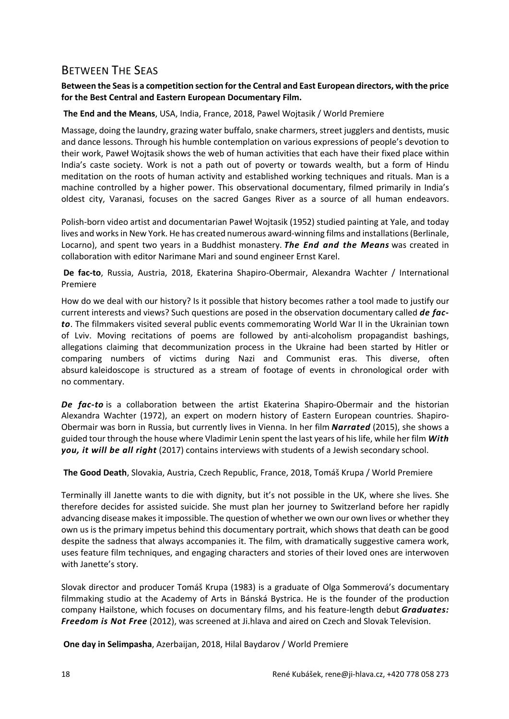# BETWEEN THE SEAS

## **Between the Seas is a competition section for the Central and East European directors, with the price for the Best Central and Eastern European Documentary Film.**

#### **The End and the Means**, USA, India, France, 2018, Pawel Wojtasik / World Premiere

Massage, doing the laundry, grazing water buffalo, snake charmers, street jugglers and dentists, music and dance lessons. Through his humble contemplation on various expressions of people's devotion to their work, Paweł Wojtasik shows the web of human activities that each have their fixed place within India's caste society. Work is not a path out of poverty or towards wealth, but a form of Hindu meditation on the roots of human activity and established working techniques and rituals. Man is a machine controlled by a higher power. This observational documentary, filmed primarily in India's oldest city, Varanasi, focuses on the sacred Ganges River as a source of all human endeavors.

Polish-born video artist and documentarian Paweł Wojtasik (1952) studied painting at Yale, and today lives and works in New York. He has created numerous award-winning films and installations (Berlinale, Locarno), and spent two years in a Buddhist monastery. *The End and the Means* was created in collaboration with editor Narimane Mari and sound engineer Ernst Karel.

**De fac-to**, Russia, Austria, 2018, Ekaterina Shapiro-Obermair, Alexandra Wachter / International Premiere

How do we deal with our history? Is it possible that history becomes rather a tool made to justify our current interests and views? Such questions are posed in the observation documentary called *de facto*. The filmmakers visited several public events commemorating World War II in the Ukrainian town of Lviv. Moving recitations of poems are followed by anti-alcoholism propagandist bashings, allegations claiming that decommunization process in the Ukraine had been started by Hitler or comparing numbers of victims during Nazi and Communist eras. This diverse, often absurd kaleidoscope is structured as a stream of footage of events in chronological order with no commentary.

*De fac-to* is a collaboration between the artist Ekaterina Shapiro-Obermair and the historian Alexandra Wachter (1972), an expert on modern history of Eastern European countries. Shapiro-Obermair was born in Russia, but currently lives in Vienna. In her film *Narrated* (2015), she shows a guided tour through the house where Vladimir Lenin spent the last years of his life, while her film *With you, it will be all right* (2017) contains interviews with students of a Jewish secondary school.

**The Good Death**, Slovakia, Austria, Czech Republic, France, 2018, Tomáš Krupa / World Premiere

Terminally ill Janette wants to die with dignity, but it's not possible in the UK, where she lives. She therefore decides for assisted suicide. She must plan her journey to Switzerland before her rapidly advancing disease makes it impossible. The question of whether we own our own lives or whether they own us is the primary impetus behind this documentary portrait, which shows that death can be good despite the sadness that always accompanies it. The film, with dramatically suggestive camera work, uses feature film techniques, and engaging characters and stories of their loved ones are interwoven with Janette's story.

Slovak director and producer Tomáš Krupa (1983) is a graduate of Olga Sommerová's documentary filmmaking studio at the Academy of Arts in Bánská Bystrica. He is the founder of the production company Hailstone, which focuses on documentary films, and his feature-length debut *Graduates: Freedom is Not Free* (2012), was screened at Ji.hlava and aired on Czech and Slovak Television.

**One day in Selimpasha**, Azerbaijan, 2018, Hilal Baydarov / World Premiere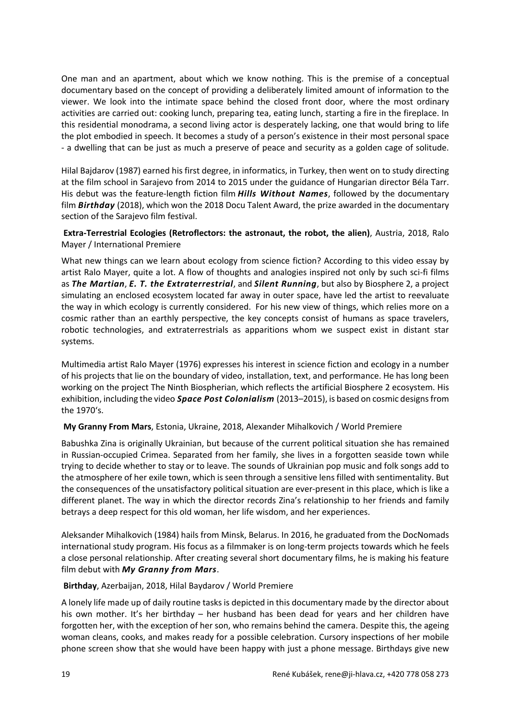One man and an apartment, about which we know nothing. This is the premise of a conceptual documentary based on the concept of providing a deliberately limited amount of information to the viewer. We look into the intimate space behind the closed front door, where the most ordinary activities are carried out: cooking lunch, preparing tea, eating lunch, starting a fire in the fireplace. In this residential monodrama, a second living actor is desperately lacking, one that would bring to life the plot embodied in speech. It becomes a study of a person's existence in their most personal space - a dwelling that can be just as much a preserve of peace and security as a golden cage of solitude.

Hilal Bajdarov (1987) earned his first degree, in informatics, in Turkey, then went on to study directing at the film school in Sarajevo from 2014 to 2015 under the guidance of Hungarian director Béla Tarr. His debut was the feature-length fiction film *Hills Without Names*, followed by the documentary film *Birthday* (2018), which won the 2018 Docu Talent Award, the prize awarded in the documentary section of the Sarajevo film festival.

**Extra-Terrestrial Ecologies (Retroflectors: the astronaut, the robot, the alien)**, Austria, 2018, Ralo Mayer / International Premiere

What new things can we learn about ecology from science fiction? According to this video essay by artist Ralo Mayer, quite a lot. A flow of thoughts and analogies inspired not only by such sci-fi films as *The Martian*, *E. T. the Extraterrestrial*, and *Silent Running*, but also by Biosphere 2, a project simulating an enclosed ecosystem located far away in outer space, have led the artist to reevaluate the way in which ecology is currently considered. For his new view of things, which relies more on a cosmic rather than an earthly perspective, the key concepts consist of humans as space travelers, robotic technologies, and extraterrestrials as apparitions whom we suspect exist in distant star systems.

Multimedia artist Ralo Mayer (1976) expresses his interest in science fiction and ecology in a number of his projects that lie on the boundary of video, installation, text, and performance. He has long been working on the project The Ninth Biospherian, which reflects the artificial Biosphere 2 ecosystem. His exhibition, including the video *Space Post Colonialism* (2013–2015), is based on cosmic designs from the 1970's.

#### **My Granny From Mars**, Estonia, Ukraine, 2018, Alexander Mihalkovich / World Premiere

Babushka Zina is originally Ukrainian, but because of the current political situation she has remained in Russian-occupied Crimea. Separated from her family, she lives in a forgotten seaside town while trying to decide whether to stay or to leave. The sounds of Ukrainian pop music and folk songs add to the atmosphere of her exile town, which is seen through a sensitive lens filled with sentimentality. But the consequences of the unsatisfactory political situation are ever-present in this place, which is like a different planet. The way in which the director records Zina's relationship to her friends and family betrays a deep respect for this old woman, her life wisdom, and her experiences.

Aleksander Mihalkovich (1984) hails from Minsk, Belarus. In 2016, he graduated from the DocNomads international study program. His focus as a filmmaker is on long-term projects towards which he feels a close personal relationship. After creating several short documentary films, he is making his feature film debut with *My Granny from Mars*.

## **Birthday**, Azerbaijan, 2018, Hilal Baydarov / World Premiere

A lonely life made up of daily routine tasks is depicted in this documentary made by the director about his own mother. It's her birthday – her husband has been dead for years and her children have forgotten her, with the exception of her son, who remains behind the camera. Despite this, the ageing woman cleans, cooks, and makes ready for a possible celebration. Cursory inspections of her mobile phone screen show that she would have been happy with just a phone message. Birthdays give new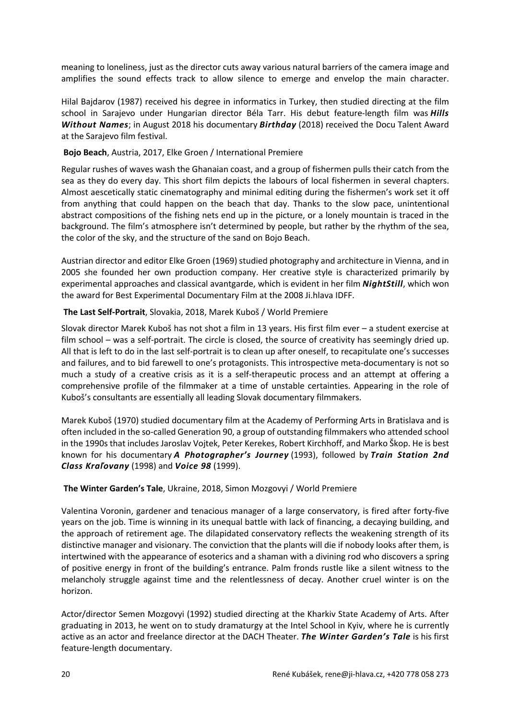meaning to loneliness, just as the director cuts away various natural barriers of the camera image and amplifies the sound effects track to allow silence to emerge and envelop the main character.

Hilal Bajdarov (1987) received his degree in informatics in Turkey, then studied directing at the film school in Sarajevo under Hungarian director Béla Tarr. His debut feature-length film was *Hills Without Names*; in August 2018 his documentary *Birthday* (2018) received the Docu Talent Award at the Sarajevo film festival.

#### **Bojo Beach**, Austria, 2017, Elke Groen / International Premiere

Regular rushes of waves wash the Ghanaian coast, and a group of fishermen pulls their catch from the sea as they do every day. This short film depicts the labours of local fishermen in several chapters. Almost aescetically static cinematography and minimal editing during the fishermen's work set it off from anything that could happen on the beach that day. Thanks to the slow pace, unintentional abstract compositions of the fishing nets end up in the picture, or a lonely mountain is traced in the background. The film's atmosphere isn't determined by people, but rather by the rhythm of the sea, the color of the sky, and the structure of the sand on Bojo Beach.

Austrian director and editor Elke Groen (1969) studied photography and architecture in Vienna, and in 2005 she founded her own production company. Her creative style is characterized primarily by experimental approaches and classical avantgarde, which is evident in her film *NightStill*, which won the award for Best Experimental Documentary Film at the 2008 Ji.hlava IDFF.

#### **The Last Self-Portrait**, Slovakia, 2018, Marek Kuboš / World Premiere

Slovak director Marek Kuboš has not shot a film in 13 years. His first film ever – a student exercise at film school – was a self-portrait. The circle is closed, the source of creativity has seemingly dried up. All that is left to do in the last self-portrait is to clean up after oneself, to recapitulate one's successes and failures, and to bid farewell to one's protagonists. This introspective meta-documentary is not so much a study of a creative crisis as it is a self-therapeutic process and an attempt at offering a comprehensive profile of the filmmaker at a time of unstable certainties. Appearing in the role of Kuboš's consultants are essentially all leading Slovak documentary filmmakers.

Marek Kuboš (1970) studied documentary film at the Academy of Performing Arts in Bratislava and is often included in the so-called Generation 90, a group of outstanding filmmakers who attended school in the 1990s that includes Jaroslav Vojtek, Peter Kerekes, Robert Kirchhoff, and Marko Škop. He is best known for his documentary *A Photographer's Journey* (1993), followed by *Train Station 2nd Class Kraľovany* (1998) and *Voice 98* (1999).

## **The Winter Garden's Tale**, Ukraine, 2018, Simon Mozgovyi / World Premiere

Valentina Voronin, gardener and tenacious manager of a large conservatory, is fired after forty-five years on the job. Time is winning in its unequal battle with lack of financing, a decaying building, and the approach of retirement age. The dilapidated conservatory reflects the weakening strength of its distinctive manager and visionary. The conviction that the plants will die if nobody looks after them, is intertwined with the appearance of esoterics and a shaman with a divining rod who discovers a spring of positive energy in front of the building's entrance. Palm fronds rustle like a silent witness to the melancholy struggle against time and the relentlessness of decay. Another cruel winter is on the horizon.

Actor/director Semen Mozgovyi (1992) studied directing at the Kharkiv State Academy of Arts. After graduating in 2013, he went on to study dramaturgy at the Intel School in Kyiv, where he is currently active as an actor and freelance director at the DACH Theater. *The Winter Garden's Tale* is his first feature-length documentary.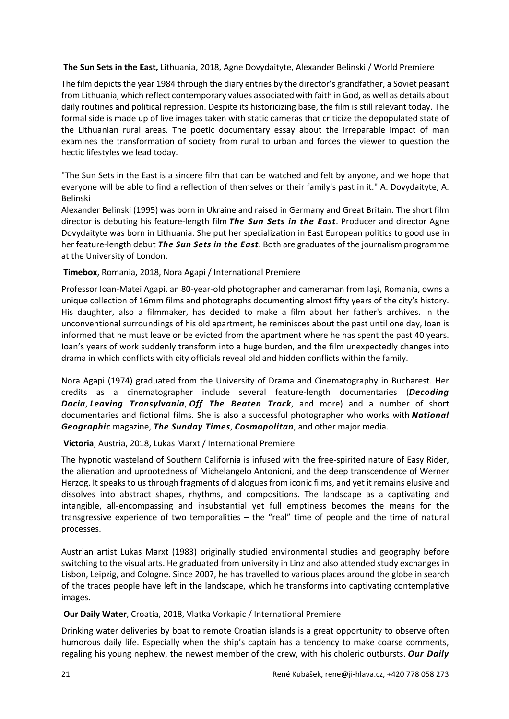**The Sun Sets in the East,** Lithuania, 2018, Agne Dovydaityte, Alexander Belinski / World Premiere

The film depicts the year 1984 through the diary entries by the director's grandfather, a Soviet peasant from Lithuania, which reflect contemporary values associated with faith in God, as well as details about daily routines and political repression. Despite its historicizing base, the film is still relevant today. The formal side is made up of live images taken with static cameras that criticize the depopulated state of the Lithuanian rural areas. The poetic documentary essay about the irreparable impact of man examines the transformation of society from rural to urban and forces the viewer to question the hectic lifestyles we lead today.

"The Sun Sets in the East is a sincere film that can be watched and felt by anyone, and we hope that everyone will be able to find a reflection of themselves or their family's past in it." A. Dovydaityte, A. Belinski

Alexander Belinski (1995) was born in Ukraine and raised in Germany and Great Britain. The short film director is debuting his feature-length film *The Sun Sets in the East*. Producer and director Agne Dovydaityte was born in Lithuania. She put her specialization in East European politics to good use in her feature-length debut *The Sun Sets in the East*. Both are graduates of the journalism programme at the University of London.

#### **Timebox**, Romania, 2018, Nora Agapi / International Premiere

Professor Ioan-Matei Agapi, an 80-year-old photographer and cameraman from Iași, Romania, owns a unique collection of 16mm films and photographs documenting almost fifty years of the city's history. His daughter, also a filmmaker, has decided to make a film about her father's archives. In the unconventional surroundings of his old apartment, he reminisces about the past until one day, Ioan is informed that he must leave or be evicted from the apartment where he has spent the past 40 years. Ioan's years of work suddenly transform into a huge burden, and the film unexpectedly changes into drama in which conflicts with city officials reveal old and hidden conflicts within the family.

Nora Agapi (1974) graduated from the University of Drama and Cinematography in Bucharest. Her credits as a cinematographer include several feature-length documentaries (*Decoding Dacia*, *Leaving Transylvania*, *Off The Beaten Track*, and more) and a number of short documentaries and fictional films. She is also a successful photographer who works with *National Geographic* magazine, *The Sunday Times*, *Cosmopolitan*, and other major media.

## **Victoria**, Austria, 2018, Lukas Marxt / International Premiere

The hypnotic wasteland of Southern California is infused with the free-spirited nature of Easy Rider, the alienation and uprootedness of Michelangelo Antonioni, and the deep transcendence of Werner Herzog. It speaks to us through fragments of dialogues from iconic films, and yet it remains elusive and dissolves into abstract shapes, rhythms, and compositions. The landscape as a captivating and intangible, all-encompassing and insubstantial yet full emptiness becomes the means for the transgressive experience of two temporalities – the "real" time of people and the time of natural processes.

Austrian artist Lukas Marxt (1983) originally studied environmental studies and geography before switching to the visual arts. He graduated from university in Linz and also attended study exchanges in Lisbon, Leipzig, and Cologne. Since 2007, he has travelled to various places around the globe in search of the traces people have left in the landscape, which he transforms into captivating contemplative images.

#### **Our Daily Water**, Croatia, 2018, Vlatka Vorkapic / International Premiere

Drinking water deliveries by boat to remote Croatian islands is a great opportunity to observe often humorous daily life. Especially when the ship's captain has a tendency to make coarse comments, regaling his young nephew, the newest member of the crew, with his choleric outbursts. *Our Daily*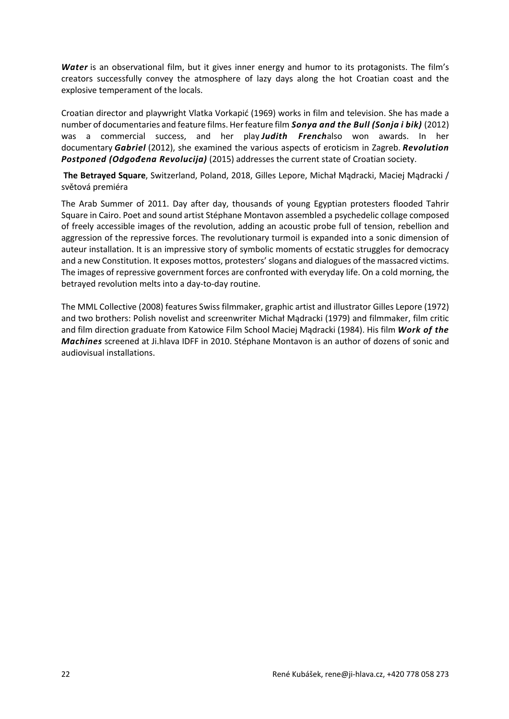*Water* is an observational film, but it gives inner energy and humor to its protagonists. The film's creators successfully convey the atmosphere of lazy days along the hot Croatian coast and the explosive temperament of the locals.

Croatian director and playwright Vlatka Vorkapić (1969) works in film and television. She has made a number of documentaries and feature films. Her feature film *Sonya and the Bull (Sonja i bik)* (2012) was a commercial success, and her play *Judith French*also won awards. In her documentary *Gabriel* (2012), she examined the various aspects of eroticism in Zagreb. *Revolution Postponed (Odgođena Revolucija)* (2015) addresses the current state of Croatian society.

**The Betrayed Square**, Switzerland, Poland, 2018, Gilles Lepore, Michał Mądracki, Maciej Mądracki / světová premiéra

The Arab Summer of 2011. Day after day, thousands of young Egyptian protesters flooded Tahrir Square in Cairo. Poet and sound artist Stéphane Montavon assembled a psychedelic collage composed of freely accessible images of the revolution, adding an acoustic probe full of tension, rebellion and aggression of the repressive forces. The revolutionary turmoil is expanded into a sonic dimension of auteur installation. It is an impressive story of symbolic moments of ecstatic struggles for democracy and a new Constitution. It exposes mottos, protesters' slogans and dialogues of the massacred victims. The images of repressive government forces are confronted with everyday life. On a cold morning, the betrayed revolution melts into a day-to-day routine.

The MML Collective (2008) features Swiss filmmaker, graphic artist and illustrator Gilles Lepore (1972) and two brothers: Polish novelist and screenwriter Michał Mądracki (1979) and filmmaker, film critic and film direction graduate from Katowice Film School Maciej Mądracki (1984). His film *Work of the Machines* screened at Ji.hlava IDFF in 2010. Stéphane Montavon is an author of dozens of sonic and audiovisual installations.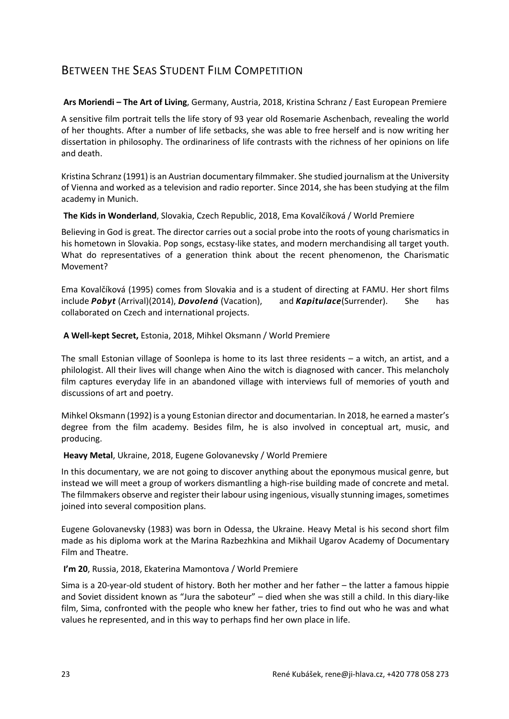# BETWEEN THE SEAS STUDENT FILM COMPETITION

#### **Ars Moriendi – The Art of Living**, Germany, Austria, 2018, Kristina Schranz / East European Premiere

A sensitive film portrait tells the life story of 93 year old Rosemarie Aschenbach, revealing the world of her thoughts. After a number of life setbacks, she was able to free herself and is now writing her dissertation in philosophy. The ordinariness of life contrasts with the richness of her opinions on life and death.

Kristina Schranz(1991) is an Austrian documentary filmmaker. She studied journalism at the University of Vienna and worked as a television and radio reporter. Since 2014, she has been studying at the film academy in Munich.

#### **The Kids in Wonderland**, Slovakia, Czech Republic, 2018, Ema Kovalčíková / World Premiere

Believing in God is great. The director carries out a social probe into the roots of young charismatics in his hometown in Slovakia. Pop songs, ecstasy-like states, and modern merchandising all target youth. What do representatives of a generation think about the recent phenomenon, the Charismatic Movement?

Ema Kovalčíková (1995) comes from Slovakia and is a student of directing at FAMU. Her short films include *Pobyt* (Arrival)(2014), *Dovolená* (Vacation), and *Kapitulace*(Surrender). She has collaborated on Czech and international projects.

#### **A Well-kept Secret,** Estonia, 2018, Mihkel Oksmann / World Premiere

The small Estonian village of Soonlepa is home to its last three residents – a witch, an artist, and a philologist. All their lives will change when Aino the witch is diagnosed with cancer. This melancholy film captures everyday life in an abandoned village with interviews full of memories of youth and discussions of art and poetry.

Mihkel Oksmann (1992) is a young Estonian director and documentarian. In 2018, he earned a master's degree from the film academy. Besides film, he is also involved in conceptual art, music, and producing.

#### **Heavy Metal**, Ukraine, 2018, Eugene Golovanevsky / World Premiere

In this documentary, we are not going to discover anything about the eponymous musical genre, but instead we will meet a group of workers dismantling a high-rise building made of concrete and metal. The filmmakers observe and register their labour using ingenious, visually stunning images, sometimes joined into several composition plans.

Eugene Golovanevsky (1983) was born in Odessa, the Ukraine. Heavy Metal is his second short film made as his diploma work at the Marina Razbezhkina and Mikhail Ugarov Academy of Documentary Film and Theatre.

## **I'm 20**, Russia, 2018, Ekaterina Mamontova / World Premiere

Sima is a 20-year-old student of history. Both her mother and her father – the latter a famous hippie and Soviet dissident known as "Jura the saboteur" – died when she was still a child. In this diary-like film, Sima, confronted with the people who knew her father, tries to find out who he was and what values he represented, and in this way to perhaps find her own place in life.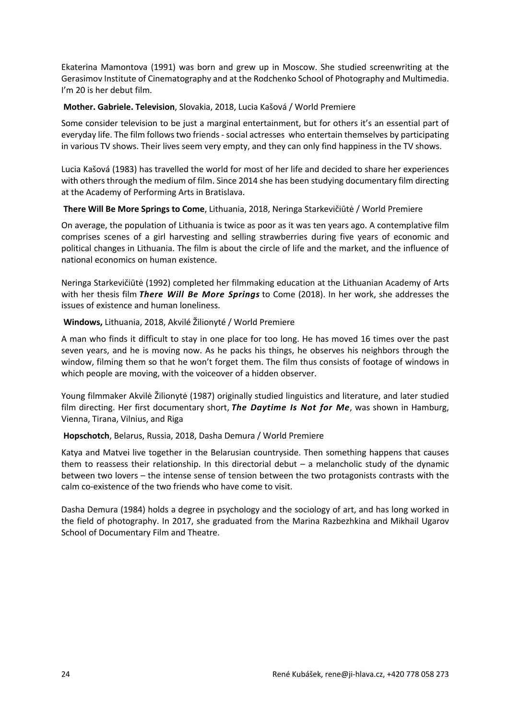Ekaterina Mamontova (1991) was born and grew up in Moscow. She studied screenwriting at the Gerasimov Institute of Cinematography and at the Rodchenko School of Photography and Multimedia. I'm 20 is her debut film.

#### **Mother. Gabriele. Television**, Slovakia, 2018, Lucia Kašová / World Premiere

Some consider television to be just a marginal entertainment, but for others it's an essential part of everyday life. The film follows two friends - social actresses who entertain themselves by participating in various TV shows. Their lives seem very empty, and they can only find happiness in the TV shows.

Lucia Kašová (1983) has travelled the world for most of her life and decided to share her experiences with others through the medium of film. Since 2014 she has been studying documentary film directing at the Academy of Performing Arts in Bratislava.

#### **There Will Be More Springs to Come**, Lithuania, 2018, Neringa Starkevičiūtė / World Premiere

On average, the population of Lithuania is twice as poor as it was ten years ago. A contemplative film comprises scenes of a girl harvesting and selling strawberries during five years of economic and political changes in Lithuania. The film is about the circle of life and the market, and the influence of national economics on human existence.

Neringa Starkevičiūtė (1992) completed her filmmaking education at the Lithuanian Academy of Arts with her thesis film *There Will Be More Springs* to Come (2018). In her work, she addresses the issues of existence and human loneliness.

#### **Windows,** Lithuania, 2018, Akvilé Žilionyté / World Premiere

A man who finds it difficult to stay in one place for too long. He has moved 16 times over the past seven years, and he is moving now. As he packs his things, he observes his neighbors through the window, filming them so that he won't forget them. The film thus consists of footage of windows in which people are moving, with the voiceover of a hidden observer.

Young filmmaker Akvilė Žilionytė (1987) originally studied linguistics and literature, and later studied film directing. Her first documentary short, *The Daytime Is Not for Me*, was shown in Hamburg, Vienna, Tirana, Vilnius, and Riga

## **Hopschotch**, Belarus, Russia, 2018, Dasha Demura / World Premiere

Katya and Matvei live together in the Belarusian countryside. Then something happens that causes them to reassess their relationship. In this directorial debut – a melancholic study of the dynamic between two lovers – the intense sense of tension between the two protagonists contrasts with the calm co-existence of the two friends who have come to visit.

Dasha Demura (1984) holds a degree in psychology and the sociology of art, and has long worked in the field of photography. In 2017, she graduated from the Marina Razbezhkina and Mikhail Ugarov School of Documentary Film and Theatre.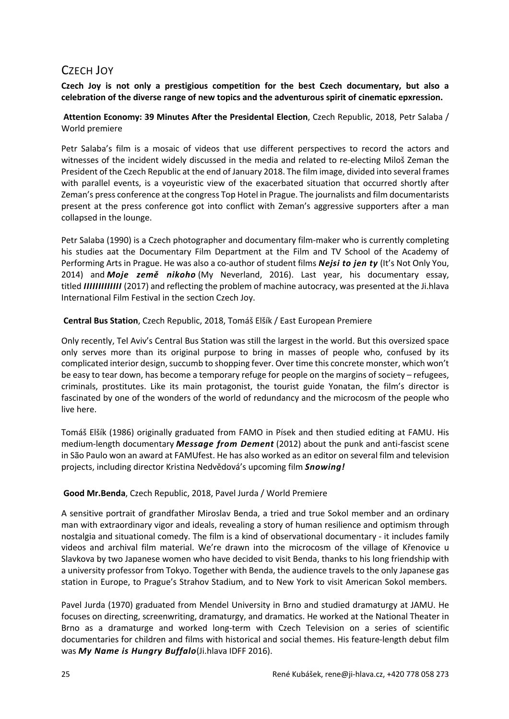# CZECH JOY

**Czech Joy is not only a prestigious competition for the best Czech documentary, but also a celebration of the diverse range of new topics and the adventurous spirit of cinematic epxression.**

**Attention Economy: 39 Minutes After the Presidental Election**, Czech Republic, 2018, Petr Salaba / World premiere

Petr Salaba's film is a mosaic of videos that use different perspectives to record the actors and witnesses of the incident widely discussed in the media and related to re-electing Miloš Zeman the President of the Czech Republic at the end of January 2018. The film image, divided into several frames with parallel events, is a voyeuristic view of the exacerbated situation that occurred shortly after Zeman's press conference at the congress Top Hotel in Prague. The journalists and film documentarists present at the press conference got into conflict with Zeman's aggressive supporters after a man collapsed in the lounge.

Petr Salaba (1990) is a Czech photographer and documentary film-maker who is currently completing his studies aat the Documentary Film Department at the Film and TV School of the Academy of Performing Arts in Prague. He was also a co-author of student films *Nejsi to jen ty* (It's Not Only You, 2014) and *Moje země nikoho* (My Neverland, 2016). Last year, his documentary essay, titled *IIIIIIIIIIIII* (2017) and reflecting the problem of machine autocracy, was presented at the Ji.hlava International Film Festival in the section Czech Joy.

**Central Bus Station**, Czech Republic, 2018, Tomáš Elšík / East European Premiere

Only recently, Tel Aviv's Central Bus Station was still the largest in the world. But this oversized space only serves more than its original purpose to bring in masses of people who, confused by its complicated interior design, succumb to shopping fever. Over time this concrete monster, which won't be easy to tear down, has become a temporary refuge for people on the margins of society – refugees, criminals, prostitutes. Like its main protagonist, the tourist guide Yonatan, the film's director is fascinated by one of the wonders of the world of redundancy and the microcosm of the people who live here.

Tomáš Elšík (1986) originally graduated from FAMO in Písek and then studied editing at FAMU. His medium-length documentary *Message from Dement* (2012) about the punk and anti-fascist scene in São Paulo won an award at FAMUfest. He has also worked as an editor on several film and television projects, including director Kristina Nedvědová's upcoming film *Snowing!*

## **Good Mr.Benda**, Czech Republic, 2018, Pavel Jurda / World Premiere

A sensitive portrait of grandfather Miroslav Benda, a tried and true Sokol member and an ordinary man with extraordinary vigor and ideals, revealing a story of human resilience and optimism through nostalgia and situational comedy. The film is a kind of observational documentary - it includes family videos and archival film material. We're drawn into the microcosm of the village of Křenovice u Slavkova by two Japanese women who have decided to visit Benda, thanks to his long friendship with a university professor from Tokyo. Together with Benda, the audience travels to the only Japanese gas station in Europe, to Prague's Strahov Stadium, and to New York to visit American Sokol members.

Pavel Jurda (1970) graduated from Mendel University in Brno and studied dramaturgy at JAMU. He focuses on directing, screenwriting, dramaturgy, and dramatics. He worked at the National Theater in Brno as a dramaturge and worked long-term with Czech Television on a series of scientific documentaries for children and films with historical and social themes. His feature-length debut film was *My Name is Hungry Buffalo*(Ji.hlava IDFF 2016).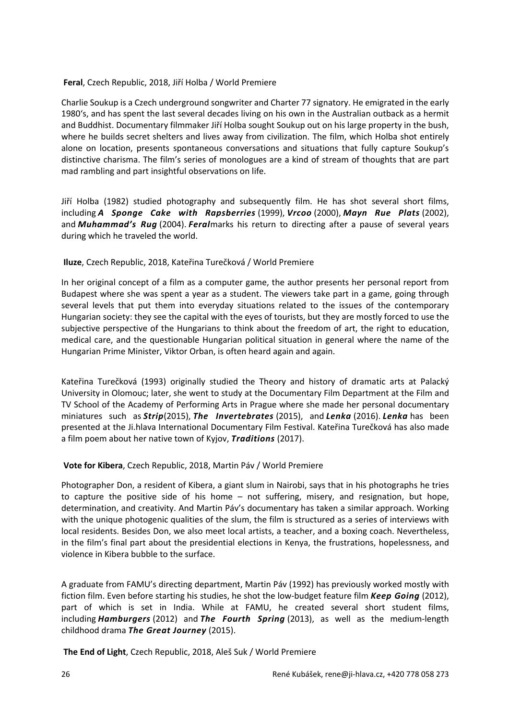#### **Feral**, Czech Republic, 2018, Jiří Holba / World Premiere

Charlie Soukup is a Czech underground songwriter and Charter 77 signatory. He emigrated in the early 1980's, and has spent the last several decades living on his own in the Australian outback as a hermit and Buddhist. Documentary filmmaker Jiří Holba sought Soukup out on his large property in the bush, where he builds secret shelters and lives away from civilization. The film, which Holba shot entirely alone on location, presents spontaneous conversations and situations that fully capture Soukup's distinctive charisma. The film's series of monologues are a kind of stream of thoughts that are part mad rambling and part insightful observations on life.

Jiří Holba (1982) studied photography and subsequently film. He has shot several short films, including *A Sponge Cake with Rapsberries* (1999), *Vrcoo* (2000), *Mayn Rue Plats* (2002), and *Muhammad's Rug* (2004). *Feral*marks his return to directing after a pause of several years during which he traveled the world.

#### **Iluze**, Czech Republic, 2018, Kateřina Turečková / World Premiere

In her original concept of a film as a computer game, the author presents her personal report from Budapest where she was spent a year as a student. The viewers take part in a game, going through several levels that put them into everyday situations related to the issues of the contemporary Hungarian society: they see the capital with the eyes of tourists, but they are mostly forced to use the subjective perspective of the Hungarians to think about the freedom of art, the right to education, medical care, and the questionable Hungarian political situation in general where the name of the Hungarian Prime Minister, Viktor Orban, is often heard again and again.

Kateřina Turečková (1993) originally studied the Theory and history of dramatic arts at Palacký University in Olomouc; later, she went to study at the Documentary Film Department at the Film and TV School of the Academy of Performing Arts in Prague where she made her personal documentary miniatures such as *Strip*(2015), *The Invertebrates* (2015), and *Lenka* (2016). *Lenka* has been presented at the Ji.hlava International Documentary Film Festival. Kateřina Turečková has also made a film poem about her native town of Kyjov, *Traditions* (2017).

## **Vote for Kibera**, Czech Republic, 2018, Martin Páv / World Premiere

Photographer Don, a resident of Kibera, a giant slum in Nairobi, says that in his photographs he tries to capture the positive side of his home – not suffering, misery, and resignation, but hope, determination, and creativity. And Martin Páv's documentary has taken a similar approach. Working with the unique photogenic qualities of the slum, the film is structured as a series of interviews with local residents. Besides Don, we also meet local artists, a teacher, and a boxing coach. Nevertheless, in the film's final part about the presidential elections in Kenya, the frustrations, hopelessness, and violence in Kibera bubble to the surface.

A graduate from FAMU's directing department, Martin Páv (1992) has previously worked mostly with fiction film. Even before starting his studies, he shot the low-budget feature film *Keep Going* (2012), part of which is set in India. While at FAMU, he created several short student films, including *Hamburgers* (2012) and *The Fourth Spring* (2013), as well as the medium-length childhood drama *The Great Journey* (2015).

**The End of Light**, Czech Republic, 2018, Aleš Suk / World Premiere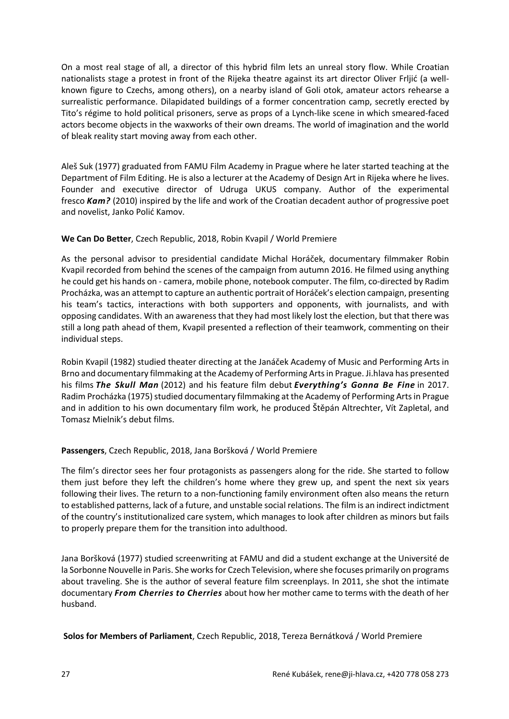On a most real stage of all, a director of this hybrid film lets an unreal story flow. While Croatian nationalists stage a protest in front of the Rijeka theatre against its art director Oliver Frljić (a wellknown figure to Czechs, among others), on a nearby island of Goli otok, amateur actors rehearse a surrealistic performance. Dilapidated buildings of a former concentration camp, secretly erected by Tito's régime to hold political prisoners, serve as props of a Lynch-like scene in which smeared-faced actors become objects in the waxworks of their own dreams. The world of imagination and the world of bleak reality start moving away from each other.

Aleš Suk (1977) graduated from FAMU Film Academy in Prague where he later started teaching at the Department of Film Editing. He is also a lecturer at the Academy of Design Art in Rijeka where he lives. Founder and executive director of Udruga UKUS company. Author of the experimental fresco *Kam?* (2010) inspired by the life and work of the Croatian decadent author of progressive poet and novelist, Janko Polić Kamov.

## **We Can Do Better**, Czech Republic, 2018, Robin Kvapil / World Premiere

As the personal advisor to presidential candidate Michal Horáček, documentary filmmaker Robin Kvapil recorded from behind the scenes of the campaign from autumn 2016. He filmed using anything he could get his hands on - camera, mobile phone, notebook computer. The film, co-directed by Radim Procházka, was an attempt to capture an authentic portrait of Horáček's election campaign, presenting his team's tactics, interactions with both supporters and opponents, with journalists, and with opposing candidates. With an awareness that they had most likely lost the election, but that there was still a long path ahead of them, Kvapil presented a reflection of their teamwork, commenting on their individual steps.

Robin Kvapil (1982) studied theater directing at the Janáček Academy of Music and Performing Arts in Brno and documentary filmmaking at the Academy of Performing Arts in Prague. Ji.hlava has presented his films *The Skull Man* (2012) and his feature film debut *Everything's Gonna Be Fine* in 2017. Radim Procházka (1975) studied documentary filmmaking at the Academy of Performing Arts in Prague and in addition to his own documentary film work, he produced Štěpán Altrechter, Vít Zapletal, and Tomasz Mielnik's debut films.

# **Passengers**, Czech Republic, 2018, Jana Boršková / World Premiere

The film's director sees her four protagonists as passengers along for the ride. She started to follow them just before they left the children's home where they grew up, and spent the next six years following their lives. The return to a non-functioning family environment often also means the return to established patterns, lack of a future, and unstable social relations. The film is an indirect indictment of the country's institutionalized care system, which manages to look after children as minors but fails to properly prepare them for the transition into adulthood.

Jana Boršková (1977) studied screenwriting at FAMU and did a student exchange at the Université de la Sorbonne Nouvelle in Paris. She works for Czech Television, where she focuses primarily on programs about traveling. She is the author of several feature film screenplays. In 2011, she shot the intimate documentary *From Cherries to Cherries* about how her mother came to terms with the death of her husband.

**Solos for Members of Parliament**, Czech Republic, 2018, Tereza Bernátková / World Premiere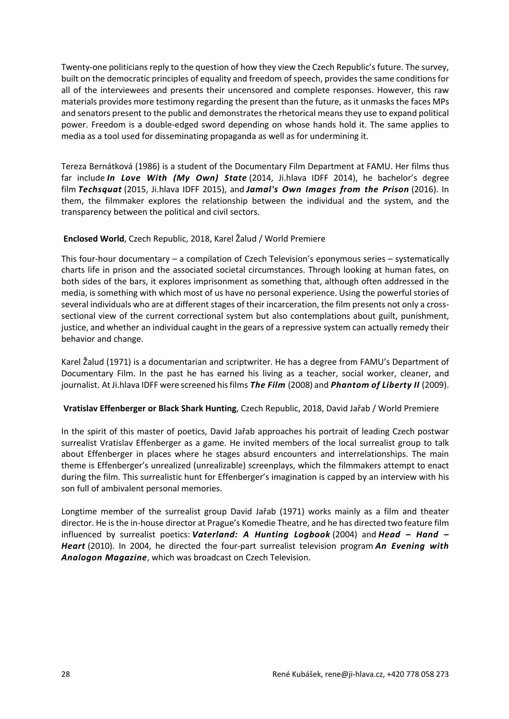Twenty-one politicians reply to the question of how they view the Czech Republic's future. The survey, built on the democratic principles of equality and freedom of speech, provides the same conditions for all of the interviewees and presents their uncensored and complete responses. However, this raw materials provides more testimony regarding the present than the future, as it unmasks the faces MPs and senators present to the public and demonstrates the rhetorical means they use to expand political power. Freedom is a double-edged sword depending on whose hands hold it. The same applies to media as a tool used for disseminating propaganda as well as for undermining it.

Tereza Bernátková (1986) is a student of the Documentary Film Department at FAMU. Her films thus far include *In Love With (My Own) State* (2014, Ji.hlava IDFF 2014), he bachelor's degree film *Techsquat* (2015, Ji.hlava IDFF 2015), and *Jamal's Own Images from the Prison* (2016). In them, the filmmaker explores the relationship between the individual and the system, and the transparency between the political and civil sectors.

## **Enclosed World**, Czech Republic, 2018, Karel Žalud / World Premiere

This four-hour documentary – a compilation of Czech Television's eponymous series – systematically charts life in prison and the associated societal circumstances. Through looking at human fates, on both sides of the bars, it explores imprisonment as something that, although often addressed in the media, is something with which most of us have no personal experience. Using the powerful stories of several individuals who are at different stages of their incarceration, the film presents not only a crosssectional view of the current correctional system but also contemplations about guilt, punishment, justice, and whether an individual caught in the gears of a repressive system can actually remedy their behavior and change.

Karel Žalud (1971) is a documentarian and scriptwriter. He has a degree from FAMU's Department of Documentary Film. In the past he has earned his living as a teacher, social worker, cleaner, and journalist. At Ji.hlava IDFF were screened his films *The Film* (2008) and *Phantom of Liberty II* (2009).

## **Vratislav Effenberger or Black Shark Hunting**, Czech Republic, 2018, David Jařab / World Premiere

In the spirit of this master of poetics, David Jařab approaches his portrait of leading Czech postwar surrealist Vratislav Effenberger as a game. He invited members of the local surrealist group to talk about Effenberger in places where he stages absurd encounters and interrelationships. The main theme is Effenberger's unrealized (unrealizable) screenplays, which the filmmakers attempt to enact during the film. This surrealistic hunt for Effenberger's imagination is capped by an interview with his son full of ambivalent personal memories.

Longtime member of the surrealist group David Jařab (1971) works mainly as a film and theater director. He is the in-house director at Prague's Komedie Theatre, and he has directed two feature film influenced by surrealist poetics: *Vaterland: A Hunting Logbook* (2004) and *Head – Hand – Heart* (2010). In 2004, he directed the four-part surrealist television program *An Evening with Analogon Magazine*, which was broadcast on Czech Television.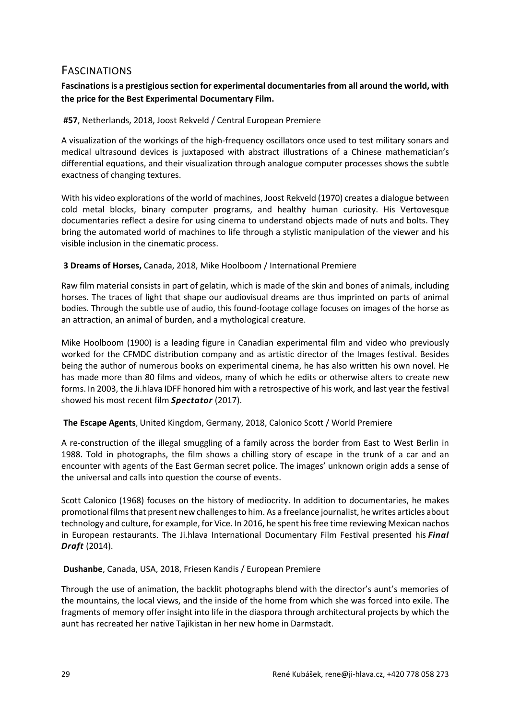# FASCINATIONS

# **Fascinations is a prestigious section for experimental documentaries from all around the world, with the price for the Best Experimental Documentary Film.**

## **#57**, Netherlands, 2018, Joost Rekveld / Central European Premiere

A visualization of the workings of the high-frequency oscillators once used to test military sonars and medical ultrasound devices is juxtaposed with abstract illustrations of a Chinese mathematician's differential equations, and their visualization through analogue computer processes shows the subtle exactness of changing textures.

With his video explorations of the world of machines, Joost Rekveld (1970) creates a dialogue between cold metal blocks, binary computer programs, and healthy human curiosity. His Vertovesque documentaries reflect a desire for using cinema to understand objects made of nuts and bolts. They bring the automated world of machines to life through a stylistic manipulation of the viewer and his visible inclusion in the cinematic process.

## **3 Dreams of Horses,** Canada, 2018, Mike Hoolboom / International Premiere

Raw film material consists in part of gelatin, which is made of the skin and bones of animals, including horses. The traces of light that shape our audiovisual dreams are thus imprinted on parts of animal bodies. Through the subtle use of audio, this found-footage collage focuses on images of the horse as an attraction, an animal of burden, and a mythological creature.

Mike Hoolboom (1900) is a leading figure in Canadian experimental film and video who previously worked for the CFMDC distribution company and as artistic director of the Images festival. Besides being the author of numerous books on experimental cinema, he has also written his own novel. He has made more than 80 films and videos, many of which he edits or otherwise alters to create new forms. In 2003, the Ji.hlava IDFF honored him with a retrospective of his work, and last year the festival showed his most recent film *Spectator* (2017).

# **The Escape Agents**, United Kingdom, Germany, 2018, Calonico Scott / World Premiere

A re-construction of the illegal smuggling of a family across the border from East to West Berlin in 1988. Told in photographs, the film shows a chilling story of escape in the trunk of a car and an encounter with agents of the East German secret police. The images' unknown origin adds a sense of the universal and calls into question the course of events.

Scott Calonico (1968) focuses on the history of mediocrity. In addition to documentaries, he makes promotional films that present new challenges to him. As a freelance journalist, he writes articles about technology and culture, for example, for Vice. In 2016, he spent his free time reviewing Mexican nachos in European restaurants. The Ji.hlava International Documentary Film Festival presented his *Final Draft* (2014).

## **Dushanbe**, Canada, USA, 2018, Friesen Kandis / European Premiere

Through the use of animation, the backlit photographs blend with the director's aunt's memories of the mountains, the local views, and the inside of the home from which she was forced into exile. The fragments of memory offer insight into life in the diaspora through architectural projects by which the aunt has recreated her native Tajikistan in her new home in Darmstadt.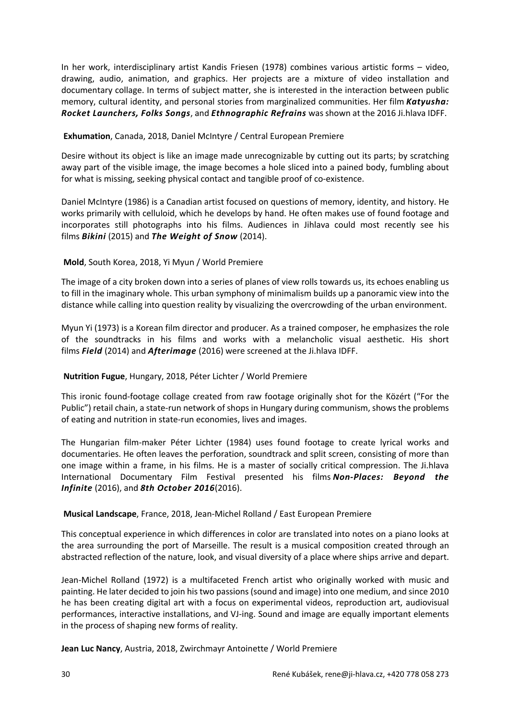In her work, interdisciplinary artist Kandis Friesen (1978) combines various artistic forms – video, drawing, audio, animation, and graphics. Her projects are a mixture of video installation and documentary collage. In terms of subject matter, she is interested in the interaction between public memory, cultural identity, and personal stories from marginalized communities. Her film *Katyusha: Rocket Launchers, Folks Songs*, and *Ethnographic Refrains* was shown at the 2016 Ji.hlava IDFF.

#### **Exhumation**, Canada, 2018, Daniel McIntyre / Central European Premiere

Desire without its object is like an image made unrecognizable by cutting out its parts; by scratching away part of the visible image, the image becomes a hole sliced into a pained body, fumbling about for what is missing, seeking physical contact and tangible proof of co-existence.

Daniel McIntyre (1986) is a Canadian artist focused on questions of memory, identity, and history. He works primarily with celluloid, which he develops by hand. He often makes use of found footage and incorporates still photographs into his films. Audiences in Jihlava could most recently see his films *Bikini* (2015) and *The Weight of Snow* (2014).

## **Mold**, South Korea, 2018, Yi Myun / World Premiere

The image of a city broken down into a series of planes of view rolls towards us, its echoes enabling us to fill in the imaginary whole. This urban symphony of minimalism builds up a panoramic view into the distance while calling into question reality by visualizing the overcrowding of the urban environment.

Myun Yi (1973) is a Korean film director and producer. As a trained composer, he emphasizes the role of the soundtracks in his films and works with a melancholic visual aesthetic. His short films *Field* (2014) and *Afterimage* (2016) were screened at the Ji.hlava IDFF.

## **Nutrition Fugue**, Hungary, 2018, Péter Lichter / World Premiere

This ironic found-footage collage created from raw footage originally shot for the Közért ("For the Public") retail chain, a state-run network of shops in Hungary during communism, shows the problems of eating and nutrition in state-run economies, lives and images.

The Hungarian film-maker Péter Lichter (1984) uses found footage to create lyrical works and documentaries. He often leaves the perforation, soundtrack and split screen, consisting of more than one image within a frame, in his films. He is a master of socially critical compression. The Ji.hlava International Documentary Film Festival presented his films *Non-Places: Beyond the Infinite* (2016), and *8th October 2016*(2016).

#### **Musical Landscape**, France, 2018, Jean-Michel Rolland / East European Premiere

This conceptual experience in which differences in color are translated into notes on a piano looks at the area surrounding the port of Marseille. The result is a musical composition created through an abstracted reflection of the nature, look, and visual diversity of a place where ships arrive and depart.

Jean-Michel Rolland (1972) is a multifaceted French artist who originally worked with music and painting. He later decided to join his two passions (sound and image) into one medium, and since 2010 he has been creating digital art with a focus on experimental videos, reproduction art, audiovisual performances, interactive installations, and VJ-ing. Sound and image are equally important elements in the process of shaping new forms of reality.

**Jean Luc Nancy**, Austria, 2018, Zwirchmayr Antoinette / World Premiere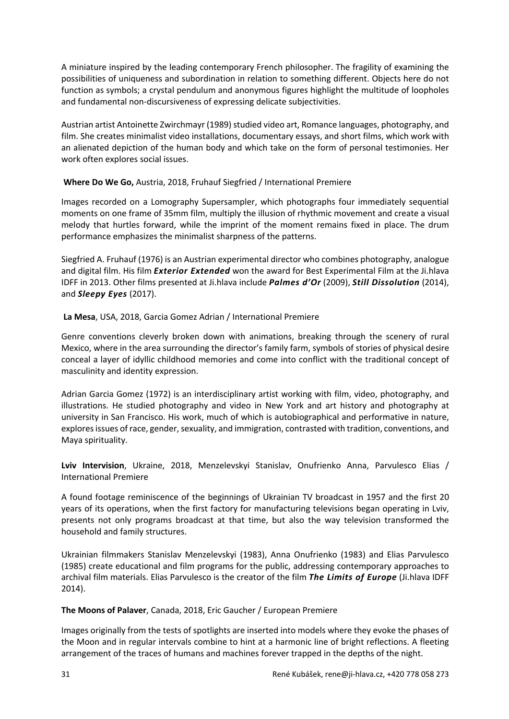A miniature inspired by the leading contemporary French philosopher. The fragility of examining the possibilities of uniqueness and subordination in relation to something different. Objects here do not function as symbols; a crystal pendulum and anonymous figures highlight the multitude of loopholes and fundamental non-discursiveness of expressing delicate subjectivities.

Austrian artist Antoinette Zwirchmayr (1989) studied video art, Romance languages, photography, and film. She creates minimalist video installations, documentary essays, and short films, which work with an alienated depiction of the human body and which take on the form of personal testimonies. Her work often explores social issues.

## **Where Do We Go,** Austria, 2018, Fruhauf Siegfried / International Premiere

Images recorded on a Lomography Supersampler, which photographs four immediately sequential moments on one frame of 35mm film, multiply the illusion of rhythmic movement and create a visual melody that hurtles forward, while the imprint of the moment remains fixed in place. The drum performance emphasizes the minimalist sharpness of the patterns.

Siegfried A. Fruhauf (1976) is an Austrian experimental director who combines photography, analogue and digital film. His film *Exterior Extended* won the award for Best Experimental Film at the Ji.hlava IDFF in 2013. Other films presented at Ji.hlava include *Palmes d'Or* (2009), *Still Dissolution* (2014), and *Sleepy Eyes* (2017).

## **La Mesa**, USA, 2018, Garcia Gomez Adrian / International Premiere

Genre conventions cleverly broken down with animations, breaking through the scenery of rural Mexico, where in the area surrounding the director's family farm, symbols of stories of physical desire conceal a layer of idyllic childhood memories and come into conflict with the traditional concept of masculinity and identity expression.

Adrian Garcia Gomez (1972) is an interdisciplinary artist working with film, video, photography, and illustrations. He studied photography and video in New York and art history and photography at university in San Francisco. His work, much of which is autobiographical and performative in nature, explores issues of race, gender, sexuality, and immigration, contrasted with tradition, conventions, and Maya spirituality.

**Lviv Intervision**, Ukraine, 2018, Menzelevskyi Stanislav, Onufrienko Anna, Parvulesco Elias / International Premiere

A found footage reminiscence of the beginnings of Ukrainian TV broadcast in 1957 and the first 20 years of its operations, when the first factory for manufacturing televisions began operating in Lviv, presents not only programs broadcast at that time, but also the way television transformed the household and family structures.

Ukrainian filmmakers Stanislav Menzelevskyi (1983), Anna Onufrienko (1983) and Elias Parvulesco (1985) create educational and film programs for the public, addressing contemporary approaches to archival film materials. Elias Parvulesco is the creator of the film *The Limits of Europe* (Ji.hlava IDFF 2014).

**The Moons of Palaver**, Canada, 2018, Eric Gaucher / European Premiere

Images originally from the tests of spotlights are inserted into models where they evoke the phases of the Moon and in regular intervals combine to hint at a harmonic line of bright reflections. A fleeting arrangement of the traces of humans and machines forever trapped in the depths of the night.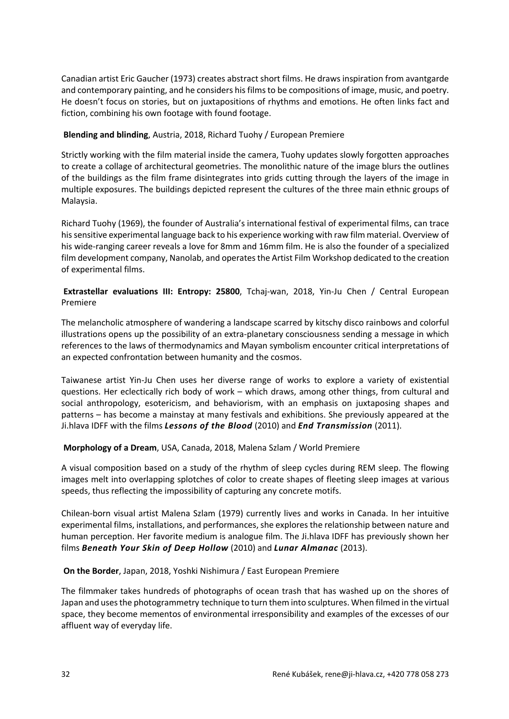Canadian artist Eric Gaucher (1973) creates abstract short films. He draws inspiration from avantgarde and contemporary painting, and he considers his films to be compositions of image, music, and poetry. He doesn't focus on stories, but on juxtapositions of rhythms and emotions. He often links fact and fiction, combining his own footage with found footage.

#### **Blending and blinding**, Austria, 2018, Richard Tuohy / European Premiere

Strictly working with the film material inside the camera, Tuohy updates slowly forgotten approaches to create a collage of architectural geometries. The monolithic nature of the image blurs the outlines of the buildings as the film frame disintegrates into grids cutting through the layers of the image in multiple exposures. The buildings depicted represent the cultures of the three main ethnic groups of Malaysia.

Richard Tuohy (1969), the founder of Australia's international festival of experimental films, can trace his sensitive experimental language back to his experience working with raw film material. Overview of his wide-ranging career reveals a love for 8mm and 16mm film. He is also the founder of a specialized film development company, Nanolab, and operates the Artist Film Workshop dedicated to the creation of experimental films.

## **Extrastellar evaluations III: Entropy: 25800**, Tchaj-wan, 2018, Yin-Ju Chen / Central European Premiere

The melancholic atmosphere of wandering a landscape scarred by kitschy disco rainbows and colorful illustrations opens up the possibility of an extra-planetary consciousness sending a message in which references to the laws of thermodynamics and Mayan symbolism encounter critical interpretations of an expected confrontation between humanity and the cosmos.

Taiwanese artist Yin-Ju Chen uses her diverse range of works to explore a variety of existential questions. Her eclectically rich body of work – which draws, among other things, from cultural and social anthropology, esotericism, and behaviorism, with an emphasis on juxtaposing shapes and patterns – has become a mainstay at many festivals and exhibitions. She previously appeared at the Ji.hlava IDFF with the films *Lessons of the Blood* (2010) and *End Transmission* (2011).

## **Morphology of a Dream**, USA, Canada, 2018, Malena Szlam / World Premiere

A visual composition based on a study of the rhythm of sleep cycles during REM sleep. The flowing images melt into overlapping splotches of color to create shapes of fleeting sleep images at various speeds, thus reflecting the impossibility of capturing any concrete motifs.

Chilean-born visual artist Malena Szlam (1979) currently lives and works in Canada. In her intuitive experimental films, installations, and performances, she explores the relationship between nature and human perception. Her favorite medium is analogue film. The Ji.hlava IDFF has previously shown her films *Beneath Your Skin of Deep Hollow* (2010) and *Lunar Almanac* (2013).

#### **On the Border**, Japan, 2018, Yoshki Nishimura / East European Premiere

The filmmaker takes hundreds of photographs of ocean trash that has washed up on the shores of Japan and uses the photogrammetry technique to turn them into sculptures. When filmed in the virtual space, they become mementos of environmental irresponsibility and examples of the excesses of our affluent way of everyday life.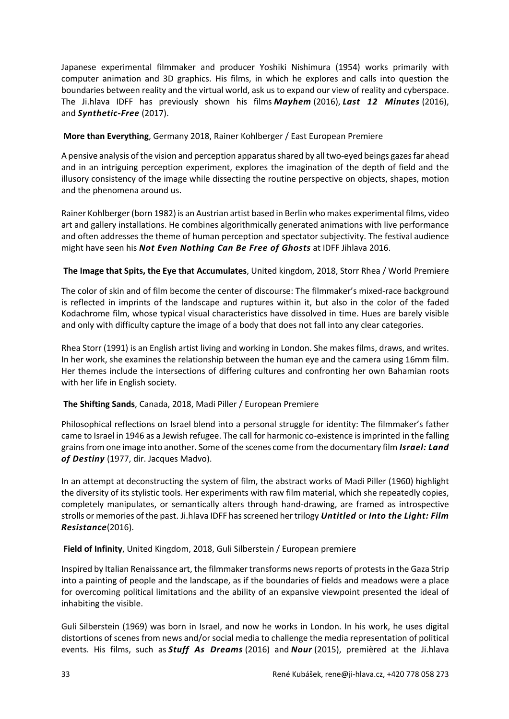Japanese experimental filmmaker and producer Yoshiki Nishimura (1954) works primarily with computer animation and 3D graphics. His films, in which he explores and calls into question the boundaries between reality and the virtual world, ask us to expand our view of reality and cyberspace. The Ji.hlava IDFF has previously shown his films *Mayhem* (2016), *Last 12 Minutes* (2016), and *Synthetic-Free* (2017).

## **More than Everything**, Germany 2018, Rainer Kohlberger / East European Premiere

A pensive analysis of the vision and perception apparatus shared by all two-eyed beings gazes far ahead and in an intriguing perception experiment, explores the imagination of the depth of field and the illusory consistency of the image while dissecting the routine perspective on objects, shapes, motion and the phenomena around us.

Rainer Kohlberger (born 1982) is an Austrian artist based in Berlin who makes experimental films, video art and gallery installations. He combines algorithmically generated animations with live performance and often addresses the theme of human perception and spectator subjectivity. The festival audience might have seen his *Not Even Nothing Can Be Free of Ghosts* at IDFF Jihlava 2016.

#### **The Image that Spits, the Eye that Accumulates**, United kingdom, 2018, Storr Rhea / World Premiere

The color of skin and of film become the center of discourse: The filmmaker's mixed-race background is reflected in imprints of the landscape and ruptures within it, but also in the color of the faded Kodachrome film, whose typical visual characteristics have dissolved in time. Hues are barely visible and only with difficulty capture the image of a body that does not fall into any clear categories.

Rhea Storr (1991) is an English artist living and working in London. She makes films, draws, and writes. In her work, she examines the relationship between the human eye and the camera using 16mm film. Her themes include the intersections of differing cultures and confronting her own Bahamian roots with her life in English society.

## **The Shifting Sands**, Canada, 2018, Madi Piller / European Premiere

Philosophical reflections on Israel blend into a personal struggle for identity: The filmmaker's father came to Israel in 1946 as a Jewish refugee. The call for harmonic co-existence is imprinted in the falling grains from one image into another. Some of the scenes come from the documentary film *Israel: Land of Destiny* (1977, dir. Jacques Madvo).

In an attempt at deconstructing the system of film, the abstract works of Madi Piller (1960) highlight the diversity of its stylistic tools. Her experiments with raw film material, which she repeatedly copies, completely manipulates, or semantically alters through hand-drawing, are framed as introspective strolls or memories of the past. Ji.hlava IDFF has screened her trilogy *Untitled* or *Into the Light: Film Resistance*(2016).

#### **Field of Infinity**, United Kingdom, 2018, Guli Silberstein / European premiere

Inspired by Italian Renaissance art, the filmmaker transforms news reports of protests in the Gaza Strip into a painting of people and the landscape, as if the boundaries of fields and meadows were a place for overcoming political limitations and the ability of an expansive viewpoint presented the ideal of inhabiting the visible.

Guli Silberstein (1969) was born in Israel, and now he works in London. In his work, he uses digital distortions of scenes from news and/or social media to challenge the media representation of political events. His films, such as *Stuff As Dreams* (2016) and *Nour* (2015), premièred at the Ji.hlava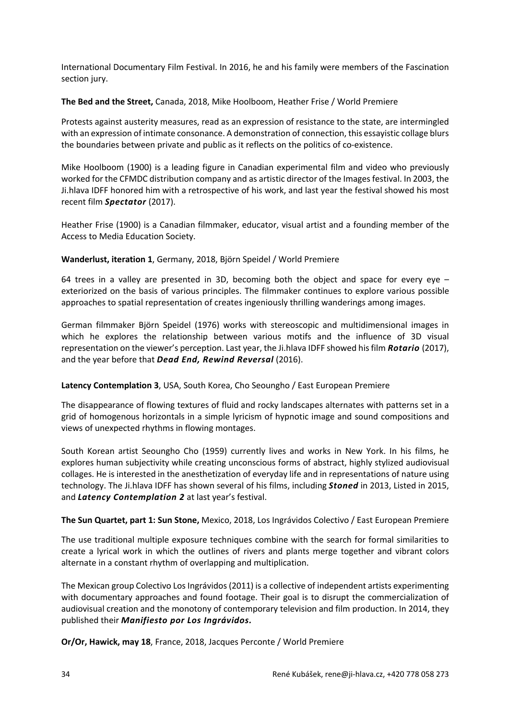International Documentary Film Festival. In 2016, he and his family were members of the Fascination section jury.

**The Bed and the Street,** Canada, 2018, Mike Hoolboom, Heather Frise / World Premiere

Protests against austerity measures, read as an expression of resistance to the state, are intermingled with an expression of intimate consonance. A demonstration of connection, this essayistic collage blurs the boundaries between private and public as it reflects on the politics of co-existence.

Mike Hoolboom (1900) is a leading figure in Canadian experimental film and video who previously worked for the CFMDC distribution company and as artistic director of the Images festival. In 2003, the Ji.hlava IDFF honored him with a retrospective of his work, and last year the festival showed his most recent film *Spectator* (2017).

Heather Frise (1900) is a Canadian filmmaker, educator, visual artist and a founding member of the Access to Media Education Society.

## **Wanderlust, iteration 1**, Germany, 2018, Björn Speidel / World Premiere

64 trees in a valley are presented in 3D, becoming both the object and space for every eye  $$ exteriorized on the basis of various principles. The filmmaker continues to explore various possible approaches to spatial representation of creates ingeniously thrilling wanderings among images.

German filmmaker Björn Speidel (1976) works with stereoscopic and multidimensional images in which he explores the relationship between various motifs and the influence of 3D visual representation on the viewer's perception. Last year, the Ji.hlava IDFF showed his film *Rotario* (2017), and the year before that *Dead End, Rewind Reversal* (2016).

## **Latency Contemplation 3**, USA, South Korea, Cho Seoungho / East European Premiere

The disappearance of flowing textures of fluid and rocky landscapes alternates with patterns set in a grid of homogenous horizontals in a simple lyricism of hypnotic image and sound compositions and views of unexpected rhythms in flowing montages.

South Korean artist Seoungho Cho (1959) currently lives and works in New York. In his films, he explores human subjectivity while creating unconscious forms of abstract, highly stylized audiovisual collages. He is interested in the anesthetization of everyday life and in representations of nature using technology. The Ji.hlava IDFF has shown several of his films, including *Stoned* in 2013, Listed in 2015, and *Latency Contemplation 2* at last year's festival.

## **The Sun Quartet, part 1: Sun Stone,** Mexico, 2018, Los Ingrávidos Colectivo / East European Premiere

The use traditional multiple exposure techniques combine with the search for formal similarities to create a lyrical work in which the outlines of rivers and plants merge together and vibrant colors alternate in a constant rhythm of overlapping and multiplication.

The Mexican group Colectivo Los Ingrávidos (2011) is a collective of independent artists experimenting with documentary approaches and found footage. Their goal is to disrupt the commercialization of audiovisual creation and the monotony of contemporary television and film production. In 2014, they published their *Manifiesto por Los Ingrávidos.*

**Or/Or, Hawick, may 18**, France, 2018, Jacques Perconte / World Premiere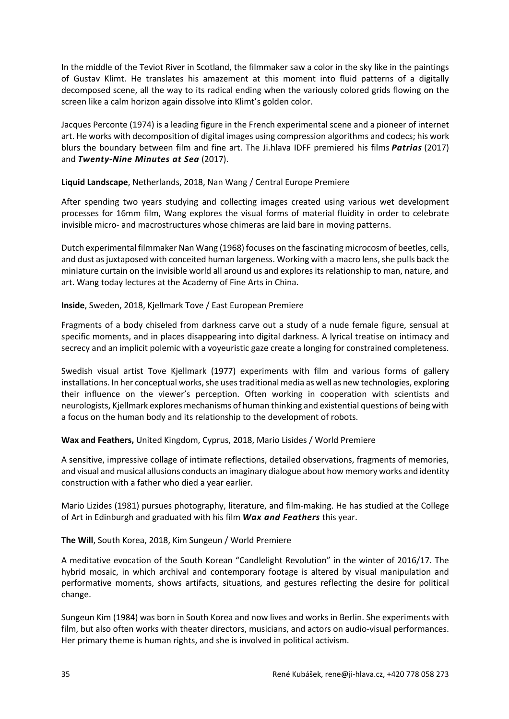In the middle of the Teviot River in Scotland, the filmmaker saw a color in the sky like in the paintings of Gustav Klimt. He translates his amazement at this moment into fluid patterns of a digitally decomposed scene, all the way to its radical ending when the variously colored grids flowing on the screen like a calm horizon again dissolve into Klimt's golden color.

Jacques Perconte (1974) is a leading figure in the French experimental scene and a pioneer of internet art. He works with decomposition of digital images using compression algorithms and codecs; his work blurs the boundary between film and fine art. The Ji.hlava IDFF premiered his films *Patrias* (2017) and *Twenty-Nine Minutes at Sea* (2017).

## **Liquid Landscape**, Netherlands, 2018, Nan Wang / Central Europe Premiere

After spending two years studying and collecting images created using various wet development processes for 16mm film, Wang explores the visual forms of material fluidity in order to celebrate invisible micro- and macrostructures whose chimeras are laid bare in moving patterns.

Dutch experimental filmmaker Nan Wang (1968) focuses on the fascinating microcosm of beetles, cells, and dust as juxtaposed with conceited human largeness. Working with a macro lens, she pulls back the miniature curtain on the invisible world all around us and explores its relationship to man, nature, and art. Wang today lectures at the Academy of Fine Arts in China.

#### **Inside**, Sweden, 2018, Kjellmark Tove / East European Premiere

Fragments of a body chiseled from darkness carve out a study of a nude female figure, sensual at specific moments, and in places disappearing into digital darkness. A lyrical treatise on intimacy and secrecy and an implicit polemic with a voyeuristic gaze create a longing for constrained completeness.

Swedish visual artist Tove Kjellmark (1977) experiments with film and various forms of gallery installations. In her conceptual works, she uses traditional media as well as new technologies, exploring their influence on the viewer's perception. Often working in cooperation with scientists and neurologists, Kjellmark explores mechanisms of human thinking and existential questions of being with a focus on the human body and its relationship to the development of robots.

## **Wax and Feathers,** United Kingdom, Cyprus, 2018, Mario Lisides / World Premiere

A sensitive, impressive collage of intimate reflections, detailed observations, fragments of memories, and visual and musical allusions conducts an imaginary dialogue about how memory works and identity construction with a father who died a year earlier.

Mario Lizides (1981) pursues photography, literature, and film-making. He has studied at the College of Art in Edinburgh and graduated with his film *Wax and Feathers* this year.

#### **The Will**, South Korea, 2018, Kim Sungeun / World Premiere

A meditative evocation of the South Korean "Candlelight Revolution" in the winter of 2016/17. The hybrid mosaic, in which archival and contemporary footage is altered by visual manipulation and performative moments, shows artifacts, situations, and gestures reflecting the desire for political change.

Sungeun Kim (1984) was born in South Korea and now lives and works in Berlin. She experiments with film, but also often works with theater directors, musicians, and actors on audio-visual performances. Her primary theme is human rights, and she is involved in political activism.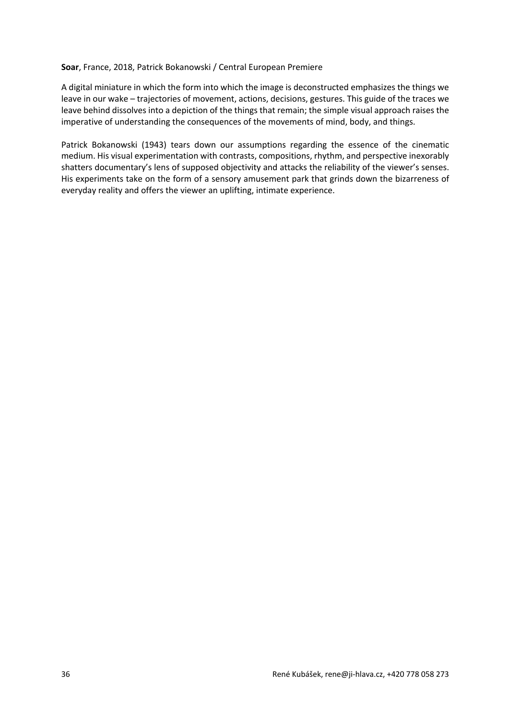#### **Soar**, France, 2018, Patrick Bokanowski / Central European Premiere

A digital miniature in which the form into which the image is deconstructed emphasizes the things we leave in our wake – trajectories of movement, actions, decisions, gestures. This guide of the traces we leave behind dissolves into a depiction of the things that remain; the simple visual approach raises the imperative of understanding the consequences of the movements of mind, body, and things.

Patrick Bokanowski (1943) tears down our assumptions regarding the essence of the cinematic medium. His visual experimentation with contrasts, compositions, rhythm, and perspective inexorably shatters documentary's lens of supposed objectivity and attacks the reliability of the viewer's senses. His experiments take on the form of a sensory amusement park that grinds down the bizarreness of everyday reality and offers the viewer an uplifting, intimate experience.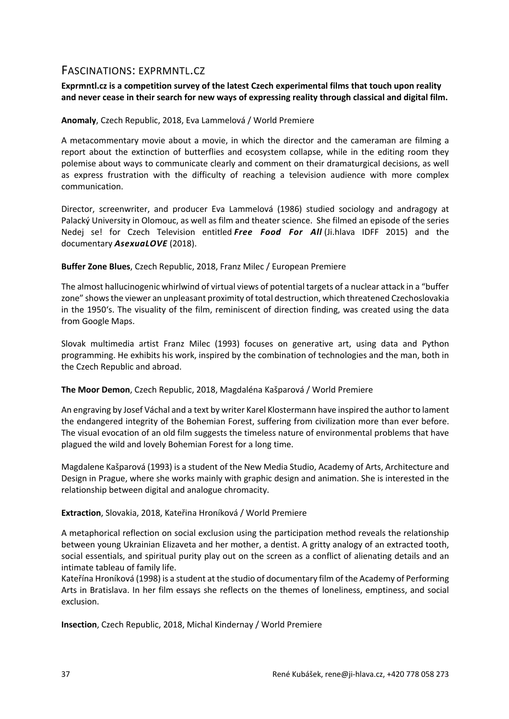# FASCINATIONS: EXPRMNTL.CZ

## **Exprmntl.cz is a competition survey of the latest Czech experimental films that touch upon reality and never cease in their search for new ways of expressing reality through classical and digital film.**

## **Anomaly**, Czech Republic, 2018, Eva Lammelová / World Premiere

A metacommentary movie about a movie, in which the director and the cameraman are filming a report about the extinction of butterflies and ecosystem collapse, while in the editing room they polemise about ways to communicate clearly and comment on their dramaturgical decisions, as well as express frustration with the difficulty of reaching a television audience with more complex communication.

Director, screenwriter, and producer Eva Lammelová (1986) studied sociology and andragogy at Palacký University in Olomouc, as well as film and theater science. She filmed an episode of the series Nedej se! for Czech Television entitled *Free Food For All* (Ji.hlava IDFF 2015) and the documentary *AsexuaLOVE* (2018).

## **Buffer Zone Blues**, Czech Republic, 2018, Franz Milec / European Premiere

The almost hallucinogenic whirlwind of virtual views of potential targets of a nuclear attack in a "buffer zone" shows the viewer an unpleasant proximity of total destruction, which threatened Czechoslovakia in the 1950's. The visuality of the film, reminiscent of direction finding, was created using the data from Google Maps.

Slovak multimedia artist Franz Milec (1993) focuses on generative art, using data and Python programming. He exhibits his work, inspired by the combination of technologies and the man, both in the Czech Republic and abroad.

#### **The Moor Demon**, Czech Republic, 2018, Magdaléna Kašparová / World Premiere

An engraving by Josef Váchal and a text by writer Karel Klostermann have inspired the author to lament the endangered integrity of the Bohemian Forest, suffering from civilization more than ever before. The visual evocation of an old film suggests the timeless nature of environmental problems that have plagued the wild and lovely Bohemian Forest for a long time.

Magdalene Kašparová (1993) is a student of the New Media Studio, Academy of Arts, Architecture and Design in Prague, where she works mainly with graphic design and animation. She is interested in the relationship between digital and analogue chromacity.

#### **Extraction**, Slovakia, 2018, Kateřina Hroníková / World Premiere

A metaphorical reflection on social exclusion using the participation method reveals the relationship between young Ukrainian Elizaveta and her mother, a dentist. A gritty analogy of an extracted tooth, social essentials, and spiritual purity play out on the screen as a conflict of alienating details and an intimate tableau of family life.

Kateřína Hroníková (1998) is a student at the studio of documentary film of the Academy of Performing Arts in Bratislava. In her film essays she reflects on the themes of loneliness, emptiness, and social exclusion.

**Insection**, Czech Republic, 2018, Michal Kindernay / World Premiere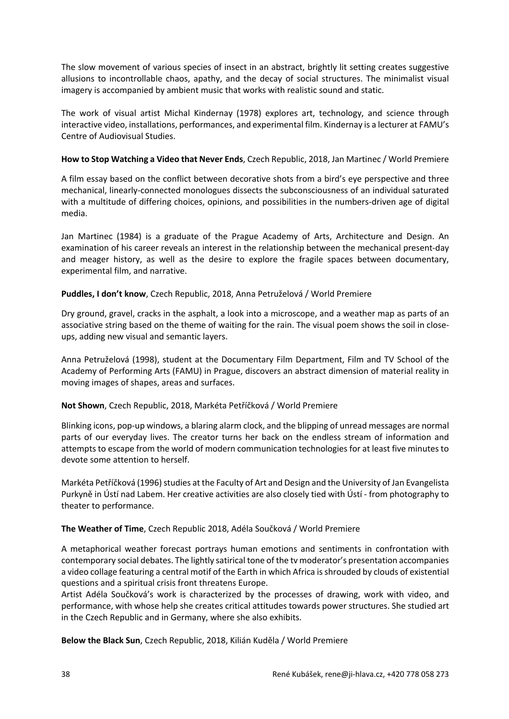The slow movement of various species of insect in an abstract, brightly lit setting creates suggestive allusions to incontrollable chaos, apathy, and the decay of social structures. The minimalist visual imagery is accompanied by ambient music that works with realistic sound and static.

The work of visual artist Michal Kindernay (1978) explores art, technology, and science through interactive video, installations, performances, and experimental film. Kindernay is a lecturer at FAMU's Centre of Audiovisual Studies.

## **How to Stop Watching a Video that Never Ends**, Czech Republic, 2018, Jan Martinec / World Premiere

A film essay based on the conflict between decorative shots from a bird's eye perspective and three mechanical, linearly-connected monologues dissects the subconsciousness of an individual saturated with a multitude of differing choices, opinions, and possibilities in the numbers-driven age of digital media.

Jan Martinec (1984) is a graduate of the Prague Academy of Arts, Architecture and Design. An examination of his career reveals an interest in the relationship between the mechanical present-day and meager history, as well as the desire to explore the fragile spaces between documentary, experimental film, and narrative.

## **Puddles, I don't know**, Czech Republic, 2018, Anna Petruželová / World Premiere

Dry ground, gravel, cracks in the asphalt, a look into a microscope, and a weather map as parts of an associative string based on the theme of waiting for the rain. The visual poem shows the soil in closeups, adding new visual and semantic layers.

Anna Petruželová (1998), student at the Documentary Film Department, Film and TV School of the Academy of Performing Arts (FAMU) in Prague, discovers an abstract dimension of material reality in moving images of shapes, areas and surfaces.

#### **Not Shown**, Czech Republic, 2018, Markéta Petříčková / World Premiere

Blinking icons, pop-up windows, a blaring alarm clock, and the blipping of unread messages are normal parts of our everyday lives. The creator turns her back on the endless stream of information and attempts to escape from the world of modern communication technologies for at least five minutes to devote some attention to herself.

Markéta Petříčková (1996) studies at the Faculty of Art and Design and the University of Jan Evangelista Purkyně in Ústí nad Labem. Her creative activities are also closely tied with Ústí - from photography to theater to performance.

#### **The Weather of Time**, Czech Republic 2018, Adéla Součková / World Premiere

A metaphorical weather forecast portrays human emotions and sentiments in confrontation with contemporary social debates. The lightly satirical tone of the tv moderator's presentation accompanies a video collage featuring a central motif of the Earth in which Africa is shrouded by clouds of existential questions and a spiritual crisis front threatens Europe.

Artist Adéla Součková's work is characterized by the processes of drawing, work with video, and performance, with whose help she creates critical attitudes towards power structures. She studied art in the Czech Republic and in Germany, where she also exhibits.

**Below the Black Sun**, Czech Republic, 2018, Kilián Kuděla / World Premiere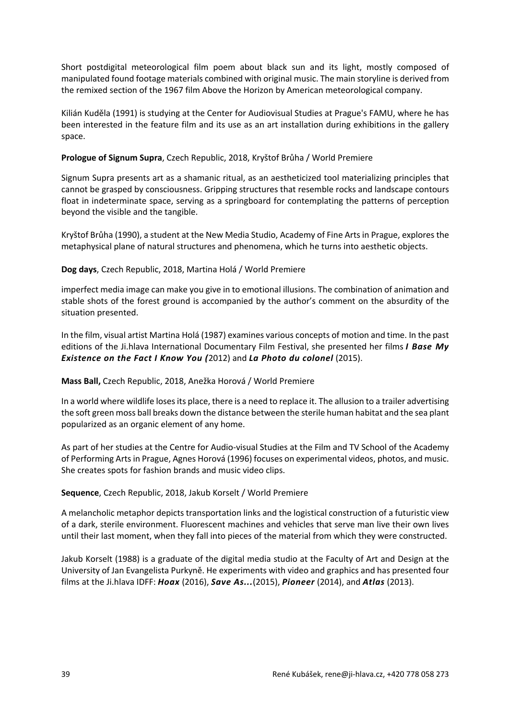Short postdigital meteorological film poem about black sun and its light, mostly composed of manipulated found footage materials combined with original music. The main storyline is derived from the remixed section of the 1967 film Above the Horizon by American meteorological company.

Kilián Kuděla (1991) is studying at the Center for Audiovisual Studies at Prague's FAMU, where he has been interested in the feature film and its use as an art installation during exhibitions in the gallery space.

## **Prologue of Signum Supra**, Czech Republic, 2018, Kryštof Brůha / World Premiere

Signum Supra presents art as a shamanic ritual, as an aestheticized tool materializing principles that cannot be grasped by consciousness. Gripping structures that resemble rocks and landscape contours float in indeterminate space, serving as a springboard for contemplating the patterns of perception beyond the visible and the tangible.

Kryštof Brůha (1990), a student at the New Media Studio, Academy of Fine Arts in Prague, explores the metaphysical plane of natural structures and phenomena, which he turns into aesthetic objects.

## **Dog days**, Czech Republic, 2018, Martina Holá / World Premiere

imperfect media image can make you give in to emotional illusions. The combination of animation and stable shots of the forest ground is accompanied by the author's comment on the absurdity of the situation presented.

In the film, visual artist Martina Holá (1987) examines various concepts of motion and time. In the past editions of the Ji.hlava International Documentary Film Festival, she presented her films *I Base My Existence on the Fact I Know You (*2012) and *La Photo du colonel* (2015).

## **Mass Ball,** Czech Republic, 2018, Anežka Horová / World Premiere

In a world where wildlife loses its place, there is a need to replace it. The allusion to a trailer advertising the soft green moss ball breaks down the distance between the sterile human habitat and the sea plant popularized as an organic element of any home.

As part of her studies at the Centre for Audio-visual Studies at the Film and TV School of the Academy of Performing Arts in Prague, Agnes Horová (1996) focuses on experimental videos, photos, and music. She creates spots for fashion brands and music video clips.

#### **Sequence**, Czech Republic, 2018, Jakub Korselt / World Premiere

A melancholic metaphor depicts transportation links and the logistical construction of a futuristic view of a dark, sterile environment. Fluorescent machines and vehicles that serve man live their own lives until their last moment, when they fall into pieces of the material from which they were constructed.

Jakub Korselt (1988) is a graduate of the digital media studio at the Faculty of Art and Design at the University of Jan Evangelista Purkyně. He experiments with video and graphics and has presented four films at the Ji.hlava IDFF: *Hoax* (2016), *Save As...*(2015), *Pioneer* (2014), and *Atlas* (2013).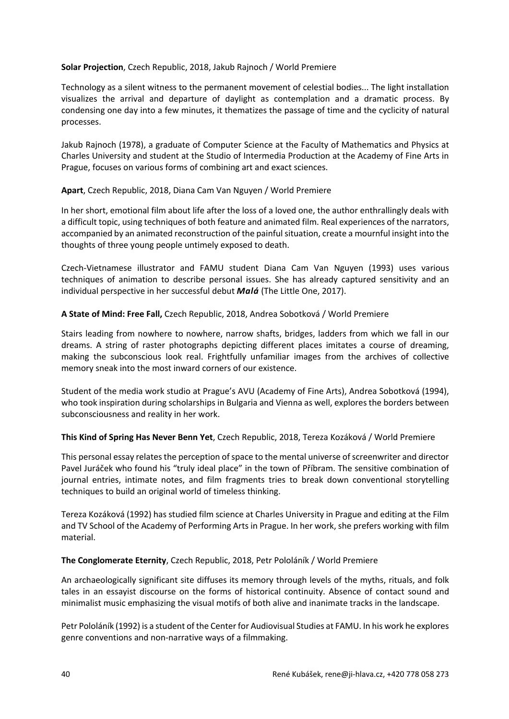### **Solar Projection**, Czech Republic, 2018, Jakub Rajnoch / World Premiere

Technology as a silent witness to the permanent movement of celestial bodies... The light installation visualizes the arrival and departure of daylight as contemplation and a dramatic process. By condensing one day into a few minutes, it thematizes the passage of time and the cyclicity of natural processes.

Jakub Rajnoch (1978), a graduate of Computer Science at the Faculty of Mathematics and Physics at Charles University and student at the Studio of Intermedia Production at the Academy of Fine Arts in Prague, focuses on various forms of combining art and exact sciences.

## **Apart**, Czech Republic, 2018, Diana Cam Van Nguyen / World Premiere

In her short, emotional film about life after the loss of a loved one, the author enthrallingly deals with a difficult topic, using techniques of both feature and animated film. Real experiences of the narrators, accompanied by an animated reconstruction of the painful situation, create a mournful insight into the thoughts of three young people untimely exposed to death.

Czech-Vietnamese illustrator and FAMU student Diana Cam Van Nguyen (1993) uses various techniques of animation to describe personal issues. She has already captured sensitivity and an individual perspective in her successful debut *Malá* (The Little One, 2017).

## **A State of Mind: Free Fall,** Czech Republic, 2018, Andrea Sobotková / World Premiere

Stairs leading from nowhere to nowhere, narrow shafts, bridges, ladders from which we fall in our dreams. A string of raster photographs depicting different places imitates a course of dreaming, making the subconscious look real. Frightfully unfamiliar images from the archives of collective memory sneak into the most inward corners of our existence.

Student of the media work studio at Prague's AVU (Academy of Fine Arts), Andrea Sobotková (1994), who took inspiration during scholarships in Bulgaria and Vienna as well, explores the borders between subconsciousness and reality in her work.

#### **This Kind of Spring Has Never Benn Yet**, Czech Republic, 2018, Tereza Kozáková / World Premiere

This personal essay relates the perception of space to the mental universe of screenwriter and director Pavel Juráček who found his "truly ideal place" in the town of Příbram. The sensitive combination of journal entries, intimate notes, and film fragments tries to break down conventional storytelling techniques to build an original world of timeless thinking.

Tereza Kozáková (1992) has studied film science at Charles University in Prague and editing at the Film and TV School of the Academy of Performing Arts in Prague. In her work, she prefers working with film material.

## **The Conglomerate Eternity**, Czech Republic, 2018, Petr Pololáník / World Premiere

An archaeologically significant site diffuses its memory through levels of the myths, rituals, and folk tales in an essayist discourse on the forms of historical continuity. Absence of contact sound and minimalist music emphasizing the visual motifs of both alive and inanimate tracks in the landscape.

Petr Pololáník (1992) is a student of the Center for Audiovisual Studies at FAMU. In his work he explores genre conventions and non-narrative ways of a filmmaking.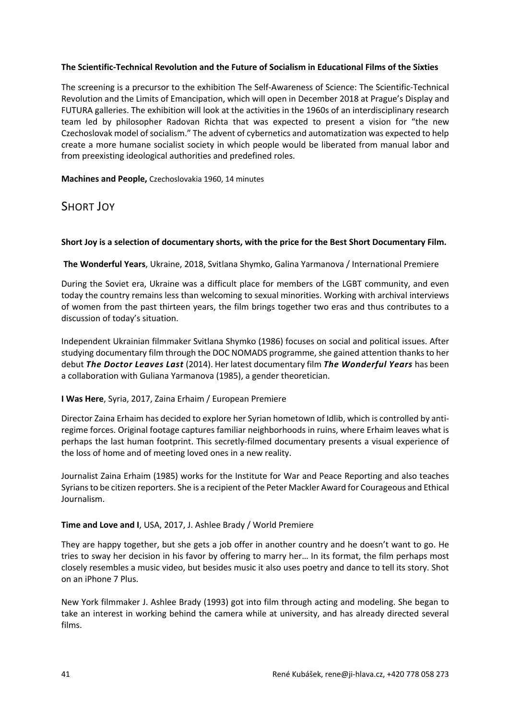## **The Scientific-Technical Revolution and the Future of Socialism in Educational Films of the Sixties**

The screening is a precursor to the exhibition The Self-Awareness of Science: The Scientific-Technical Revolution and the Limits of Emancipation, which will open in December 2018 at Prague's Display and FUTURA galleries. The exhibition will look at the activities in the 1960s of an interdisciplinary research team led by philosopher Radovan Richta that was expected to present a vision for "the new Czechoslovak model of socialism." The advent of cybernetics and automatization was expected to help create a more humane socialist society in which people would be liberated from manual labor and from preexisting ideological authorities and predefined roles.

**Machines and People,** Czechoslovakia 1960, 14 minutes

# SHORT JOY

## **Short Joy is a selection of documentary shorts, with the price for the Best Short Documentary Film.**

## **The Wonderful Years**, Ukraine, 2018, Svitlana Shymko, Galina Yarmanova / International Premiere

During the Soviet era, Ukraine was a difficult place for members of the LGBT community, and even today the country remains less than welcoming to sexual minorities. Working with archival interviews of women from the past thirteen years, the film brings together two eras and thus contributes to a discussion of today's situation.

Independent Ukrainian filmmaker Svitlana Shymko (1986) focuses on social and political issues. After studying documentary film through the DOC NOMADS programme, she gained attention thanks to her debut *The Doctor Leaves Last* (2014). Her latest documentary film *The Wonderful Years* has been a collaboration with Guliana Yarmanova (1985), a gender theoretician.

## **I Was Here**, Syria, 2017, Zaina Erhaim / European Premiere

Director Zaina Erhaim has decided to explore her Syrian hometown of Idlib, which is controlled by antiregime forces. Original footage captures familiar neighborhoods in ruins, where Erhaim leaves what is perhaps the last human footprint. This secretly-filmed documentary presents a visual experience of the loss of home and of meeting loved ones in a new reality.

Journalist Zaina Erhaim (1985) works for the Institute for War and Peace Reporting and also teaches Syrians to be citizen reporters. She is a recipient of the Peter Mackler Award for Courageous and Ethical Journalism.

## **Time and Love and I**, USA, 2017, J. Ashlee Brady / World Premiere

They are happy together, but she gets a job offer in another country and he doesn't want to go. He tries to sway her decision in his favor by offering to marry her… In its format, the film perhaps most closely resembles a music video, but besides music it also uses poetry and dance to tell its story. Shot on an iPhone 7 Plus.

New York filmmaker J. Ashlee Brady (1993) got into film through acting and modeling. She began to take an interest in working behind the camera while at university, and has already directed several films.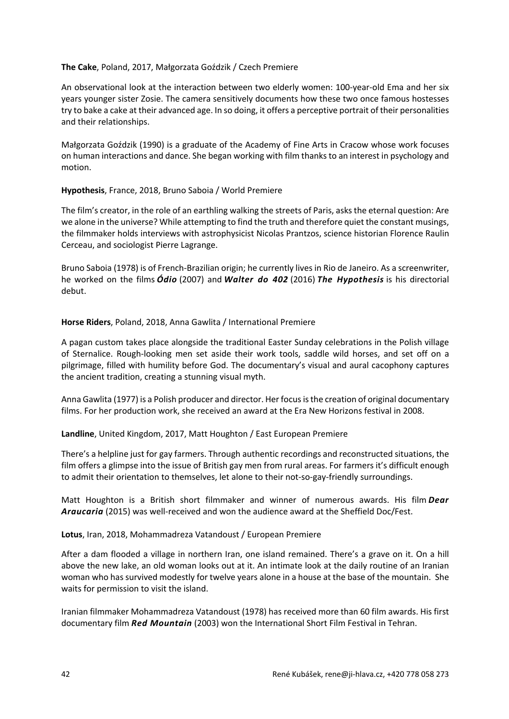#### **The Cake**, Poland, 2017, Małgorzata Goździk / Czech Premiere

An observational look at the interaction between two elderly women: 100-year-old Ema and her six years younger sister Zosie. The camera sensitively documents how these two once famous hostesses try to bake a cake at their advanced age. In so doing, it offers a perceptive portrait of their personalities and their relationships.

Małgorzata Goździk (1990) is a graduate of the Academy of Fine Arts in Cracow whose work focuses on human interactions and dance. She began working with film thanks to an interest in psychology and motion.

## **Hypothesis**, France, 2018, Bruno Saboia / World Premiere

The film's creator, in the role of an earthling walking the streets of Paris, asks the eternal question: Are we alone in the universe? While attempting to find the truth and therefore quiet the constant musings, the filmmaker holds interviews with astrophysicist Nicolas Prantzos, science historian Florence Raulin Cerceau, and sociologist Pierre Lagrange.

Bruno Saboia (1978) is of French-Brazilian origin; he currently lives in Rio de Janeiro. As a screenwriter, he worked on the films *Ódio* (2007) and *Walter do 402* (2016) *The Hypothesis* is his directorial debut.

## **Horse Riders**, Poland, 2018, Anna Gawlita / International Premiere

A pagan custom takes place alongside the traditional Easter Sunday celebrations in the Polish village of Sternalice. Rough-looking men set aside their work tools, saddle wild horses, and set off on a pilgrimage, filled with humility before God. The documentary's visual and aural cacophony captures the ancient tradition, creating a stunning visual myth.

Anna Gawlita (1977) is a Polish producer and director. Her focus is the creation of original documentary films. For her production work, she received an award at the Era New Horizons festival in 2008.

## **Landline**, United Kingdom, 2017, Matt Houghton / East European Premiere

There's a helpline just for gay farmers. Through authentic recordings and reconstructed situations, the film offers a glimpse into the issue of British gay men from rural areas. For farmers it's difficult enough to admit their orientation to themselves, let alone to their not-so-gay-friendly surroundings.

Matt Houghton is a British short filmmaker and winner of numerous awards. His film *Dear Araucaria* (2015) was well-received and won the audience award at the Sheffield Doc/Fest.

**Lotus**, Iran, 2018, Mohammadreza Vatandoust / European Premiere

After a dam flooded a village in northern Iran, one island remained. There's a grave on it. On a hill above the new lake, an old woman looks out at it. An intimate look at the daily routine of an Iranian woman who has survived modestly for twelve years alone in a house at the base of the mountain. She waits for permission to visit the island.

Iranian filmmaker Mohammadreza Vatandoust (1978) has received more than 60 film awards. His first documentary film *Red Mountain* (2003) won the International Short Film Festival in Tehran.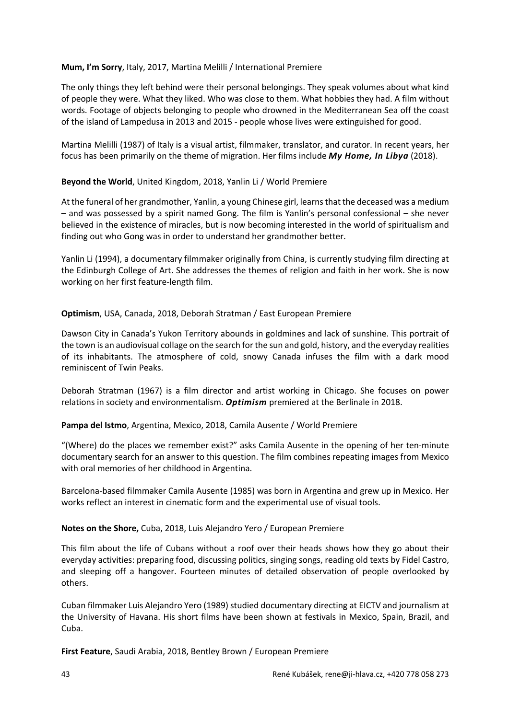### **Mum, I'm Sorry**, Italy, 2017, Martina Melilli / International Premiere

The only things they left behind were their personal belongings. They speak volumes about what kind of people they were. What they liked. Who was close to them. What hobbies they had. A film without words. Footage of objects belonging to people who drowned in the Mediterranean Sea off the coast of the island of Lampedusa in 2013 and 2015 - people whose lives were extinguished for good.

Martina Melilli (1987) of Italy is a visual artist, filmmaker, translator, and curator. In recent years, her focus has been primarily on the theme of migration. Her films include *My Home, In Libya* (2018).

## **Beyond the World**, United Kingdom, 2018, Yanlin Li / World Premiere

At the funeral of her grandmother, Yanlin, a young Chinese girl, learns that the deceased was a medium – and was possessed by a spirit named Gong. The film is Yanlin's personal confessional – she never believed in the existence of miracles, but is now becoming interested in the world of spiritualism and finding out who Gong was in order to understand her grandmother better.

Yanlin Li (1994), a documentary filmmaker originally from China, is currently studying film directing at the Edinburgh College of Art. She addresses the themes of religion and faith in her work. She is now working on her first feature-length film.

## **Optimism**, USA, Canada, 2018, Deborah Stratman / East European Premiere

Dawson City in Canada's Yukon Territory abounds in goldmines and lack of sunshine. This portrait of the town is an audiovisual collage on the search for the sun and gold, history, and the everyday realities of its inhabitants. The atmosphere of cold, snowy Canada infuses the film with a dark mood reminiscent of Twin Peaks.

Deborah Stratman (1967) is a film director and artist working in Chicago. She focuses on power relations in society and environmentalism. *Optimism* premiered at the Berlinale in 2018.

#### **Pampa del Istmo**, Argentina, Mexico, 2018, Camila Ausente / World Premiere

"(Where) do the places we remember exist?" asks Camila Ausente in the opening of her ten-minute documentary search for an answer to this question. The film combines repeating images from Mexico with oral memories of her childhood in Argentina.

Barcelona-based filmmaker Camila Ausente (1985) was born in Argentina and grew up in Mexico. Her works reflect an interest in cinematic form and the experimental use of visual tools.

#### **Notes on the Shore,** Cuba, 2018, Luis Alejandro Yero / European Premiere

This film about the life of Cubans without a roof over their heads shows how they go about their everyday activities: preparing food, discussing politics, singing songs, reading old texts by Fidel Castro, and sleeping off a hangover. Fourteen minutes of detailed observation of people overlooked by others.

Cuban filmmaker Luis Alejandro Yero (1989) studied documentary directing at EICTV and journalism at the University of Havana. His short films have been shown at festivals in Mexico, Spain, Brazil, and Cuba.

**First Feature**, Saudi Arabia, 2018, Bentley Brown / European Premiere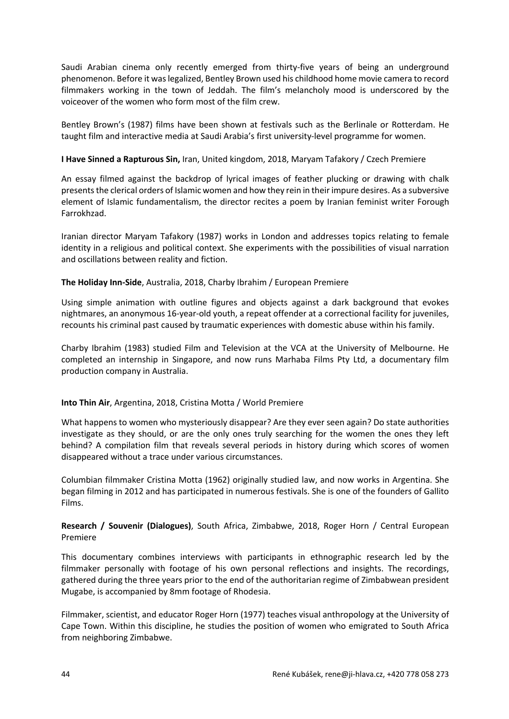Saudi Arabian cinema only recently emerged from thirty-five years of being an underground phenomenon. Before it was legalized, Bentley Brown used his childhood home movie camera to record filmmakers working in the town of Jeddah. The film's melancholy mood is underscored by the voiceover of the women who form most of the film crew.

Bentley Brown's (1987) films have been shown at festivals such as the Berlinale or Rotterdam. He taught film and interactive media at Saudi Arabia's first university-level programme for women.

## **I Have Sinned a Rapturous Sin,** Iran, United kingdom, 2018, Maryam Tafakory / Czech Premiere

An essay filmed against the backdrop of lyrical images of feather plucking or drawing with chalk presents the clerical orders of Islamic women and how they rein in their impure desires. As a subversive element of Islamic fundamentalism, the director recites a poem by Iranian feminist writer Forough Farrokhzad.

Iranian director Maryam Tafakory (1987) works in London and addresses topics relating to female identity in a religious and political context. She experiments with the possibilities of visual narration and oscillations between reality and fiction.

## **The Holiday Inn-Side**, Australia, 2018, Charby Ibrahim / European Premiere

Using simple animation with outline figures and objects against a dark background that evokes nightmares, an anonymous 16-year-old youth, a repeat offender at a correctional facility for juveniles, recounts his criminal past caused by traumatic experiences with domestic abuse within his family.

Charby Ibrahim (1983) studied Film and Television at the VCA at the University of Melbourne. He completed an internship in Singapore, and now runs Marhaba Films Pty Ltd, a documentary film production company in Australia.

#### **Into Thin Air**, Argentina, 2018, Cristina Motta / World Premiere

What happens to women who mysteriously disappear? Are they ever seen again? Do state authorities investigate as they should, or are the only ones truly searching for the women the ones they left behind? A compilation film that reveals several periods in history during which scores of women disappeared without a trace under various circumstances.

Columbian filmmaker Cristina Motta (1962) originally studied law, and now works in Argentina. She began filming in 2012 and has participated in numerous festivals. She is one of the founders of Gallito Films.

## **Research / Souvenir (Dialogues)**, South Africa, Zimbabwe, 2018, Roger Horn / Central European Premiere

This documentary combines interviews with participants in ethnographic research led by the filmmaker personally with footage of his own personal reflections and insights. The recordings, gathered during the three years prior to the end of the authoritarian regime of Zimbabwean president Mugabe, is accompanied by 8mm footage of Rhodesia.

Filmmaker, scientist, and educator Roger Horn (1977) teaches visual anthropology at the University of Cape Town. Within this discipline, he studies the position of women who emigrated to South Africa from neighboring Zimbabwe.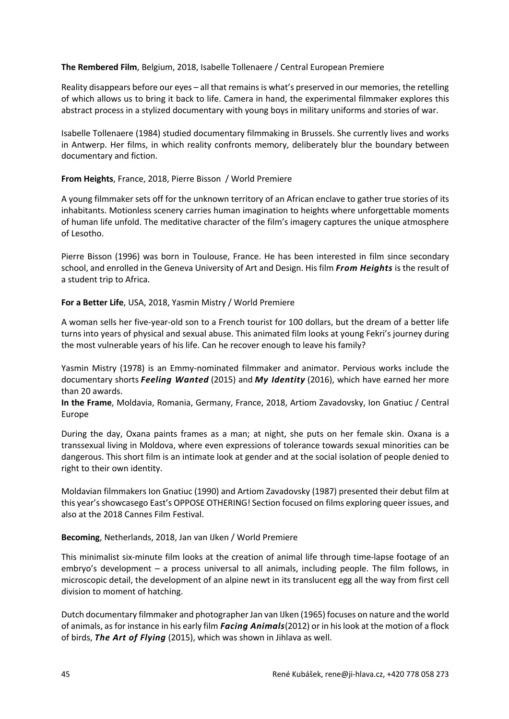#### **The Rembered Film**, Belgium, 2018, Isabelle Tollenaere / Central European Premiere

Reality disappears before our eyes – all that remains is what's preserved in our memories, the retelling of which allows us to bring it back to life. Camera in hand, the experimental filmmaker explores this abstract process in a stylized documentary with young boys in military uniforms and stories of war.

Isabelle Tollenaere (1984) studied documentary filmmaking in Brussels. She currently lives and works in Antwerp. Her films, in which reality confronts memory, deliberately blur the boundary between documentary and fiction.

## **From Heights**, France, 2018, Pierre Bisson / World Premiere

A young filmmaker sets off for the unknown territory of an African enclave to gather true stories of its inhabitants. Motionless scenery carries human imagination to heights where unforgettable moments of human life unfold. The meditative character of the film's imagery captures the unique atmosphere of Lesotho.

Pierre Bisson (1996) was born in Toulouse, France. He has been interested in film since secondary school, and enrolled in the Geneva University of Art and Design. His film *From Heights* is the result of a student trip to Africa.

## **For a Better Life**, USA, 2018, Yasmin Mistry / World Premiere

A woman sells her five-year-old son to a French tourist for 100 dollars, but the dream of a better life turns into years of physical and sexual abuse. This animated film looks at young Fekri's journey during the most vulnerable years of his life. Can he recover enough to leave his family?

Yasmin Mistry (1978) is an Emmy-nominated filmmaker and animator. Pervious works include the documentary shorts *Feeling Wanted* (2015) and *My Identity* (2016), which have earned her more than 20 awards.

**In the Frame**, Moldavia, Romania, Germany, France, 2018, Artiom Zavadovsky, Ion Gnatiuc / Central Europe

During the day, Oxana paints frames as a man; at night, she puts on her female skin. Oxana is a transsexual living in Moldova, where even expressions of tolerance towards sexual minorities can be dangerous. This short film is an intimate look at gender and at the social isolation of people denied to right to their own identity.

Moldavian filmmakers Ion Gnatiuc (1990) and Artiom Zavadovsky (1987) presented their debut film at this year's showcasego East's OPPOSE OTHERING! Section focused on films exploring queer issues, and also at the 2018 Cannes Film Festival.

#### **Becoming**, Netherlands, 2018, Jan van IJken / World Premiere

This minimalist six-minute film looks at the creation of animal life through time-lapse footage of an embryo's development – a process universal to all animals, including people. The film follows, in microscopic detail, the development of an alpine newt in its translucent egg all the way from first cell division to moment of hatching.

Dutch documentary filmmaker and photographer Jan van IJken (1965) focuses on nature and the world of animals, as for instance in his early film *Facing Animals*(2012) or in his look at the motion of a flock of birds, *The Art of Flying* (2015), which was shown in Jihlava as well.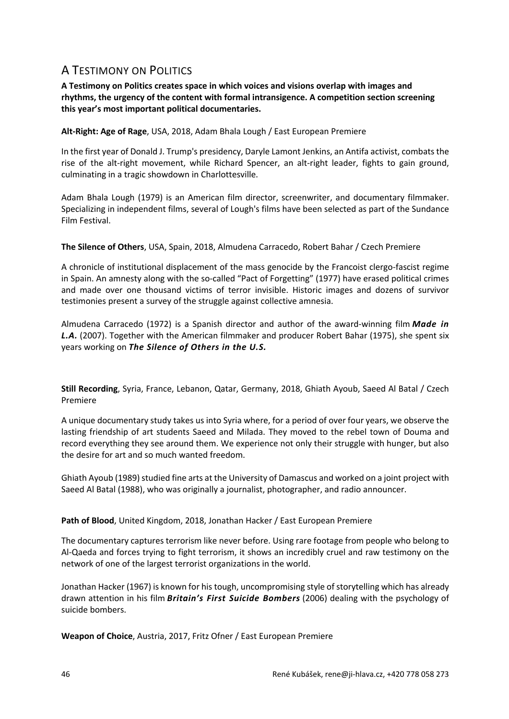# A TESTIMONY ON POLITICS

**A Testimony on Politics creates space in which voices and visions overlap with images and rhythms, the urgency of the content with formal intransigence. A competition section screening this year's most important political documentaries.**

**Alt-Right: Age of Rage**, USA, 2018, Adam Bhala Lough / East European Premiere

In the first year of Donald J. Trump's presidency, Daryle Lamont Jenkins, an Antifa activist, combats the rise of the alt-right movement, while Richard Spencer, an alt-right leader, fights to gain ground, culminating in a tragic showdown in Charlottesville.

Adam Bhala Lough (1979) is an American film director, screenwriter, and documentary filmmaker. Specializing in independent films, several of Lough's films have been selected as part of the Sundance Film Festival.

**The Silence of Others**, USA, Spain, 2018, Almudena Carracedo, Robert Bahar / Czech Premiere

A chronicle of institutional displacement of the mass genocide by the Francoist clergo-fascist regime in Spain. An amnesty along with the so-called "Pact of Forgetting" (1977) have erased political crimes and made over one thousand victims of terror invisible. Historic images and dozens of survivor testimonies present a survey of the struggle against collective amnesia.

Almudena Carracedo (1972) is a Spanish director and author of the award-winning film *Made in L.A.* (2007). Together with the American filmmaker and producer Robert Bahar (1975), she spent six years working on *The Silence of Others in the U.S.*

**Still Recording**, Syria, France, Lebanon, Qatar, Germany, 2018, Ghiath Ayoub, Saeed Al Batal / Czech Premiere

A unique documentary study takes us into Syria where, for a period of over four years, we observe the lasting friendship of art students Saeed and Milada. They moved to the rebel town of Douma and record everything they see around them. We experience not only their struggle with hunger, but also the desire for art and so much wanted freedom.

Ghiath Ayoub (1989) studied fine arts at the University of Damascus and worked on a joint project with Saeed Al Batal (1988), who was originally a journalist, photographer, and radio announcer.

Path of Blood, United Kingdom, 2018, Jonathan Hacker / East European Premiere

The documentary captures terrorism like never before. Using rare footage from people who belong to Al-Qaeda and forces trying to fight terrorism, it shows an incredibly cruel and raw testimony on the network of one of the largest terrorist organizations in the world.

Jonathan Hacker (1967) is known for his tough, uncompromising style of storytelling which has already drawn attention in his film *Britain's First Suicide Bombers* (2006) dealing with the psychology of suicide bombers.

**Weapon of Choice**, Austria, 2017, Fritz Ofner / East European Premiere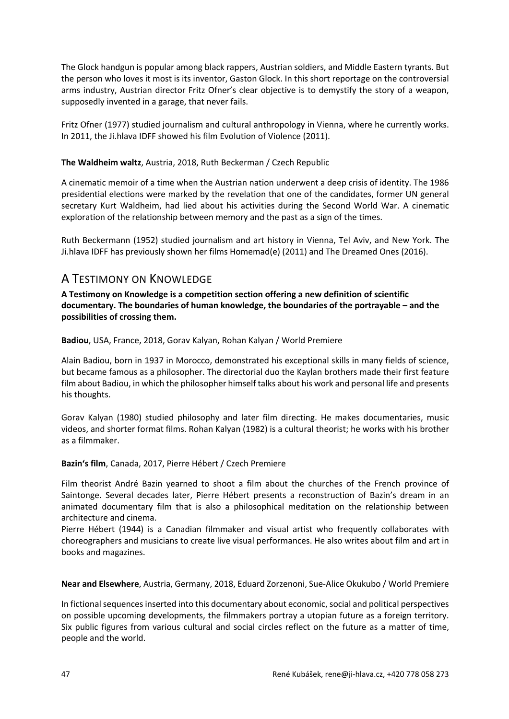The Glock handgun is popular among black rappers, Austrian soldiers, and Middle Eastern tyrants. But the person who loves it most is its inventor, Gaston Glock. In this short reportage on the controversial arms industry, Austrian director Fritz Ofner's clear objective is to demystify the story of a weapon, supposedly invented in a garage, that never fails.

Fritz Ofner (1977) studied journalism and cultural anthropology in Vienna, where he currently works. In 2011, the Ji.hlava IDFF showed his film Evolution of Violence (2011).

## **The Waldheim waltz**, Austria, 2018, Ruth Beckerman / Czech Republic

A cinematic memoir of a time when the Austrian nation underwent a deep crisis of identity. The 1986 presidential elections were marked by the revelation that one of the candidates, former UN general secretary Kurt Waldheim, had lied about his activities during the Second World War. A cinematic exploration of the relationship between memory and the past as a sign of the times.

Ruth Beckermann (1952) studied journalism and art history in Vienna, Tel Aviv, and New York. The Ji.hlava IDFF has previously shown her films Homemad(e) (2011) and The Dreamed Ones (2016).

# A TESTIMONY ON KNOWLEDGE

**A Testimony on Knowledge is a competition section offering a new definition of scientific documentary. The boundaries of human knowledge, the boundaries of the portrayable – and the possibilities of crossing them.**

**Badiou**, USA, France, 2018, Gorav Kalyan, Rohan Kalyan / World Premiere

Alain Badiou, born in 1937 in Morocco, demonstrated his exceptional skills in many fields of science, but became famous as a philosopher. The directorial duo the Kaylan brothers made their first feature film about Badiou, in which the philosopher himself talks about his work and personal life and presents his thoughts.

Gorav Kalyan (1980) studied philosophy and later film directing. He makes documentaries, music videos, and shorter format films. Rohan Kalyan (1982) is a cultural theorist; he works with his brother as a filmmaker.

#### **Bazin's film**, Canada, 2017, Pierre Hébert / Czech Premiere

Film theorist André Bazin yearned to shoot a film about the churches of the French province of Saintonge. Several decades later, Pierre Hébert presents a reconstruction of Bazin's dream in an animated documentary film that is also a philosophical meditation on the relationship between architecture and cinema.

Pierre Hébert (1944) is a Canadian filmmaker and visual artist who frequently collaborates with choreographers and musicians to create live visual performances. He also writes about film and art in books and magazines.

**Near and Elsewhere**, Austria, Germany, 2018, Eduard Zorzenoni, Sue-Alice Okukubo / World Premiere

In fictional sequences inserted into this documentary about economic, social and political perspectives on possible upcoming developments, the filmmakers portray a utopian future as a foreign territory. Six public figures from various cultural and social circles reflect on the future as a matter of time, people and the world.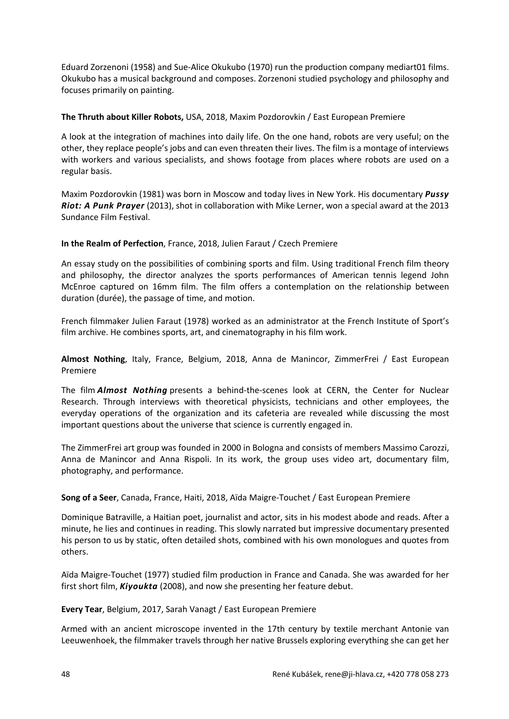Eduard Zorzenoni (1958) and Sue-Alice Okukubo (1970) run the production company mediart01 films. Okukubo has a musical background and composes. Zorzenoni studied psychology and philosophy and focuses primarily on painting.

## **The Thruth about Killer Robots,** USA, 2018, Maxim Pozdorovkin / East European Premiere

A look at the integration of machines into daily life. On the one hand, robots are very useful; on the other, they replace people's jobs and can even threaten their lives. The film is a montage of interviews with workers and various specialists, and shows footage from places where robots are used on a regular basis.

Maxim Pozdorovkin (1981) was born in Moscow and today lives in New York. His documentary *Pussy Riot: A Punk Prayer* (2013), shot in collaboration with Mike Lerner, won a special award at the 2013 Sundance Film Festival.

## **In the Realm of Perfection**, France, 2018, Julien Faraut / Czech Premiere

An essay study on the possibilities of combining sports and film. Using traditional French film theory and philosophy, the director analyzes the sports performances of American tennis legend John McEnroe captured on 16mm film. The film offers a contemplation on the relationship between duration (durée), the passage of time, and motion.

French filmmaker Julien Faraut (1978) worked as an administrator at the French Institute of Sport's film archive. He combines sports, art, and cinematography in his film work.

**Almost Nothing**, Italy, France, Belgium, 2018, Anna de Manincor, ZimmerFrei / East European Premiere

The film *Almost Nothing* presents a behind-the-scenes look at CERN, the Center for Nuclear Research. Through interviews with theoretical physicists, technicians and other employees, the everyday operations of the organization and its cafeteria are revealed while discussing the most important questions about the universe that science is currently engaged in.

The ZimmerFrei art group was founded in 2000 in Bologna and consists of members Massimo Carozzi, Anna de Manincor and Anna Rispoli. In its work, the group uses video art, documentary film, photography, and performance.

## **Song of a Seer**, Canada, France, Haiti, 2018, Aïda Maigre-Touchet / East European Premiere

Dominique Batraville, a Haitian poet, journalist and actor, sits in his modest abode and reads. After a minute, he lies and continues in reading. This slowly narrated but impressive documentary presented his person to us by static, often detailed shots, combined with his own monologues and quotes from others.

Aïda Maigre-Touchet (1977) studied film production in France and Canada. She was awarded for her first short film, *Kiyoukta* (2008), and now she presenting her feature debut.

**Every Tear**, Belgium, 2017, Sarah Vanagt / East European Premiere

Armed with an ancient microscope invented in the 17th century by textile merchant Antonie van Leeuwenhoek, the filmmaker travels through her native Brussels exploring everything she can get her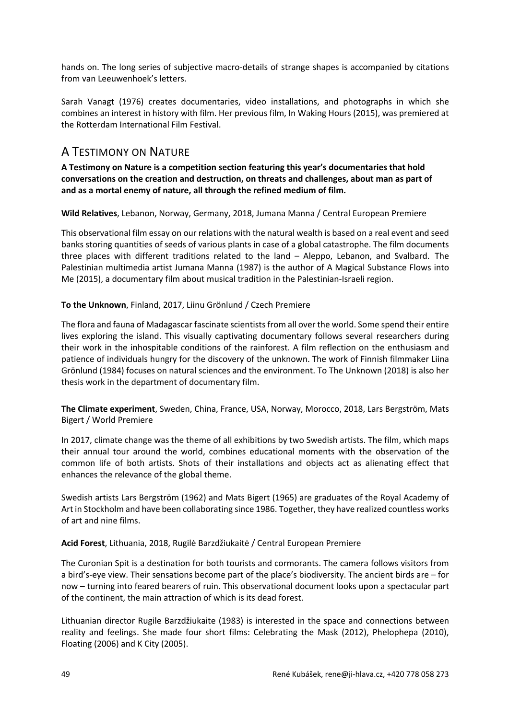hands on. The long series of subjective macro-details of strange shapes is accompanied by citations from van Leeuwenhoek's letters.

Sarah Vanagt (1976) creates documentaries, video installations, and photographs in which she combines an interest in history with film. Her previous film, In Waking Hours (2015), was premiered at the Rotterdam International Film Festival.

# A TESTIMONY ON NATURE

**A Testimony on Nature is a competition section featuring this year's documentaries that hold conversations on the creation and destruction, on threats and challenges, about man as part of and as a mortal enemy of nature, all through the refined medium of film.**

**Wild Relatives**, Lebanon, Norway, Germany, 2018, Jumana Manna / Central European Premiere

This observational film essay on our relations with the natural wealth is based on a real event and seed banks storing quantities of seeds of various plants in case of a global catastrophe. The film documents three places with different traditions related to the land – Aleppo, Lebanon, and Svalbard. The Palestinian multimedia artist Jumana Manna (1987) is the author of A Magical Substance Flows into Me (2015), a documentary film about musical tradition in the Palestinian-Israeli region.

## **To the Unknown**, Finland, 2017, Liinu Grönlund / Czech Premiere

The flora and fauna of Madagascar fascinate scientists from all over the world. Some spend their entire lives exploring the island. This visually captivating documentary follows several researchers during their work in the inhospitable conditions of the rainforest. A film reflection on the enthusiasm and patience of individuals hungry for the discovery of the unknown. The work of Finnish filmmaker Liina Grönlund (1984) focuses on natural sciences and the environment. To The Unknown (2018) is also her thesis work in the department of documentary film.

**The Climate experiment**, Sweden, China, France, USA, Norway, Morocco, 2018, Lars Bergström, Mats Bigert / World Premiere

In 2017, climate change was the theme of all exhibitions by two Swedish artists. The film, which maps their annual tour around the world, combines educational moments with the observation of the common life of both artists. Shots of their installations and objects act as alienating effect that enhances the relevance of the global theme.

Swedish artists Lars Bergström (1962) and Mats Bigert (1965) are graduates of the Royal Academy of Art in Stockholm and have been collaborating since 1986. Together, they have realized countless works of art and nine films.

**Acid Forest**, Lithuania, 2018, Rugilė Barzdžiukaitė / Central European Premiere

The Curonian Spit is a destination for both tourists and cormorants. The camera follows visitors from a bird's-eye view. Their sensations become part of the place's biodiversity. The ancient birds are – for now – turning into feared bearers of ruin. This observational document looks upon a spectacular part of the continent, the main attraction of which is its dead forest.

Lithuanian director Rugile Barzdžiukaite (1983) is interested in the space and connections between reality and feelings. She made four short films: Celebrating the Mask (2012), Phelophepa (2010), Floating (2006) and K City (2005).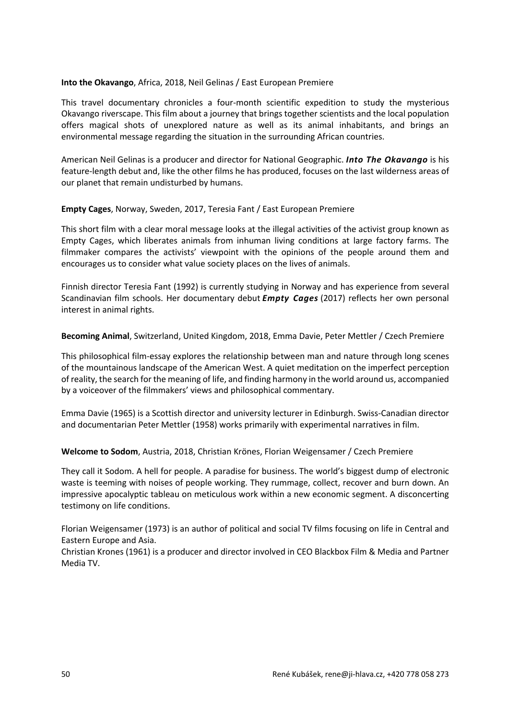#### **Into the Okavango**, Africa, 2018, Neil Gelinas / East European Premiere

This travel documentary chronicles a four-month scientific expedition to study the mysterious Okavango riverscape. This film about a journey that brings together scientists and the local population offers magical shots of unexplored nature as well as its animal inhabitants, and brings an environmental message regarding the situation in the surrounding African countries.

American Neil Gelinas is a producer and director for National Geographic. *Into The Okavango* is his feature-length debut and, like the other films he has produced, focuses on the last wilderness areas of our planet that remain undisturbed by humans.

## **Empty Cages**, Norway, Sweden, 2017, Teresia Fant / East European Premiere

This short film with a clear moral message looks at the illegal activities of the activist group known as Empty Cages, which liberates animals from inhuman living conditions at large factory farms. The filmmaker compares the activists' viewpoint with the opinions of the people around them and encourages us to consider what value society places on the lives of animals.

Finnish director Teresia Fant (1992) is currently studying in Norway and has experience from several Scandinavian film schools. Her documentary debut *Empty Cages* (2017) reflects her own personal interest in animal rights.

**Becoming Animal**, Switzerland, United Kingdom, 2018, Emma Davie, Peter Mettler / Czech Premiere

This philosophical film-essay explores the relationship between man and nature through long scenes of the mountainous landscape of the American West. A quiet meditation on the imperfect perception of reality, the search for the meaning of life, and finding harmony in the world around us, accompanied by a voiceover of the filmmakers' views and philosophical commentary.

Emma Davie (1965) is a Scottish director and university lecturer in Edinburgh. Swiss-Canadian director and documentarian Peter Mettler (1958) works primarily with experimental narratives in film.

**Welcome to Sodom**, Austria, 2018, Christian Krönes, Florian Weigensamer / Czech Premiere

They call it Sodom. A hell for people. A paradise for business. The world's biggest dump of electronic waste is teeming with noises of people working. They rummage, collect, recover and burn down. An impressive apocalyptic tableau on meticulous work within a new economic segment. A disconcerting testimony on life conditions.

Florian Weigensamer (1973) is an author of political and social TV films focusing on life in Central and Eastern Europe and Asia.

Christian Krones (1961) is a producer and director involved in CEO Blackbox Film & Media and Partner Media TV.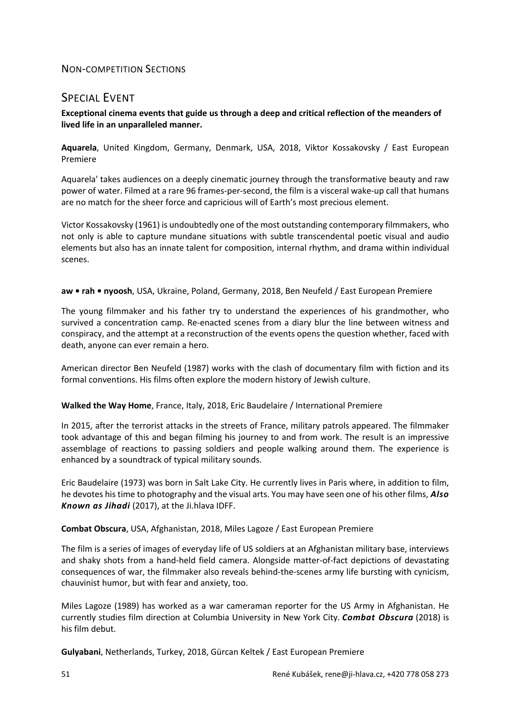## NON-COMPETITION SECTIONS

# SPECIAL EVENT

## **Exceptional cinema events that guide us through a deep and critical reflection of the meanders of lived life in an unparalleled manner.**

**Aquarela**, United Kingdom, Germany, Denmark, USA, 2018, Viktor Kossakovsky / East European Premiere

Aquarela' takes audiences on a deeply cinematic journey through the transformative beauty and raw power of water. Filmed at a rare 96 frames-per-second, the film is a visceral wake-up call that humans are no match for the sheer force and capricious will of Earth's most precious element.

Victor Kossakovsky (1961) is undoubtedly one of the most outstanding contemporary filmmakers, who not only is able to capture mundane situations with subtle transcendental poetic visual and audio elements but also has an innate talent for composition, internal rhythm, and drama within individual scenes.

#### **aw • rah • nyoosh**, USA, Ukraine, Poland, Germany, 2018, Ben Neufeld / East European Premiere

The young filmmaker and his father try to understand the experiences of his grandmother, who survived a concentration camp. Re-enacted scenes from a diary blur the line between witness and conspiracy, and the attempt at a reconstruction of the events opens the question whether, faced with death, anyone can ever remain a hero.

American director Ben Neufeld (1987) works with the clash of documentary film with fiction and its formal conventions. His films often explore the modern history of Jewish culture.

#### **Walked the Way Home**, France, Italy, 2018, Eric Baudelaire / International Premiere

In 2015, after the terrorist attacks in the streets of France, military patrols appeared. The filmmaker took advantage of this and began filming his journey to and from work. The result is an impressive assemblage of reactions to passing soldiers and people walking around them. The experience is enhanced by a soundtrack of typical military sounds.

Eric Baudelaire (1973) was born in Salt Lake City. He currently lives in Paris where, in addition to film, he devotes his time to photography and the visual arts. You may have seen one of his other films, *Also Known as Jihadi* (2017), at the Ji.hlava IDFF.

#### **Combat Obscura**, USA, Afghanistan, 2018, Miles Lagoze / East European Premiere

The film is a series of images of everyday life of US soldiers at an Afghanistan military base, interviews and shaky shots from a hand-held field camera. Alongside matter-of-fact depictions of devastating consequences of war, the filmmaker also reveals behind-the-scenes army life bursting with cynicism, chauvinist humor, but with fear and anxiety, too.

Miles Lagoze (1989) has worked as a war cameraman reporter for the US Army in Afghanistan. He currently studies film direction at Columbia University in New York City. *Combat Obscura* (2018) is his film debut.

**Gulyabani**, Netherlands, Turkey, 2018, Gürcan Keltek / East European Premiere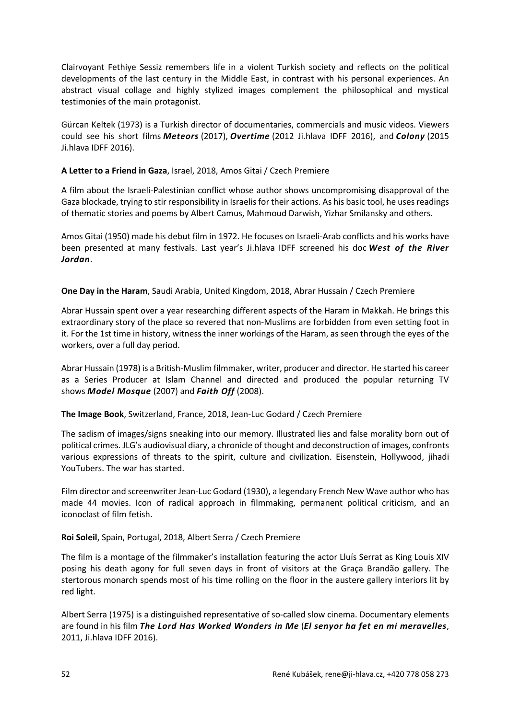Clairvoyant Fethiye Sessiz remembers life in a violent Turkish society and reflects on the political developments of the last century in the Middle East, in contrast with his personal experiences. An abstract visual collage and highly stylized images complement the philosophical and mystical testimonies of the main protagonist.

Gürcan Keltek (1973) is a Turkish director of documentaries, commercials and music videos. Viewers could see his short films *Meteors* (2017), *Overtime* (2012 Ji.hlava IDFF 2016), and *Colony* (2015 Ji.hlava IDFF 2016).

## **A Letter to a Friend in Gaza**, Israel, 2018, Amos Gitai / Czech Premiere

A film about the Israeli-Palestinian conflict whose author shows uncompromising disapproval of the Gaza blockade, trying to stir responsibility in Israelis for their actions. As his basic tool, he uses readings of thematic stories and poems by Albert Camus, Mahmoud Darwish, Yizhar Smilansky and others.

Amos Gitai (1950) made his debut film in 1972. He focuses on Israeli-Arab conflicts and his works have been presented at many festivals. Last year's Ji.hlava IDFF screened his doc *West of the River Jordan*.

## **One Day in the Haram**, Saudi Arabia, United Kingdom, 2018, Abrar Hussain / Czech Premiere

Abrar Hussain spent over a year researching different aspects of the Haram in Makkah. He brings this extraordinary story of the place so revered that non-Muslims are forbidden from even setting foot in it. For the 1st time in history, witness the inner workings of the Haram, as seen through the eyes of the workers, over a full day period.

Abrar Hussain (1978) is a British-Muslim filmmaker, writer, producer and director. He started his career as a Series Producer at Islam Channel and directed and produced the popular returning TV shows *Model Mosque* (2007) and *Faith Off* (2008).

#### **The Image Book**, Switzerland, France, 2018, Jean-Luc Godard / Czech Premiere

The sadism of images/signs sneaking into our memory. Illustrated lies and false morality born out of political crimes. JLG's audiovisual diary, a chronicle of thought and deconstruction of images, confronts various expressions of threats to the spirit, culture and civilization. Eisenstein, Hollywood, jihadi YouTubers. The war has started.

Film director and screenwriter Jean-Luc Godard (1930), a legendary French New Wave author who has made 44 movies. Icon of radical approach in filmmaking, permanent political criticism, and an iconoclast of film fetish.

#### **Roi Soleil**, Spain, Portugal, 2018, Albert Serra / Czech Premiere

The film is a montage of the filmmaker's installation featuring the actor Lluís Serrat as King Louis XIV posing his death agony for full seven days in front of visitors at the Graça Brandão gallery. The stertorous monarch spends most of his time rolling on the floor in the austere gallery interiors lit by red light.

Albert Serra (1975) is a distinguished representative of so-called slow cinema. Documentary elements are found in his film *The Lord Has Worked Wonders in Me* (*El senyor ha fet en mi meravelles*, 2011, Ji.hlava IDFF 2016).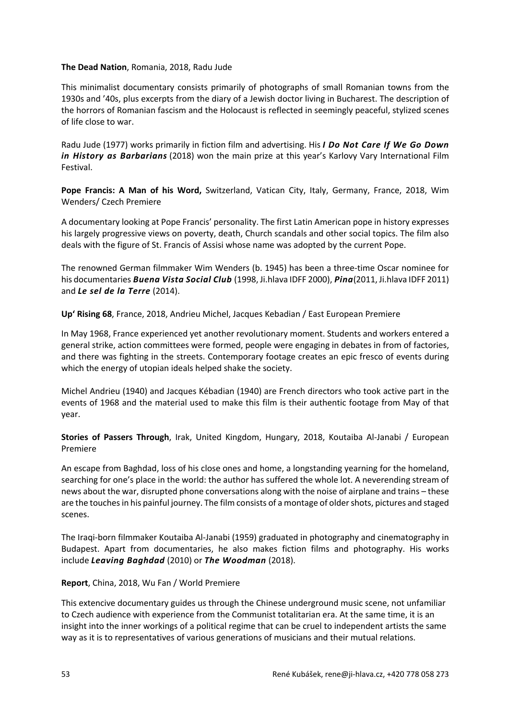#### **The Dead Nation**, Romania, 2018, Radu Jude

This minimalist documentary consists primarily of photographs of small Romanian towns from the 1930s and '40s, plus excerpts from the diary of a Jewish doctor living in Bucharest. The description of the horrors of Romanian fascism and the Holocaust is reflected in seemingly peaceful, stylized scenes of life close to war.

Radu Jude (1977) works primarily in fiction film and advertising. His *I Do Not Care If We Go Down in History as Barbarians* (2018) won the main prize at this year's Karlovy Vary International Film Festival.

**Pope Francis: A Man of his Word,** Switzerland, Vatican City, Italy, Germany, France, 2018, Wim Wenders/ Czech Premiere

A documentary looking at Pope Francis' personality. The first Latin American pope in history expresses his largely progressive views on poverty, death, Church scandals and other social topics. The film also deals with the figure of St. Francis of Assisi whose name was adopted by the current Pope.

The renowned German filmmaker Wim Wenders (b. 1945) has been a three-time Oscar nominee for his documentaries *Buena Vista Social Club* (1998, Ji.hlava IDFF 2000), *Pina*(2011, Ji.hlava IDFF 2011) and *Le sel de la Terre* (2014).

**Up' Rising 68**, France, 2018, Andrieu Michel, Jacques Kebadian / East European Premiere

In May 1968, France experienced yet another revolutionary moment. Students and workers entered a general strike, action committees were formed, people were engaging in debates in from of factories, and there was fighting in the streets. Contemporary footage creates an epic fresco of events during which the energy of utopian ideals helped shake the society.

Michel Andrieu (1940) and Jacques Kébadian (1940) are French directors who took active part in the events of 1968 and the material used to make this film is their authentic footage from May of that year.

**Stories of Passers Through**, Irak, United Kingdom, Hungary, 2018, Koutaiba Al-Janabi / European Premiere

An escape from Baghdad, loss of his close ones and home, a longstanding yearning for the homeland, searching for one's place in the world: the author has suffered the whole lot. A neverending stream of news about the war, disrupted phone conversations along with the noise of airplane and trains – these are the touches in his painful journey. The film consists of a montage of older shots, pictures and staged scenes.

The Iraqi-born filmmaker Koutaiba Al-Janabi (1959) graduated in photography and cinematography in Budapest. Apart from documentaries, he also makes fiction films and photography. His works include *Leaving Baghdad* (2010) or *The Woodman* (2018).

#### **Report**, China, 2018, Wu Fan / World Premiere

This extencive documentary guides us through the Chinese underground music scene, not unfamiliar to Czech audience with experience from the Communist totalitarian era. At the same time, it is an insight into the inner workings of a political regime that can be cruel to independent artists the same way as it is to representatives of various generations of musicians and their mutual relations.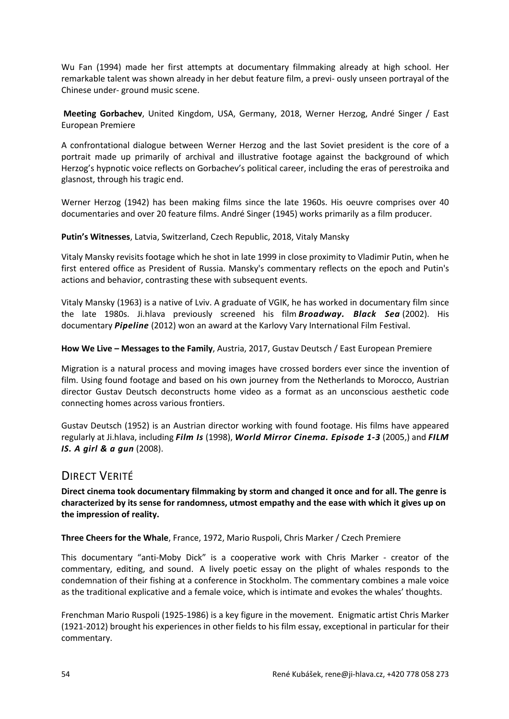Wu Fan (1994) made her first attempts at documentary filmmaking already at high school. Her remarkable talent was shown already in her debut feature film, a previ- ously unseen portrayal of the Chinese under- ground music scene.

**Meeting Gorbachev**, United Kingdom, USA, Germany, 2018, Werner Herzog, André Singer / East European Premiere

A confrontational dialogue between Werner Herzog and the last Soviet president is the core of a portrait made up primarily of archival and illustrative footage against the background of which Herzog's hypnotic voice reflects on Gorbachev's political career, including the eras of perestroika and glasnost, through his tragic end.

Werner Herzog (1942) has been making films since the late 1960s. His oeuvre comprises over 40 documentaries and over 20 feature films. André Singer (1945) works primarily as a film producer.

**Putin's Witnesses**, Latvia, Switzerland, Czech Republic, 2018, Vitaly Mansky

Vitaly Mansky revisits footage which he shot in late 1999 in close proximity to Vladimir Putin, when he first entered office as President of Russia. Mansky's commentary reflects on the epoch and Putin's actions and behavior, contrasting these with subsequent events.

Vitaly Mansky (1963) is a native of Lviv. A graduate of VGIK, he has worked in documentary film since the late 1980s. Ji.hlava previously screened his film *Broadway. Black Sea* (2002). His documentary *Pipeline* (2012) won an award at the Karlovy Vary International Film Festival.

## **How We Live – Messages to the Family**, Austria, 2017, Gustav Deutsch / East European Premiere

Migration is a natural process and moving images have crossed borders ever since the invention of film. Using found footage and based on his own journey from the Netherlands to Morocco, Austrian director Gustav Deutsch deconstructs home video as a format as an unconscious aesthetic code connecting homes across various frontiers.

Gustav Deutsch (1952) is an Austrian director working with found footage. His films have appeared regularly at Ji.hlava, including *Film Is* (1998), *World Mirror Cinema. Episode 1-3* (2005,) and *FILM IS. A girl & a gun* (2008).

# DIRECT VERITÉ

**Direct cinema took documentary filmmaking by storm and changed it once and for all. The genre is characterized by its sense for randomness, utmost empathy and the ease with which it gives up on the impression of reality.**

#### **Three Cheers for the Whale**, France, 1972, Mario Ruspoli, Chris Marker / Czech Premiere

This documentary "anti-Moby Dick" is a cooperative work with Chris Marker - creator of the commentary, editing, and sound. A lively poetic essay on the plight of whales responds to the condemnation of their fishing at a conference in Stockholm. The commentary combines a male voice as the traditional explicative and a female voice, which is intimate and evokes the whales' thoughts.

Frenchman Mario Ruspoli (1925-1986) is a key figure in the movement. Enigmatic artist Chris Marker (1921-2012) brought his experiences in other fields to his film essay, exceptional in particular for their commentary.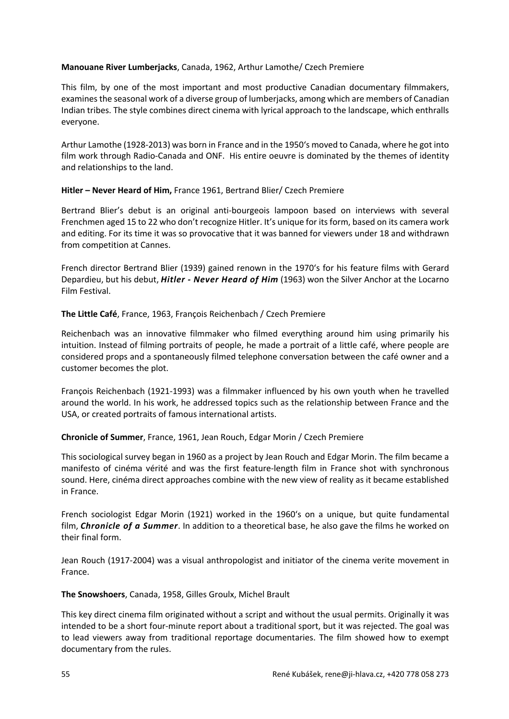## **Manouane River Lumberjacks**, Canada, 1962, Arthur Lamothe/ Czech Premiere

This film, by one of the most important and most productive Canadian documentary filmmakers, examines the seasonal work of a diverse group of lumberjacks, among which are members of Canadian Indian tribes. The style combines direct cinema with lyrical approach to the landscape, which enthralls everyone.

Arthur Lamothe (1928-2013) was born in France and in the 1950's moved to Canada, where he got into film work through Radio-Canada and ONF. His entire oeuvre is dominated by the themes of identity and relationships to the land.

## **Hitler – Never Heard of Him,** France 1961, Bertrand Blier/ Czech Premiere

Bertrand Blier's debut is an original anti-bourgeois lampoon based on interviews with several Frenchmen aged 15 to 22 who don't recognize Hitler. It's unique for its form, based on its camera work and editing. For its time it was so provocative that it was banned for viewers under 18 and withdrawn from competition at Cannes.

French director Bertrand Blier (1939) gained renown in the 1970's for his feature films with Gerard Depardieu, but his debut, *Hitler - Never Heard of Him* (1963) won the Silver Anchor at the Locarno Film Festival.

## **The Little Café**, France, 1963, François Reichenbach / Czech Premiere

Reichenbach was an innovative filmmaker who filmed everything around him using primarily his intuition. Instead of filming portraits of people, he made a portrait of a little café, where people are considered props and a spontaneously filmed telephone conversation between the café owner and a customer becomes the plot.

François Reichenbach (1921-1993) was a filmmaker influenced by his own youth when he travelled around the world. In his work, he addressed topics such as the relationship between France and the USA, or created portraits of famous international artists.

## **Chronicle of Summer**, France, 1961, Jean Rouch, Edgar Morin / Czech Premiere

This sociological survey began in 1960 as a project by Jean Rouch and Edgar Morin. The film became a manifesto of cinéma vérité and was the first feature-length film in France shot with synchronous sound. Here, cinéma direct approaches combine with the new view of reality as it became established in France.

French sociologist Edgar Morin (1921) worked in the 1960's on a unique, but quite fundamental film, *Chronicle of a Summer*. In addition to a theoretical base, he also gave the films he worked on their final form.

Jean Rouch (1917-2004) was a visual anthropologist and initiator of the cinema verite movement in France.

**The Snowshoers**, Canada, 1958, Gilles Groulx, Michel Brault

This key direct cinema film originated without a script and without the usual permits. Originally it was intended to be a short four-minute report about a traditional sport, but it was rejected. The goal was to lead viewers away from traditional reportage documentaries. The film showed how to exempt documentary from the rules.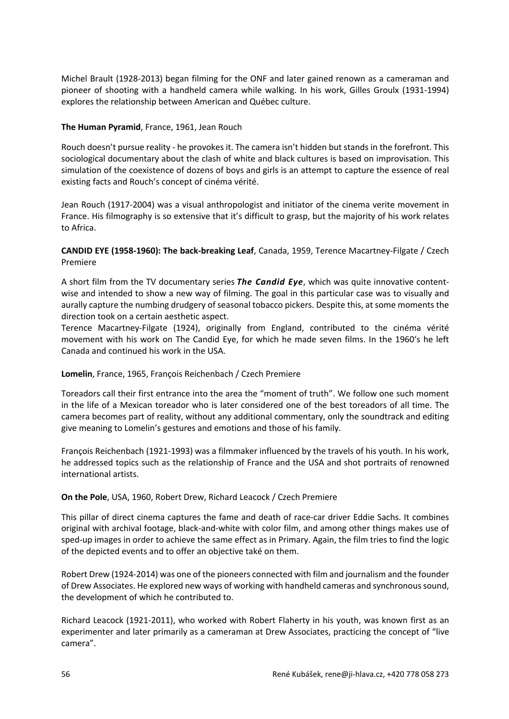Michel Brault (1928-2013) began filming for the ONF and later gained renown as a cameraman and pioneer of shooting with a handheld camera while walking. In his work, Gilles Groulx (1931-1994) explores the relationship between American and Québec culture.

## **The Human Pyramid**, France, 1961, Jean Rouch

Rouch doesn't pursue reality - he provokes it. The camera isn't hidden but stands in the forefront. This sociological documentary about the clash of white and black cultures is based on improvisation. This simulation of the coexistence of dozens of boys and girls is an attempt to capture the essence of real existing facts and Rouch's concept of cinéma vérité.

Jean Rouch (1917-2004) was a visual anthropologist and initiator of the cinema verite movement in France. His filmography is so extensive that it's difficult to grasp, but the majority of his work relates to Africa.

## **CANDID EYE (1958-1960): The back-breaking Leaf**, Canada, 1959, Terence Macartney-Filgate / Czech Premiere

A short film from the TV documentary series *The Candid Eye*, which was quite innovative contentwise and intended to show a new way of filming. The goal in this particular case was to visually and aurally capture the numbing drudgery of seasonal tobacco pickers. Despite this, at some moments the direction took on a certain aesthetic aspect.

Terence Macartney-Filgate (1924), originally from England, contributed to the cinéma vérité movement with his work on The Candid Eye, for which he made seven films. In the 1960's he left Canada and continued his work in the USA.

## **Lomelin**, France, 1965, François Reichenbach / Czech Premiere

Toreadors call their first entrance into the area the "moment of truth". We follow one such moment in the life of a Mexican toreador who is later considered one of the best toreadors of all time. The camera becomes part of reality, without any additional commentary, only the soundtrack and editing give meaning to Lomelin's gestures and emotions and those of his family.

François Reichenbach (1921-1993) was a filmmaker influenced by the travels of his youth. In his work, he addressed topics such as the relationship of France and the USA and shot portraits of renowned international artists.

#### **On the Pole**, USA, 1960, Robert Drew, Richard Leacock / Czech Premiere

This pillar of direct cinema captures the fame and death of race-car driver Eddie Sachs. It combines original with archival footage, black-and-white with color film, and among other things makes use of sped-up images in order to achieve the same effect as in Primary. Again, the film tries to find the logic of the depicted events and to offer an objective také on them.

Robert Drew (1924-2014) was one of the pioneers connected with film and journalism and the founder of Drew Associates. He explored new ways of working with handheld cameras and synchronous sound, the development of which he contributed to.

Richard Leacock (1921-2011), who worked with Robert Flaherty in his youth, was known first as an experimenter and later primarily as a cameraman at Drew Associates, practicing the concept of "live camera".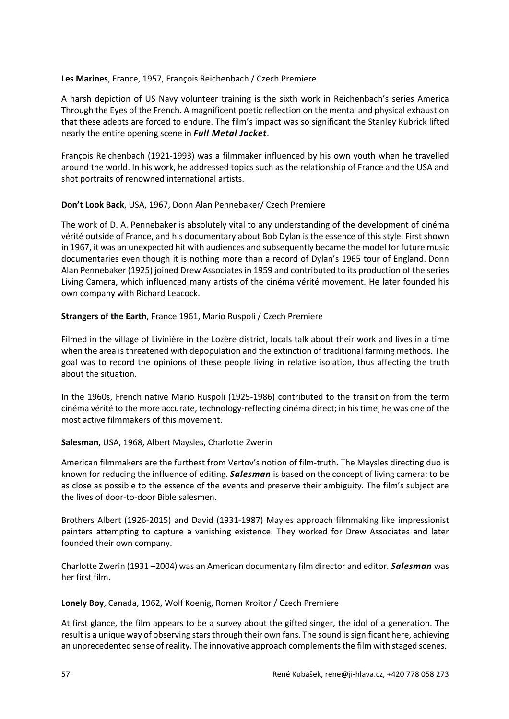### **Les Marines**, France, 1957, François Reichenbach / Czech Premiere

A harsh depiction of US Navy volunteer training is the sixth work in Reichenbach's series America Through the Eyes of the French. A magnificent poetic reflection on the mental and physical exhaustion that these adepts are forced to endure. The film's impact was so significant the Stanley Kubrick lifted nearly the entire opening scene in *Full Metal Jacket*.

François Reichenbach (1921-1993) was a filmmaker influenced by his own youth when he travelled around the world. In his work, he addressed topics such as the relationship of France and the USA and shot portraits of renowned international artists.

## **Don't Look Back**, USA, 1967, Donn Alan Pennebaker/ Czech Premiere

The work of D. A. Pennebaker is absolutely vital to any understanding of the development of cinéma vérité outside of France, and his documentary about Bob Dylan is the essence of this style. First shown in 1967, it was an unexpected hit with audiences and subsequently became the model for future music documentaries even though it is nothing more than a record of Dylan's 1965 tour of England. Donn Alan Pennebaker (1925) joined Drew Associates in 1959 and contributed to its production of the series Living Camera, which influenced many artists of the cinéma vérité movement. He later founded his own company with Richard Leacock.

## **Strangers of the Earth**, France 1961, Mario Ruspoli / Czech Premiere

Filmed in the village of Livinière in the Lozère district, locals talk about their work and lives in a time when the area is threatened with depopulation and the extinction of traditional farming methods. The goal was to record the opinions of these people living in relative isolation, thus affecting the truth about the situation.

In the 1960s, French native Mario Ruspoli (1925-1986) contributed to the transition from the term cinéma vérité to the more accurate, technology-reflecting cinéma direct; in his time, he was one of the most active filmmakers of this movement.

## **Salesman**, USA, 1968, Albert Maysles, Charlotte Zwerin

American filmmakers are the furthest from Vertov's notion of film-truth. The Maysles directing duo is known for reducing the influence of editing. *Salesman* is based on the concept of living camera: to be as close as possible to the essence of the events and preserve their ambiguity. The film's subject are the lives of door-to-door Bible salesmen.

Brothers Albert (1926-2015) and David (1931-1987) Mayles approach filmmaking like impressionist painters attempting to capture a vanishing existence. They worked for Drew Associates and later founded their own company.

Charlotte Zwerin (1931 –2004) was an American documentary film director and editor. *Salesman* was her first film.

#### **Lonely Boy**, Canada, 1962, Wolf Koenig, Roman Kroitor / Czech Premiere

At first glance, the film appears to be a survey about the gifted singer, the idol of a generation. The result is a unique way of observing stars through their own fans. The sound is significant here, achieving an unprecedented sense of reality. The innovative approach complements the film with staged scenes.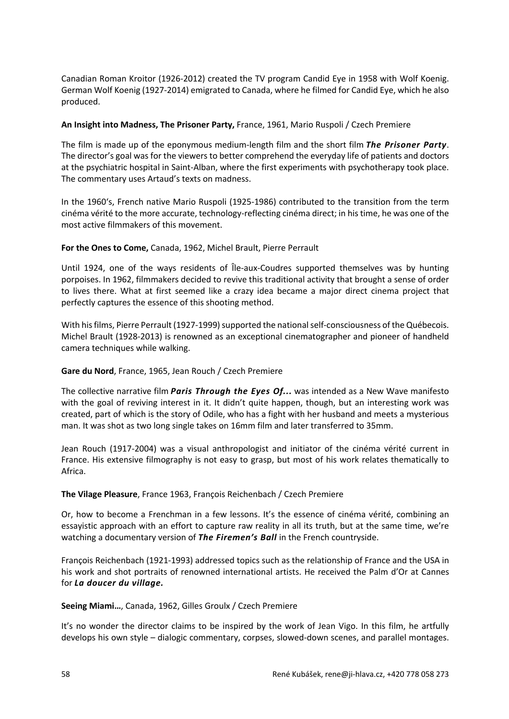Canadian Roman Kroitor (1926-2012) created the TV program Candid Eye in 1958 with Wolf Koenig. German Wolf Koenig (1927-2014) emigrated to Canada, where he filmed for Candid Eye, which he also produced.

## **An Insight into Madness, The Prisoner Party,** France, 1961, Mario Ruspoli / Czech Premiere

The film is made up of the eponymous medium-length film and the short film *The Prisoner Party*. The director's goal was for the viewers to better comprehend the everyday life of patients and doctors at the psychiatric hospital in Saint-Alban, where the first experiments with psychotherapy took place. The commentary uses Artaud's texts on madness.

In the 1960's, French native Mario Ruspoli (1925-1986) contributed to the transition from the term cinéma vérité to the more accurate, technology-reflecting cinéma direct; in his time, he was one of the most active filmmakers of this movement.

## **For the Ones to Come,** Canada, 1962, Michel Brault, Pierre Perrault

Until 1924, one of the ways residents of Île-aux-Coudres supported themselves was by hunting porpoises. In 1962, filmmakers decided to revive this traditional activity that brought a sense of order to lives there. What at first seemed like a crazy idea became a major direct cinema project that perfectly captures the essence of this shooting method.

With his films, Pierre Perrault (1927-1999) supported the national self-consciousness of the Québecois. Michel Brault (1928-2013) is renowned as an exceptional cinematographer and pioneer of handheld camera techniques while walking.

#### **Gare du Nord**, France, 1965, Jean Rouch / Czech Premiere

The collective narrative film *Paris Through the Eyes Of...* was intended as a New Wave manifesto with the goal of reviving interest in it. It didn't quite happen, though, but an interesting work was created, part of which is the story of Odile, who has a fight with her husband and meets a mysterious man. It was shot as two long single takes on 16mm film and later transferred to 35mm.

Jean Rouch (1917-2004) was a visual anthropologist and initiator of the cinéma vérité current in France. His extensive filmography is not easy to grasp, but most of his work relates thematically to Africa.

#### **The Vilage Pleasure**, France 1963, François Reichenbach / Czech Premiere

Or, how to become a Frenchman in a few lessons. It's the essence of cinéma vérité, combining an essayistic approach with an effort to capture raw reality in all its truth, but at the same time, we're watching a documentary version of *The Firemen's Ball* in the French countryside.

François Reichenbach (1921-1993) addressed topics such as the relationship of France and the USA in his work and shot portraits of renowned international artists. He received the Palm d'Or at Cannes for *La doucer du village.*

#### **Seeing Miami…**, Canada, 1962, Gilles Groulx / Czech Premiere

It's no wonder the director claims to be inspired by the work of Jean Vigo. In this film, he artfully develops his own style – dialogic commentary, corpses, slowed-down scenes, and parallel montages.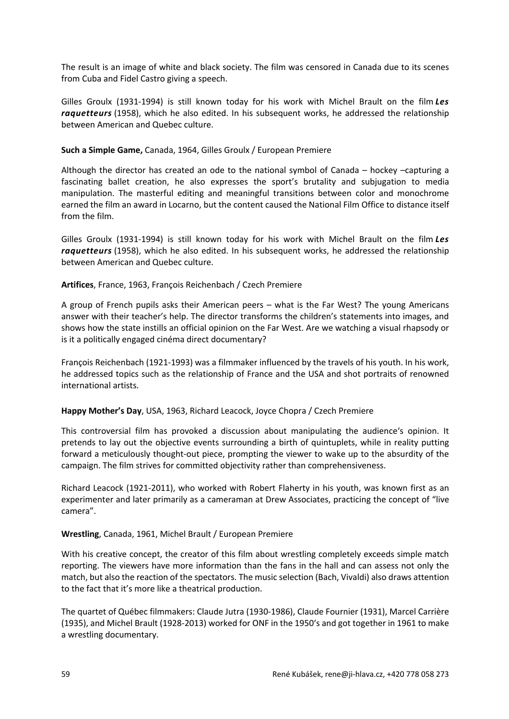The result is an image of white and black society. The film was censored in Canada due to its scenes from Cuba and Fidel Castro giving a speech.

Gilles Groulx (1931-1994) is still known today for his work with Michel Brault on the film *Les raquetteurs* (1958), which he also edited. In his subsequent works, he addressed the relationship between American and Quebec culture.

## **Such a Simple Game,** Canada, 1964, Gilles Groulx / European Premiere

Although the director has created an ode to the national symbol of Canada – hockey –capturing a fascinating ballet creation, he also expresses the sport's brutality and subjugation to media manipulation. The masterful editing and meaningful transitions between color and monochrome earned the film an award in Locarno, but the content caused the National Film Office to distance itself from the film.

Gilles Groulx (1931-1994) is still known today for his work with Michel Brault on the film *Les raquetteurs* (1958), which he also edited. In his subsequent works, he addressed the relationship between American and Quebec culture.

## **Artifices**, France, 1963, François Reichenbach / Czech Premiere

A group of French pupils asks their American peers – what is the Far West? The young Americans answer with their teacher's help. The director transforms the children's statements into images, and shows how the state instills an official opinion on the Far West. Are we watching a visual rhapsody or is it a politically engaged cinéma direct documentary?

François Reichenbach (1921-1993) was a filmmaker influenced by the travels of his youth. In his work, he addressed topics such as the relationship of France and the USA and shot portraits of renowned international artists.

#### **Happy Mother's Day**, USA, 1963, Richard Leacock, Joyce Chopra / Czech Premiere

This controversial film has provoked a discussion about manipulating the audience's opinion. It pretends to lay out the objective events surrounding a birth of quintuplets, while in reality putting forward a meticulously thought-out piece, prompting the viewer to wake up to the absurdity of the campaign. The film strives for committed objectivity rather than comprehensiveness.

Richard Leacock (1921-2011), who worked with Robert Flaherty in his youth, was known first as an experimenter and later primarily as a cameraman at Drew Associates, practicing the concept of "live camera".

#### **Wrestling**, Canada, 1961, Michel Brault / European Premiere

With his creative concept, the creator of this film about wrestling completely exceeds simple match reporting. The viewers have more information than the fans in the hall and can assess not only the match, but also the reaction of the spectators. The music selection (Bach, Vivaldi) also draws attention to the fact that it's more like a theatrical production.

The quartet of Québec filmmakers: Claude Jutra (1930-1986), Claude Fournier (1931), Marcel Carrière (1935), and Michel Brault (1928-2013) worked for ONF in the 1950's and got together in 1961 to make a wrestling documentary.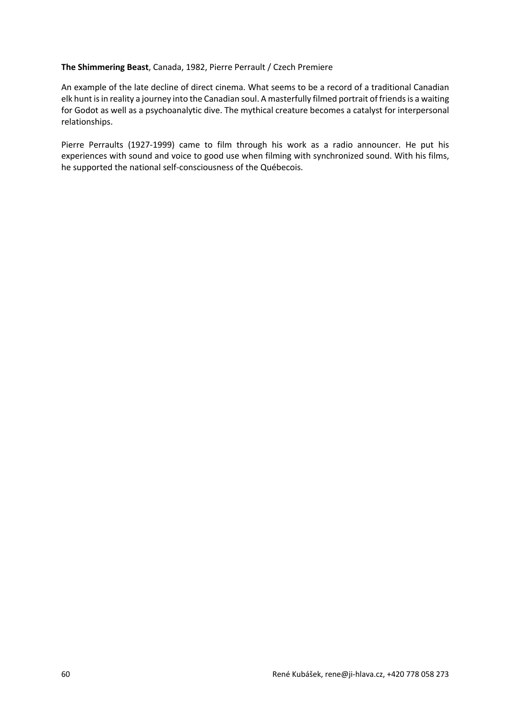## **The Shimmering Beast**, Canada, 1982, Pierre Perrault / Czech Premiere

An example of the late decline of direct cinema. What seems to be a record of a traditional Canadian elk hunt is in reality a journey into the Canadian soul. A masterfully filmed portrait of friends is a waiting for Godot as well as a psychoanalytic dive. The mythical creature becomes a catalyst for interpersonal relationships.

Pierre Perraults (1927-1999) came to film through his work as a radio announcer. He put his experiences with sound and voice to good use when filming with synchronized sound. With his films, he supported the national self-consciousness of the Québecois.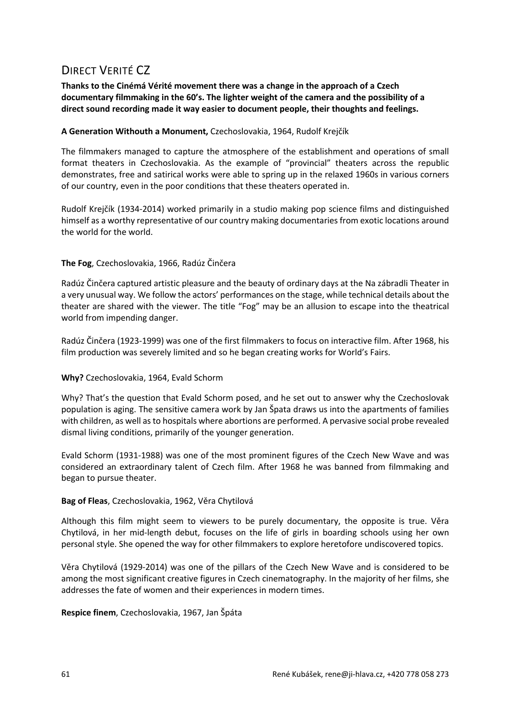# DIRECT VERITÉ CZ

**Thanks to the Cinémá Vérité movement there was a change in the approach of a Czech documentary filmmaking in the 60's. The lighter weight of the camera and the possibility of a direct sound recording made it way easier to document people, their thoughts and feelings.**

## **A Generation Withouth a Monument,** Czechoslovakia, 1964, Rudolf Krejčík

The filmmakers managed to capture the atmosphere of the establishment and operations of small format theaters in Czechoslovakia. As the example of "provincial" theaters across the republic demonstrates, free and satirical works were able to spring up in the relaxed 1960s in various corners of our country, even in the poor conditions that these theaters operated in.

Rudolf Krejčík (1934-2014) worked primarily in a studio making pop science films and distinguished himself as a worthy representative of our country making documentaries from exotic locations around the world for the world.

## **The Fog**, Czechoslovakia, 1966, Radúz Činčera

Radúz Činčera captured artistic pleasure and the beauty of ordinary days at the Na zábradli Theater in a very unusual way. We follow the actors' performances on the stage, while technical details about the theater are shared with the viewer. The title "Fog" may be an allusion to escape into the theatrical world from impending danger.

Radúz Činčera (1923-1999) was one of the first filmmakers to focus on interactive film. After 1968, his film production was severely limited and so he began creating works for World's Fairs.

#### **Why?** Czechoslovakia, 1964, Evald Schorm

Why? That's the question that Evald Schorm posed, and he set out to answer why the Czechoslovak population is aging. The sensitive camera work by Jan Špata draws us into the apartments of families with children, as well as to hospitals where abortions are performed. A pervasive social probe revealed dismal living conditions, primarily of the younger generation.

Evald Schorm (1931-1988) was one of the most prominent figures of the Czech New Wave and was considered an extraordinary talent of Czech film. After 1968 he was banned from filmmaking and began to pursue theater.

#### **Bag of Fleas**, Czechoslovakia, 1962, Věra Chytilová

Although this film might seem to viewers to be purely documentary, the opposite is true. Věra Chytilová, in her mid-length debut, focuses on the life of girls in boarding schools using her own personal style. She opened the way for other filmmakers to explore heretofore undiscovered topics.

Věra Chytilová (1929-2014) was one of the pillars of the Czech New Wave and is considered to be among the most significant creative figures in Czech cinematography. In the majority of her films, she addresses the fate of women and their experiences in modern times.

**Respice finem**, Czechoslovakia, 1967, Jan Špáta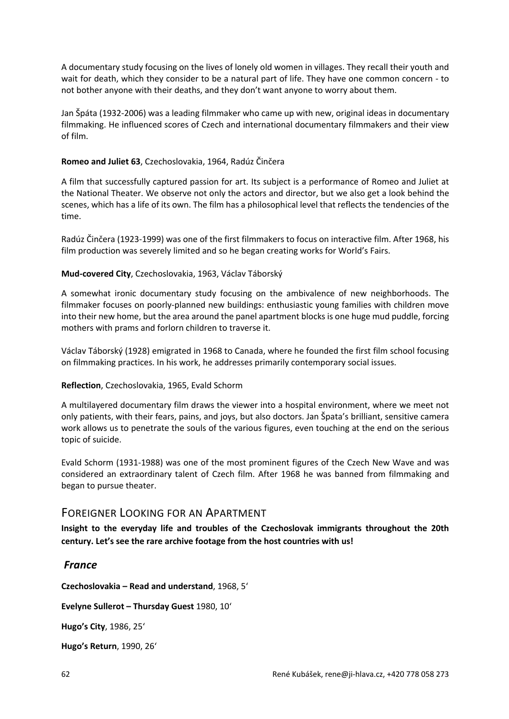A documentary study focusing on the lives of lonely old women in villages. They recall their youth and wait for death, which they consider to be a natural part of life. They have one common concern - to not bother anyone with their deaths, and they don't want anyone to worry about them.

Jan Špáta (1932-2006) was a leading filmmaker who came up with new, original ideas in documentary filmmaking. He influenced scores of Czech and international documentary filmmakers and their view of film.

## **Romeo and Juliet 63**, Czechoslovakia, 1964, Radúz Činčera

A film that successfully captured passion for art. Its subject is a performance of Romeo and Juliet at the National Theater. We observe not only the actors and director, but we also get a look behind the scenes, which has a life of its own. The film has a philosophical level that reflects the tendencies of the time.

Radúz Činčera (1923-1999) was one of the first filmmakers to focus on interactive film. After 1968, his film production was severely limited and so he began creating works for World's Fairs.

## **Mud-covered City**, Czechoslovakia, 1963, Václav Táborský

A somewhat ironic documentary study focusing on the ambivalence of new neighborhoods. The filmmaker focuses on poorly-planned new buildings: enthusiastic young families with children move into their new home, but the area around the panel apartment blocks is one huge mud puddle, forcing mothers with prams and forlorn children to traverse it.

Václav Táborský (1928) emigrated in 1968 to Canada, where he founded the first film school focusing on filmmaking practices. In his work, he addresses primarily contemporary social issues.

#### **Reflection**, Czechoslovakia, 1965, Evald Schorm

A multilayered documentary film draws the viewer into a hospital environment, where we meet not only patients, with their fears, pains, and joys, but also doctors. Jan Špata's brilliant, sensitive camera work allows us to penetrate the souls of the various figures, even touching at the end on the serious topic of suicide.

Evald Schorm (1931-1988) was one of the most prominent figures of the Czech New Wave and was considered an extraordinary talent of Czech film. After 1968 he was banned from filmmaking and began to pursue theater.

# FOREIGNER LOOKING FOR AN APARTMENT

**Insight to the everyday life and troubles of the Czechoslovak immigrants throughout the 20th century. Let's see the rare archive footage from the host countries with us!**

## *France*

**Czechoslovakia – Read and understand**, 1968, 5'

**Evelyne Sullerot – Thursday Guest** 1980, 10'

**Hugo's City**, 1986, 25'

**Hugo's Return**, 1990, 26'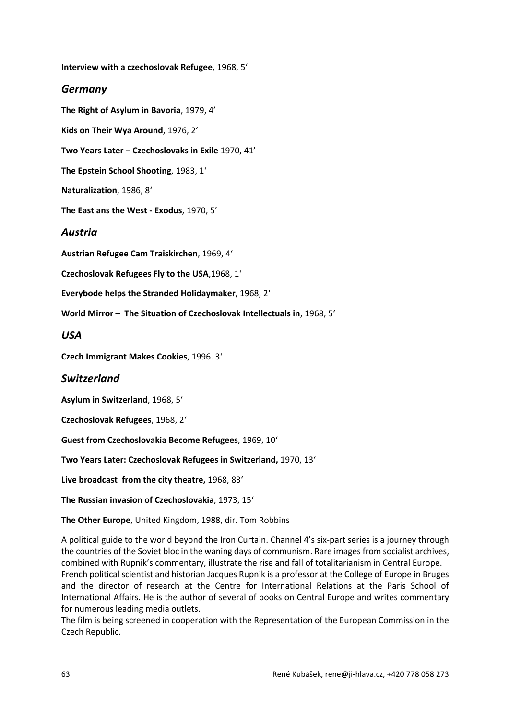**Interview with a czechoslovak Refugee**, 1968, 5'

## *Germany*

**The Right of Asylum in Bavoria**, 1979, 4'

**Kids on Their Wya Around**, 1976, 2'

**Two Years Later – Czechoslovaks in Exile** 1970, 41'

**The Epstein School Shooting**, 1983, 1'

**Naturalization**, 1986, 8'

**The East ans the West - Exodus**, 1970, 5'

## *Austria*

**Austrian Refugee Cam Traiskirchen**, 1969, 4'

**Czechoslovak Refugees Fly to the USA**,1968, 1'

**Everybode helps the Stranded Holidaymaker**, 1968, 2'

**World Mirror – The Situation of Czechoslovak Intellectuals in**, 1968, 5'

## *USA*

**Czech Immigrant Makes Cookies**, 1996. 3'

## *Switzerland*

**Asylum in Switzerland**, 1968, 5'

**Czechoslovak Refugees**, 1968, 2'

**Guest from Czechoslovakia Become Refugees**, 1969, 10'

**Two Years Later: Czechoslovak Refugees in Switzerland,** 1970, 13'

**Live broadcast from the city theatre,** 1968, 83'

**The Russian invasion of Czechoslovakia**, 1973, 15'

**The Other Europe**, United Kingdom, 1988, dir. Tom Robbins

A political guide to the world beyond the Iron Curtain. Channel 4's six-part series is a journey through the countries of the Soviet bloc in the waning days of communism. Rare images from socialist archives, combined with Rupnik's commentary, illustrate the rise and fall of totalitarianism in Central Europe. French political scientist and historian Jacques Rupnik is a professor at the College of Europe in Bruges and the director of research at the Centre for International Relations at the Paris School of International Affairs. He is the author of several of books on Central Europe and writes commentary for numerous leading media outlets.

The film is being screened in cooperation with the Representation of the European Commission in the Czech Republic.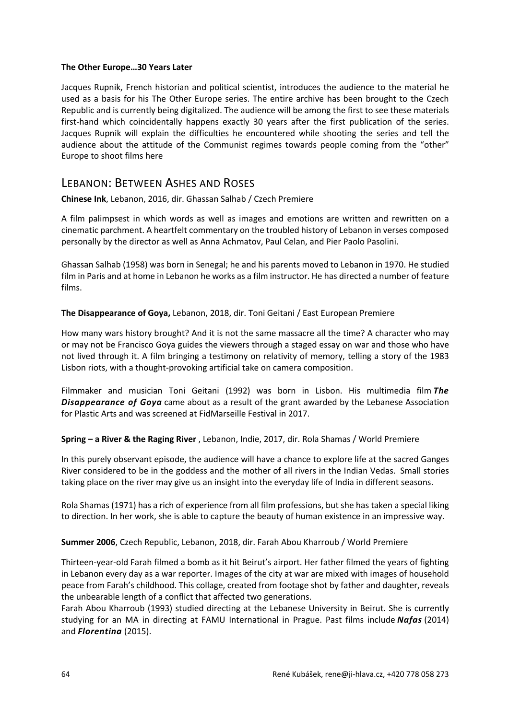#### **The Other Europe…30 Years Later**

Jacques Rupnik, French historian and political scientist, introduces the audience to the material he used as a basis for his The Other Europe series. The entire archive has been brought to the Czech Republic and is currently being digitalized. The audience will be among the first to see these materials first-hand which coincidentally happens exactly 30 years after the first publication of the series. Jacques Rupnik will explain the difficulties he encountered while shooting the series and tell the audience about the attitude of the Communist regimes towards people coming from the "other" Europe to shoot films here

## LEBANON: BETWEEN ASHES AND ROSES

**Chinese Ink**, Lebanon, 2016, dir. Ghassan Salhab / Czech Premiere

A film palimpsest in which words as well as images and emotions are written and rewritten on a cinematic parchment. A heartfelt commentary on the troubled history of Lebanon in verses composed personally by the director as well as Anna Achmatov, Paul Celan, and Pier Paolo Pasolini.

Ghassan Salhab (1958) was born in Senegal; he and his parents moved to Lebanon in 1970. He studied film in Paris and at home in Lebanon he works as a film instructor. He has directed a number of feature films.

#### **The Disappearance of Goya,** Lebanon, 2018, dir. Toni Geitani / East European Premiere

How many wars history brought? And it is not the same massacre all the time? A character who may or may not be Francisco Goya guides the viewers through a staged essay on war and those who have not lived through it. A film bringing a testimony on relativity of memory, telling a story of the 1983 Lisbon riots, with a thought-provoking artificial take on camera composition.

Filmmaker and musician Toni Geitani (1992) was born in Lisbon. His multimedia film *The Disappearance of Goya* came about as a result of the grant awarded by the Lebanese Association for Plastic Arts and was screened at FidMarseille Festival in 2017.

#### **Spring – a River & the Raging River** , Lebanon, Indie, 2017, dir. Rola Shamas / World Premiere

In this purely observant episode, the audience will have a chance to explore life at the sacred Ganges River considered to be in the goddess and the mother of all rivers in the Indian Vedas. Small stories taking place on the river may give us an insight into the everyday life of India in different seasons.

Rola Shamas (1971) has a rich of experience from all film professions, but she has taken a special liking to direction. In her work, she is able to capture the beauty of human existence in an impressive way.

#### **Summer 2006**, Czech Republic, Lebanon, 2018, dir. Farah Abou Kharroub / World Premiere

Thirteen-year-old Farah filmed a bomb as it hit Beirut's airport. Her father filmed the years of fighting in Lebanon every day as a war reporter. Images of the city at war are mixed with images of household peace from Farah's childhood. This collage, created from footage shot by father and daughter, reveals the unbearable length of a conflict that affected two generations.

Farah Abou Kharroub (1993) studied directing at the Lebanese University in Beirut. She is currently studying for an MA in directing at FAMU International in Prague. Past films include *Nafas* (2014) and *Florentina* (2015).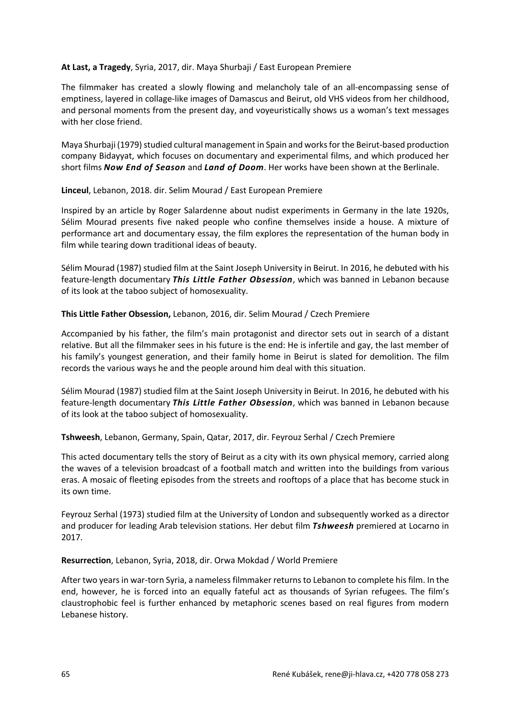### **At Last, a Tragedy**, Syria, 2017, dir. Maya Shurbaji / East European Premiere

The filmmaker has created a slowly flowing and melancholy tale of an all-encompassing sense of emptiness, layered in collage-like images of Damascus and Beirut, old VHS videos from her childhood, and personal moments from the present day, and voyeuristically shows us a woman's text messages with her close friend.

Maya Shurbaji (1979) studied cultural management in Spain and works for the Beirut-based production company Bidayyat, which focuses on documentary and experimental films, and which produced her short films *Now End of Season* and *Land of Doom*. Her works have been shown at the Berlinale.

**Linceul**, Lebanon, 2018. dir. Selim Mourad / East European Premiere

Inspired by an article by Roger Salardenne about nudist experiments in Germany in the late 1920s, Sélim Mourad presents five naked people who confine themselves inside a house. A mixture of performance art and documentary essay, the film explores the representation of the human body in film while tearing down traditional ideas of beauty.

Sélim Mourad (1987) studied film at the Saint Joseph University in Beirut. In 2016, he debuted with his feature-length documentary *This Little Father Obsession*, which was banned in Lebanon because of its look at the taboo subject of homosexuality.

## **This Little Father Obsession,** Lebanon, 2016, dir. Selim Mourad / Czech Premiere

Accompanied by his father, the film's main protagonist and director sets out in search of a distant relative. But all the filmmaker sees in his future is the end: He is infertile and gay, the last member of his family's youngest generation, and their family home in Beirut is slated for demolition. The film records the various ways he and the people around him deal with this situation.

Sélim Mourad (1987) studied film at the Saint Joseph University in Beirut. In 2016, he debuted with his feature-length documentary *This Little Father Obsession*, which was banned in Lebanon because of its look at the taboo subject of homosexuality.

**Tshweesh**, Lebanon, Germany, Spain, Qatar, 2017, dir. Feyrouz Serhal / Czech Premiere

This acted documentary tells the story of Beirut as a city with its own physical memory, carried along the waves of a television broadcast of a football match and written into the buildings from various eras. A mosaic of fleeting episodes from the streets and rooftops of a place that has become stuck in its own time.

Feyrouz Serhal (1973) studied film at the University of London and subsequently worked as a director and producer for leading Arab television stations. Her debut film *Tshweesh* premiered at Locarno in 2017.

## **Resurrection**, Lebanon, Syria, 2018, dir. Orwa Mokdad / World Premiere

After two years in war-torn Syria, a nameless filmmaker returns to Lebanon to complete his film. In the end, however, he is forced into an equally fateful act as thousands of Syrian refugees. The film's claustrophobic feel is further enhanced by metaphoric scenes based on real figures from modern Lebanese history.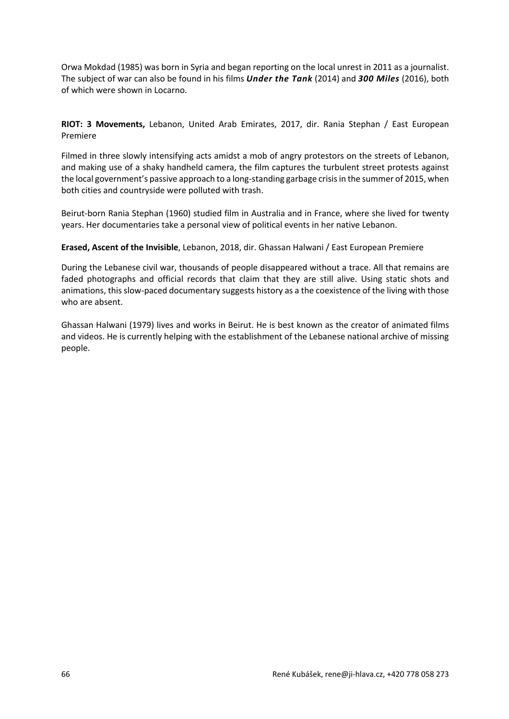Orwa Mokdad (1985) was born in Syria and began reporting on the local unrest in 2011 as a journalist. The subject of war can also be found in his films *Under the Tank* (2014) and *300 Miles* (2016), both of which were shown in Locarno.

**RIOT: 3 Movements,** Lebanon, United Arab Emirates, 2017, dir. Rania Stephan / East European Premiere

Filmed in three slowly intensifying acts amidst a mob of angry protestors on the streets of Lebanon, and making use of a shaky handheld camera, the film captures the turbulent street protests against the local government's passive approach to a long-standing garbage crisis in the summer of 2015, when both cities and countryside were polluted with trash.

Beirut-born Rania Stephan (1960) studied film in Australia and in France, where she lived for twenty years. Her documentaries take a personal view of political events in her native Lebanon.

**Erased, Ascent of the Invisible**, Lebanon, 2018, dir. Ghassan Halwani / East European Premiere

During the Lebanese civil war, thousands of people disappeared without a trace. All that remains are faded photographs and official records that claim that they are still alive. Using static shots and animations, this slow-paced documentary suggests history as a the coexistence of the living with those who are absent.

Ghassan Halwani (1979) lives and works in Beirut. He is best known as the creator of animated films and videos. He is currently helping with the establishment of the Lebanese national archive of missing people.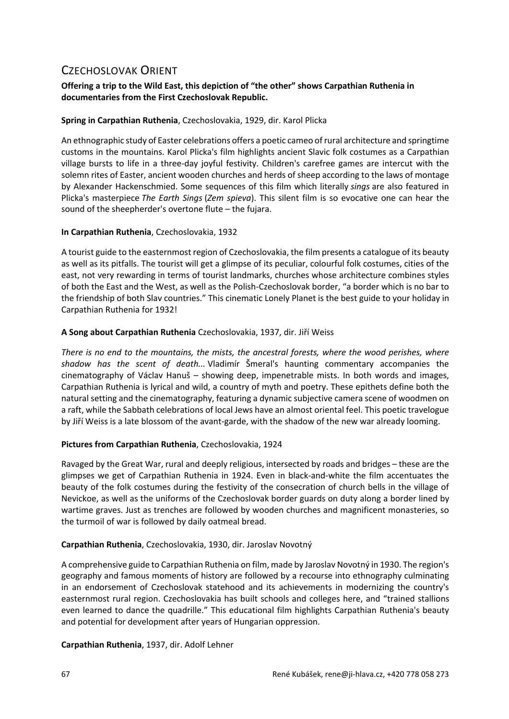# CZECHOSLOVAK ORIENT

## **Offering a trip to the Wild East, this depiction of "the other" shows Carpathian Ruthenia in documentaries from the First Czechoslovak Republic.**

## **Spring in Carpathian Ruthenia**, Czechoslovakia, 1929, dir. Karol Plicka

An ethnographic study of Easter celebrations offers a poetic cameo of rural architecture and springtime customs in the mountains. Karol Plicka's film highlights ancient Slavic folk costumes as a Carpathian village bursts to life in a three-day joyful festivity. Children's carefree games are intercut with the solemn rites of Easter, ancient wooden churches and herds of sheep according to the laws of montage by Alexander Hackenschmied. Some sequences of this film which literally *sings* are also featured in Plicka's masterpiece *The Earth Sings* (*Zem spieva*). This silent film is so evocative one can hear the sound of the sheepherder's overtone flute – the fujara.

## **In Carpathian Ruthenia**, Czechoslovakia, 1932

A tourist guide to the easternmost region of Czechoslovakia, the film presents a catalogue of its beauty as well as its pitfalls. The tourist will get a glimpse of its peculiar, colourful folk costumes, cities of the east, not very rewarding in terms of tourist landmarks, churches whose architecture combines styles of both the East and the West, as well as the Polish-Czechoslovak border, "a border which is no bar to the friendship of both Slav countries." This cinematic Lonely Planet is the best guide to your holiday in Carpathian Ruthenia for 1932!

## **A Song about Carpathian Ruthenia** Czechoslovakia, 1937, dir. Jiří Weiss

*There is no end to the mountains, the mists, the ancestral forests, where the wood perishes, where shadow has the scent of death...* Vladimír Šmeral's haunting commentary accompanies the cinematography of Václav Hanuš – showing deep, impenetrable mists. In both words and images, Carpathian Ruthenia is lyrical and wild, a country of myth and poetry. These epithets define both the natural setting and the cinematography, featuring a dynamic subjective camera scene of woodmen on a raft, while the Sabbath celebrations of local Jews have an almost oriental feel. This poetic travelogue by Jiří Weiss is a late blossom of the avant-garde, with the shadow of the new war already looming.

## **Pictures from Carpathian Ruthenia**, Czechoslovakia, 1924

Ravaged by the Great War, rural and deeply religious, intersected by roads and bridges – these are the glimpses we get of Carpathian Ruthenia in 1924. Even in black-and-white the film accentuates the beauty of the folk costumes during the festivity of the consecration of church bells in the village of Nevickoe, as well as the uniforms of the Czechoslovak border guards on duty along a border lined by wartime graves. Just as trenches are followed by wooden churches and magnificent monasteries, so the turmoil of war is followed by daily oatmeal bread.

## **Carpathian Ruthenia**, Czechoslovakia, 1930, dir. Jaroslav Novotný

A comprehensive guide to Carpathian Ruthenia on film, made by Jaroslav Novotný in 1930. The region's geography and famous moments of history are followed by a recourse into ethnography culminating in an endorsement of Czechoslovak statehood and its achievements in modernizing the country's easternmost rural region. Czechoslovakia has built schools and colleges here, and "trained stallions even learned to dance the quadrille." This educational film highlights Carpathian Ruthenia's beauty and potential for development after years of Hungarian oppression.

## **Carpathian Ruthenia**, 1937, dir. Adolf Lehner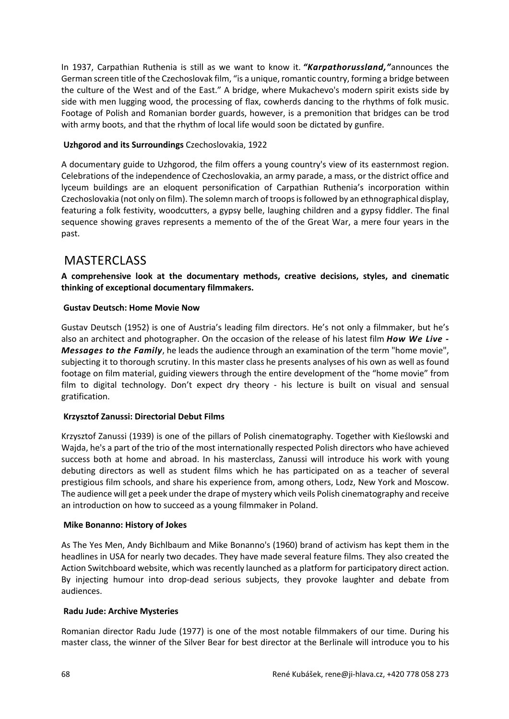In 1937, Carpathian Ruthenia is still as we want to know it. *"Karpathorussland,"*announces the German screen title of the Czechoslovak film, "is a unique, romantic country, forming a bridge between the culture of the West and of the East." A bridge, where Mukachevo's modern spirit exists side by side with men lugging wood, the processing of flax, cowherds dancing to the rhythms of folk music. Footage of Polish and Romanian border guards, however, is a premonition that bridges can be trod with army boots, and that the rhythm of local life would soon be dictated by gunfire.

## **Uzhgorod and its Surroundings** Czechoslovakia, 1922

A documentary guide to Uzhgorod, the film offers a young country's view of its easternmost region. Celebrations of the independence of Czechoslovakia, an army parade, a mass, or the district office and lyceum buildings are an eloquent personification of Carpathian Ruthenia's incorporation within Czechoslovakia (not only on film). The solemn march of troops is followed by an ethnographical display, featuring a folk festivity, woodcutters, a gypsy belle, laughing children and a gypsy fiddler. The final sequence showing graves represents a memento of the of the Great War, a mere four years in the past.

# MASTERCLASS

**A comprehensive look at the documentary methods, creative decisions, styles, and cinematic thinking of exceptional documentary filmmakers.**

## **Gustav Deutsch: Home Movie Now**

Gustav Deutsch (1952) is one of Austria's leading film directors. He's not only a filmmaker, but he's also an architect and photographer. On the occasion of the release of his latest film *How We Live - Messages to the Family*, he leads the audience through an examination of the term "home movie", subjecting it to thorough scrutiny. In this master class he presents analyses of his own as well as found footage on film material, guiding viewers through the entire development of the "home movie" from film to digital technology. Don't expect dry theory - his lecture is built on visual and sensual gratification.

## **Krzysztof Zanussi: Directorial Debut Films**

Krzysztof Zanussi (1939) is one of the pillars of Polish cinematography. Together with Kieślowski and Wajda, he's a part of the trio of the most internationally respected Polish directors who have achieved success both at home and abroad. In his masterclass, Zanussi will introduce his work with young debuting directors as well as student films which he has participated on as a teacher of several prestigious film schools, and share his experience from, among others, Lodz, New York and Moscow. The audience will get a peek under the drape of mystery which veils Polish cinematography and receive an introduction on how to succeed as a young filmmaker in Poland.

#### **Mike Bonanno: History of Jokes**

As The Yes Men, Andy Bichlbaum and Mike Bonanno's (1960) brand of activism has kept them in the headlines in USA for nearly two decades. They have made several feature films. They also created the Action Switchboard website, which was recently launched as a platform for participatory direct action. By injecting humour into drop-dead serious subjects, they provoke laughter and debate from audiences.

#### **Radu Jude: Archive Mysteries**

Romanian director Radu Jude (1977) is one of the most notable filmmakers of our time. During his master class, the winner of the Silver Bear for best director at the Berlinale will introduce you to his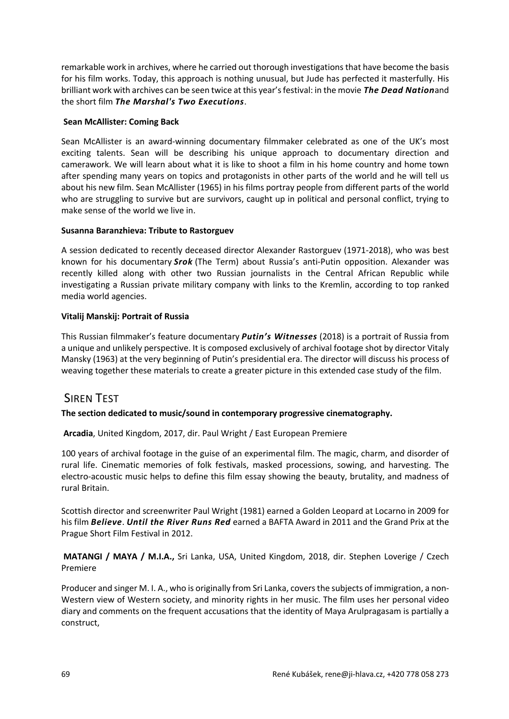remarkable work in archives, where he carried out thorough investigations that have become the basis for his film works. Today, this approach is nothing unusual, but Jude has perfected it masterfully. His brilliant work with archives can be seen twice at this year's festival: in the movie *The Dead Nation*and the short film *The Marshal's Two Executions*.

## **Sean McAllister: Coming Back**

Sean McAllister is an award-winning documentary filmmaker celebrated as one of the UK's most exciting talents. Sean will be describing his unique approach to documentary direction and camerawork. We will learn about what it is like to shoot a film in his home country and home town after spending many years on topics and protagonists in other parts of the world and he will tell us about his new film. Sean McAllister (1965) in his films portray people from different parts of the world who are struggling to survive but are survivors, caught up in political and personal conflict, trying to make sense of the world we live in.

## **Susanna Baranzhieva: Tribute to Rastorguev**

A session dedicated to recently deceased director Alexander Rastorguev (1971-2018), who was best known for his documentary *Srok* (The Term) about Russia's anti-Putin opposition. Alexander was recently killed along with other two Russian journalists in the Central African Republic while investigating a Russian private military company with links to the Kremlin, according to top ranked media world agencies.

## **Vitalij Manskij: Portrait of Russia**

This Russian filmmaker's feature documentary *Putin's Witnesses* (2018) is a portrait of Russia from a unique and unlikely perspective. It is composed exclusively of archival footage shot by director Vitaly Mansky (1963) at the very beginning of Putin's presidential era. The director will discuss his process of weaving together these materials to create a greater picture in this extended case study of the film.

# **SIREN TEST**

## **The section dedicated to music/sound in contemporary progressive cinematography.**

**Arcadia**, United Kingdom, 2017, dir. Paul Wright / East European Premiere

100 years of archival footage in the guise of an experimental film. The magic, charm, and disorder of rural life. Cinematic memories of folk festivals, masked processions, sowing, and harvesting. The electro-acoustic music helps to define this film essay showing the beauty, brutality, and madness of rural Britain.

Scottish director and screenwriter Paul Wright (1981) earned a Golden Leopard at Locarno in 2009 for his film *Believe*. *Until the River Runs Red* earned a BAFTA Award in 2011 and the Grand Prix at the Prague Short Film Festival in 2012.

**MATANGI / MAYA / M.I.A.,** Sri Lanka, USA, United Kingdom, 2018, dir. Stephen Loverige / Czech Premiere

Producer and singer M. I. A., who is originally from Sri Lanka, covers the subjects of immigration, a non-Western view of Western society, and minority rights in her music. The film uses her personal video diary and comments on the frequent accusations that the identity of Maya Arulpragasam is partially a construct,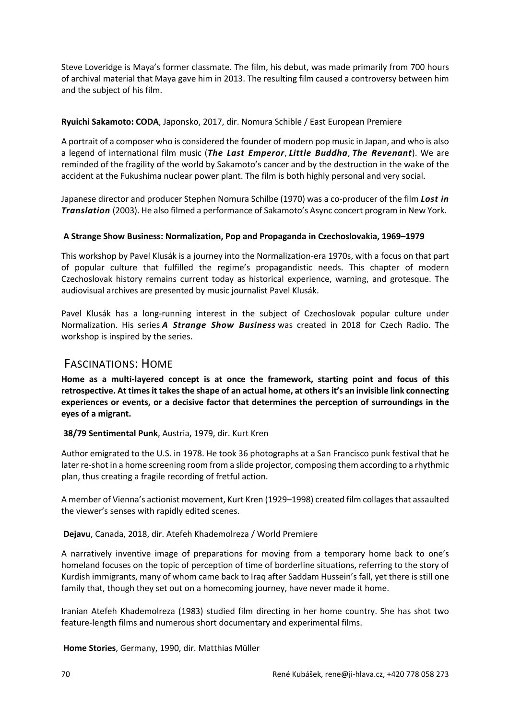Steve Loveridge is Maya's former classmate. The film, his debut, was made primarily from 700 hours of archival material that Maya gave him in 2013. The resulting film caused a controversy between him and the subject of his film.

## **Ryuichi Sakamoto: CODA**, Japonsko, 2017, dir. Nomura Schible / East European Premiere

A portrait of a composer who is considered the founder of modern pop music in Japan, and who is also a legend of international film music (*The Last Emperor*, *Little Buddha*, *The Revenant*). We are reminded of the fragility of the world by Sakamoto's cancer and by the destruction in the wake of the accident at the Fukushima nuclear power plant. The film is both highly personal and very social.

Japanese director and producer Stephen Nomura Schilbe (1970) was a co-producer of the film *Lost in Translation* (2003). He also filmed a performance of Sakamoto's Async concert program in New York.

## **A Strange Show Business: Normalization, Pop and Propaganda in Czechoslovakia, 1969–1979**

This workshop by Pavel Klusák is a journey into the Normalization-era 1970s, with a focus on that part of popular culture that fulfilled the regime's propagandistic needs. This chapter of modern Czechoslovak history remains current today as historical experience, warning, and grotesque. The audiovisual archives are presented by music journalist Pavel Klusák.

Pavel Klusák has a long-running interest in the subject of Czechoslovak popular culture under Normalization. His series *A Strange Show Business* was created in 2018 for Czech Radio. The workshop is inspired by the series.

## FASCINATIONS: HOME

**Home as a multi-layered concept is at once the framework, starting point and focus of this retrospective. At times it takes the shape of an actual home, at others it's an invisible link connecting experiences or events, or a decisive factor that determines the perception of surroundings in the eyes of a migrant.**

#### **38/79 Sentimental Punk**, Austria, 1979, dir. Kurt Kren

Author emigrated to the U.S. in 1978. He took 36 photographs at a San Francisco punk festival that he later re-shot in a home screening room from a slide projector, composing them according to a rhythmic plan, thus creating a fragile recording of fretful action.

A member of Vienna's actionist movement, Kurt Kren (1929–1998) created film collages that assaulted the viewer's senses with rapidly edited scenes.

**Dejavu**, Canada, 2018, dir. Atefeh Khademolreza / World Premiere

A narratively inventive image of preparations for moving from a temporary home back to one's homeland focuses on the topic of perception of time of borderline situations, referring to the story of Kurdish immigrants, many of whom came back to Iraq after Saddam Hussein's fall, yet there is still one family that, though they set out on a homecoming journey, have never made it home.

Iranian Atefeh Khademolreza (1983) studied film directing in her home country. She has shot two feature-length films and numerous short documentary and experimental films.

**Home Stories**, Germany, 1990, dir. Matthias Müller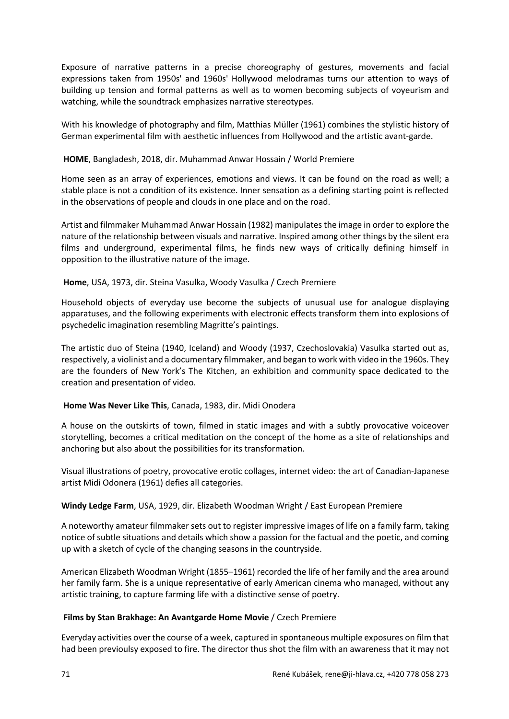Exposure of narrative patterns in a precise choreography of gestures, movements and facial expressions taken from 1950s' and 1960s' Hollywood melodramas turns our attention to ways of building up tension and formal patterns as well as to women becoming subjects of voyeurism and watching, while the soundtrack emphasizes narrative stereotypes.

With his knowledge of photography and film, Matthias Müller (1961) combines the stylistic history of German experimental film with aesthetic influences from Hollywood and the artistic avant-garde.

## **HOME**, Bangladesh, 2018, dir. Muhammad Anwar Hossain / World Premiere

Home seen as an array of experiences, emotions and views. It can be found on the road as well; a stable place is not a condition of its existence. Inner sensation as a defining starting point is reflected in the observations of people and clouds in one place and on the road.

Artist and filmmaker Muhammad Anwar Hossain (1982) manipulates the image in order to explore the nature of the relationship between visuals and narrative. Inspired among other things by the silent era films and underground, experimental films, he finds new ways of critically defining himself in opposition to the illustrative nature of the image.

## **Home**, USA, 1973, dir. Steina Vasulka, Woody Vasulka / Czech Premiere

Household objects of everyday use become the subjects of unusual use for analogue displaying apparatuses, and the following experiments with electronic effects transform them into explosions of psychedelic imagination resembling Magritte's paintings.

The artistic duo of Steina (1940, Iceland) and Woody (1937, Czechoslovakia) Vasulka started out as, respectively, a violinist and a documentary filmmaker, and began to work with video in the 1960s. They are the founders of New York's The Kitchen, an exhibition and community space dedicated to the creation and presentation of video.

## **Home Was Never Like This**, Canada, 1983, dir. Midi Onodera

A house on the outskirts of town, filmed in static images and with a subtly provocative voiceover storytelling, becomes a critical meditation on the concept of the home as a site of relationships and anchoring but also about the possibilities for its transformation.

Visual illustrations of poetry, provocative erotic collages, internet video: the art of Canadian-Japanese artist Midi Odonera (1961) defies all categories.

## **Windy Ledge Farm**, USA, 1929, dir. Elizabeth Woodman Wright / East European Premiere

A noteworthy amateur filmmaker sets out to register impressive images of life on a family farm, taking notice of subtle situations and details which show a passion for the factual and the poetic, and coming up with a sketch of cycle of the changing seasons in the countryside.

American Elizabeth Woodman Wright (1855–1961) recorded the life of her family and the area around her family farm. She is a unique representative of early American cinema who managed, without any artistic training, to capture farming life with a distinctive sense of poetry.

#### **Films by Stan Brakhage: An Avantgarde Home Movie** / Czech Premiere

Everyday activities over the course of a week, captured in spontaneous multiple exposures on film that had been previoulsy exposed to fire. The director thus shot the film with an awareness that it may not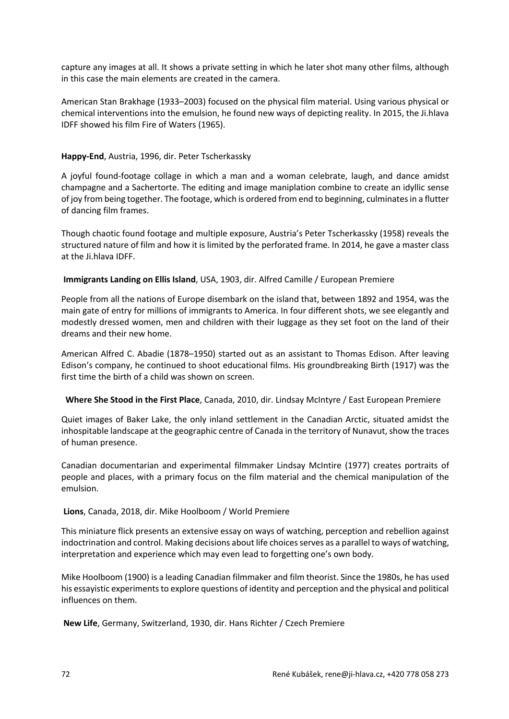capture any images at all. It shows a private setting in which he later shot many other films, although in this case the main elements are created in the camera.

American Stan Brakhage (1933–2003) focused on the physical film material. Using various physical or chemical interventions into the emulsion, he found new ways of depicting reality. In 2015, the Ji.hlava IDFF showed his film Fire of Waters (1965).

## **Happy-End**, Austria, 1996, dir. Peter Tscherkassky

A joyful found-footage collage in which a man and a woman celebrate, laugh, and dance amidst champagne and a Sachertorte. The editing and image maniplation combine to create an idyllic sense of joy from being together. The footage, which is ordered from end to beginning, culminates in a flutter of dancing film frames.

Though chaotic found footage and multiple exposure, Austria's Peter Tscherkassky (1958) reveals the structured nature of film and how it is limited by the perforated frame. In 2014, he gave a master class at the Ji.hlava IDFF.

## **Immigrants Landing on Ellis Island**, USA, 1903, dir. Alfred Camille / European Premiere

People from all the nations of Europe disembark on the island that, between 1892 and 1954, was the main gate of entry for millions of immigrants to America. In four different shots, we see elegantly and modestly dressed women, men and children with their luggage as they set foot on the land of their dreams and their new home.

American Alfred C. Abadie (1878–1950) started out as an assistant to Thomas Edison. After leaving Edison's company, he continued to shoot educational films. His groundbreaking Birth (1917) was the first time the birth of a child was shown on screen.

## **Where She Stood in the First Place**, Canada, 2010, dir. Lindsay McIntyre / East European Premiere

Quiet images of Baker Lake, the only inland settlement in the Canadian Arctic, situated amidst the inhospitable landscape at the geographic centre of Canada in the territory of Nunavut, show the traces of human presence.

Canadian documentarian and experimental filmmaker Lindsay McIntire (1977) creates portraits of people and places, with a primary focus on the film material and the chemical manipulation of the emulsion.

## **Lions**, Canada, 2018, dir. Mike Hoolboom / World Premiere

This miniature flick presents an extensive essay on ways of watching, perception and rebellion against indoctrination and control. Making decisions about life choices serves as a parallel to ways of watching, interpretation and experience which may even lead to forgetting one's own body.

Mike Hoolboom (1900) is a leading Canadian filmmaker and film theorist. Since the 1980s, he has used his essayistic experiments to explore questions of identity and perception and the physical and political influences on them.

**New Life**, Germany, Switzerland, 1930, dir. Hans Richter / Czech Premiere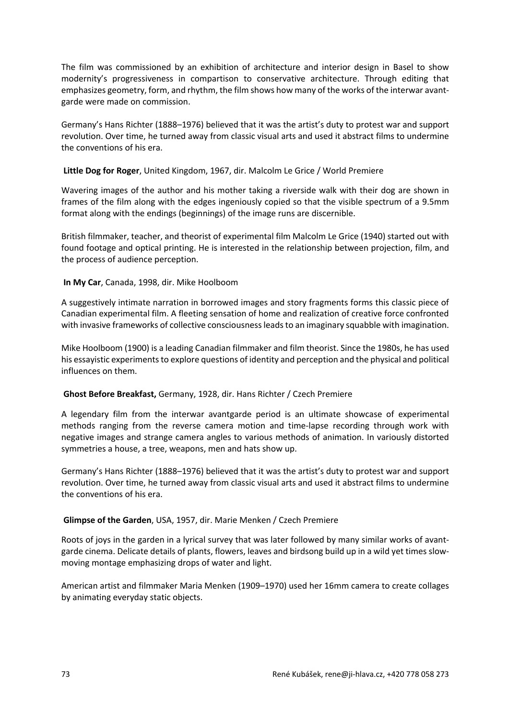The film was commissioned by an exhibition of architecture and interior design in Basel to show modernity's progressiveness in compartison to conservative architecture. Through editing that emphasizes geometry, form, and rhythm, the film shows how many of the works of the interwar avantgarde were made on commission.

Germany's Hans Richter (1888–1976) believed that it was the artist's duty to protest war and support revolution. Over time, he turned away from classic visual arts and used it abstract films to undermine the conventions of his era.

#### **Little Dog for Roger**, United Kingdom, 1967, dir. Malcolm Le Grice / World Premiere

Wavering images of the author and his mother taking a riverside walk with their dog are shown in frames of the film along with the edges ingeniously copied so that the visible spectrum of a 9.5mm format along with the endings (beginnings) of the image runs are discernible.

British filmmaker, teacher, and theorist of experimental film Malcolm Le Grice (1940) started out with found footage and optical printing. He is interested in the relationship between projection, film, and the process of audience perception.

#### **In My Car**, Canada, 1998, dir. Mike Hoolboom

A suggestively intimate narration in borrowed images and story fragments forms this classic piece of Canadian experimental film. A fleeting sensation of home and realization of creative force confronted with invasive frameworks of collective consciousness leads to an imaginary squabble with imagination.

Mike Hoolboom (1900) is a leading Canadian filmmaker and film theorist. Since the 1980s, he has used his essayistic experiments to explore questions of identity and perception and the physical and political influences on them.

#### **Ghost Before Breakfast,** Germany, 1928, dir. Hans Richter / Czech Premiere

A legendary film from the interwar avantgarde period is an ultimate showcase of experimental methods ranging from the reverse camera motion and time-lapse recording through work with negative images and strange camera angles to various methods of animation. In variously distorted symmetries a house, a tree, weapons, men and hats show up.

Germany's Hans Richter (1888–1976) believed that it was the artist's duty to protest war and support revolution. Over time, he turned away from classic visual arts and used it abstract films to undermine the conventions of his era.

#### **Glimpse of the Garden**, USA, 1957, dir. Marie Menken / Czech Premiere

Roots of joys in the garden in a lyrical survey that was later followed by many similar works of avantgarde cinema. Delicate details of plants, flowers, leaves and birdsong build up in a wild yet times slowmoving montage emphasizing drops of water and light.

American artist and filmmaker Maria Menken (1909–1970) used her 16mm camera to create collages by animating everyday static objects.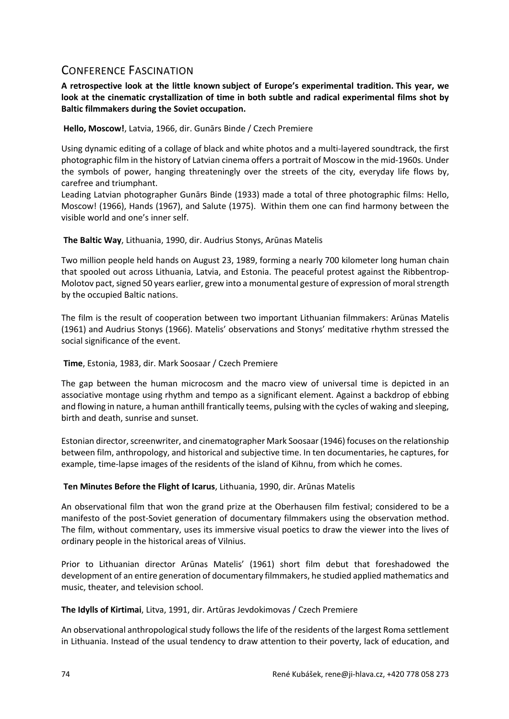## CONFERENCE FASCINATION

**A retrospective look at the little known subject of Europe's experimental tradition. This year, we look at the cinematic crystallization of time in both subtle and radical experimental films shot by Baltic filmmakers during the Soviet occupation.**

**Hello, Moscow!**, Latvia, 1966, dir. Gunārs Binde / Czech Premiere

Using dynamic editing of a collage of black and white photos and a multi-layered soundtrack, the first photographic film in the history of Latvian cinema offers a portrait of Moscow in the mid-1960s. Under the symbols of power, hanging threateningly over the streets of the city, everyday life flows by, carefree and triumphant.

Leading Latvian photographer Gunārs Binde (1933) made a total of three photographic films: Hello, Moscow! (1966), Hands (1967), and Salute (1975). Within them one can find harmony between the visible world and one's inner self.

**The Baltic Way**, Lithuania, 1990, dir. Audrius Stonys, Arūnas Matelis

Two million people held hands on August 23, 1989, forming a nearly 700 kilometer long human chain that spooled out across Lithuania, Latvia, and Estonia. The peaceful protest against the Ribbentrop-Molotov pact, signed 50 years earlier, grew into a monumental gesture of expression of moral strength by the occupied Baltic nations.

The film is the result of cooperation between two important Lithuanian filmmakers: Arünas Matelis (1961) and Audrius Stonys (1966). Matelis' observations and Stonys' meditative rhythm stressed the social significance of the event.

**Time**, Estonia, 1983, dir. Mark Soosaar / Czech Premiere

The gap between the human microcosm and the macro view of universal time is depicted in an associative montage using rhythm and tempo as a significant element. Against a backdrop of ebbing and flowing in nature, a human anthill frantically teems, pulsing with the cycles of waking and sleeping, birth and death, sunrise and sunset.

Estonian director, screenwriter, and cinematographer Mark Soosaar (1946) focuses on the relationship between film, anthropology, and historical and subjective time. In ten documentaries, he captures, for example, time-lapse images of the residents of the island of Kihnu, from which he comes.

**Ten Minutes Before the Flight of Icarus**, Lithuania, 1990, dir. Arūnas Matelis

An observational film that won the grand prize at the Oberhausen film festival; considered to be a manifesto of the post-Soviet generation of documentary filmmakers using the observation method. The film, without commentary, uses its immersive visual poetics to draw the viewer into the lives of ordinary people in the historical areas of Vilnius.

Prior to Lithuanian director Arūnas Matelis' (1961) short film debut that foreshadowed the development of an entire generation of documentary filmmakers, he studied applied mathematics and music, theater, and television school.

**The Idylls of Kirtimai**, Litva, 1991, dir. Artūras Jevdokimovas / Czech Premiere

An observational anthropological study follows the life of the residents of the largest Roma settlement in Lithuania. Instead of the usual tendency to draw attention to their poverty, lack of education, and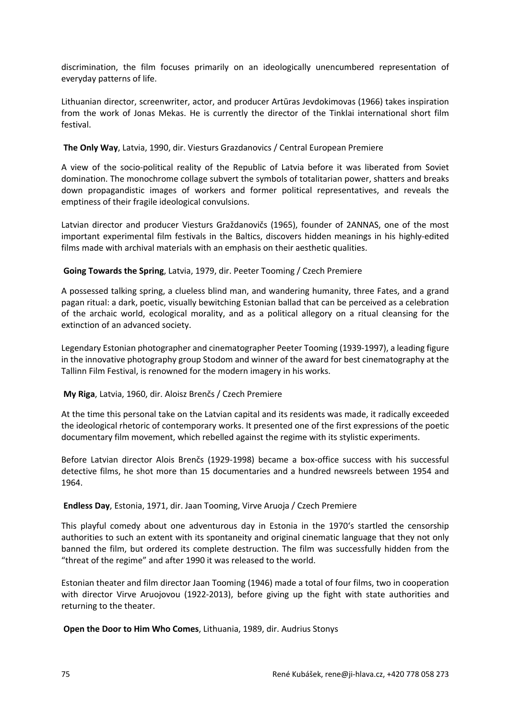discrimination, the film focuses primarily on an ideologically unencumbered representation of everyday patterns of life.

Lithuanian director, screenwriter, actor, and producer Artūras Jevdokimovas (1966) takes inspiration from the work of Jonas Mekas. He is currently the director of the Tinklai international short film festival.

#### **The Only Way**, Latvia, 1990, dir. Viesturs Grazdanovics / Central European Premiere

A view of the socio-political reality of the Republic of Latvia before it was liberated from Soviet domination. The monochrome collage subvert the symbols of totalitarian power, shatters and breaks down propagandistic images of workers and former political representatives, and reveals the emptiness of their fragile ideological convulsions.

Latvian director and producer Viesturs Graždanovičs (1965), founder of 2ANNAS, one of the most important experimental film festivals in the Baltics, discovers hidden meanings in his highly-edited films made with archival materials with an emphasis on their aesthetic qualities.

#### **Going Towards the Spring**, Latvia, 1979, dir. Peeter Tooming / Czech Premiere

A possessed talking spring, a clueless blind man, and wandering humanity, three Fates, and a grand pagan ritual: a dark, poetic, visually bewitching Estonian ballad that can be perceived as a celebration of the archaic world, ecological morality, and as a political allegory on a ritual cleansing for the extinction of an advanced society.

Legendary Estonian photographer and cinematographer Peeter Tooming (1939-1997), a leading figure in the innovative photography group Stodom and winner of the award for best cinematography at the Tallinn Film Festival, is renowned for the modern imagery in his works.

## **My Riga**, Latvia, 1960, dir. Aloisz Brenčs / Czech Premiere

At the time this personal take on the Latvian capital and its residents was made, it radically exceeded the ideological rhetoric of contemporary works. It presented one of the first expressions of the poetic documentary film movement, which rebelled against the regime with its stylistic experiments.

Before Latvian director Alois Brenčs (1929-1998) became a box-office success with his successful detective films, he shot more than 15 documentaries and a hundred newsreels between 1954 and 1964.

#### **Endless Day**, Estonia, 1971, dir. Jaan Tooming, Virve Aruoja / Czech Premiere

This playful comedy about one adventurous day in Estonia in the 1970's startled the censorship authorities to such an extent with its spontaneity and original cinematic language that they not only banned the film, but ordered its complete destruction. The film was successfully hidden from the "threat of the regime" and after 1990 it was released to the world.

Estonian theater and film director Jaan Tooming (1946) made a total of four films, two in cooperation with director Virve Aruojovou (1922-2013), before giving up the fight with state authorities and returning to the theater.

**Open the Door to Him Who Comes**, Lithuania, 1989, dir. Audrius Stonys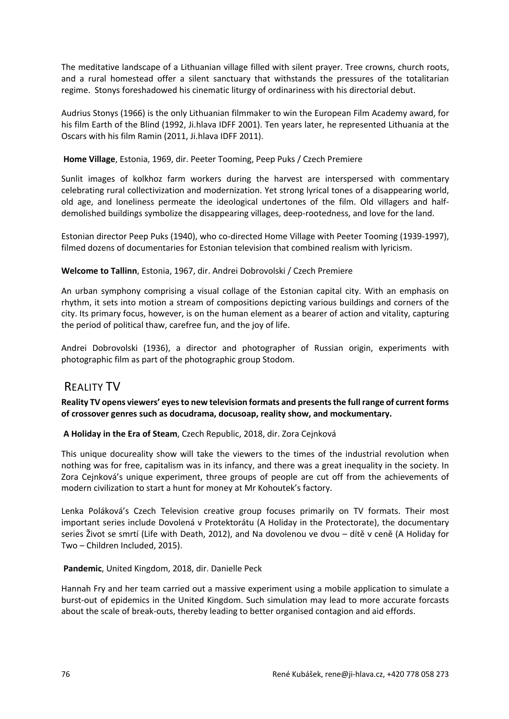The meditative landscape of a Lithuanian village filled with silent prayer. Tree crowns, church roots, and a rural homestead offer a silent sanctuary that withstands the pressures of the totalitarian regime. Stonys foreshadowed his cinematic liturgy of ordinariness with his directorial debut.

Audrius Stonys (1966) is the only Lithuanian filmmaker to win the European Film Academy award, for his film Earth of the Blind (1992, Ji.hlava IDFF 2001). Ten years later, he represented Lithuania at the Oscars with his film Ramin (2011, Ji.hlava IDFF 2011).

#### **Home Village**, Estonia, 1969, dir. Peeter Tooming, Peep Puks / Czech Premiere

Sunlit images of kolkhoz farm workers during the harvest are interspersed with commentary celebrating rural collectivization and modernization. Yet strong lyrical tones of a disappearing world, old age, and loneliness permeate the ideological undertones of the film. Old villagers and halfdemolished buildings symbolize the disappearing villages, deep-rootedness, and love for the land.

Estonian director Peep Puks (1940), who co-directed Home Village with Peeter Tooming (1939-1997), filmed dozens of documentaries for Estonian television that combined realism with lyricism.

#### **Welcome to Tallinn**, Estonia, 1967, dir. Andrei Dobrovolski / Czech Premiere

An urban symphony comprising a visual collage of the Estonian capital city. With an emphasis on rhythm, it sets into motion a stream of compositions depicting various buildings and corners of the city. Its primary focus, however, is on the human element as a bearer of action and vitality, capturing the period of political thaw, carefree fun, and the joy of life.

Andrei Dobrovolski (1936), a director and photographer of Russian origin, experiments with photographic film as part of the photographic group Stodom.

## REALITY TV

**Reality TV opens viewers' eyes to new television formats and presents the full range of current forms of crossover genres such as docudrama, docusoap, reality show, and mockumentary.**

## **A Holiday in the Era of Steam**, Czech Republic, 2018, dir. Zora Cejnková

This unique docureality show will take the viewers to the times of the industrial revolution when nothing was for free, capitalism was in its infancy, and there was a great inequality in the society. In Zora Cejnková's unique experiment, three groups of people are cut off from the achievements of modern civilization to start a hunt for money at Mr Kohoutek's factory.

Lenka Poláková's Czech Television creative group focuses primarily on TV formats. Their most important series include Dovolená v Protektorátu (A Holiday in the Protectorate), the documentary series Život se smrtí (Life with Death, 2012), and Na dovolenou ve dvou – dítě v ceně (A Holiday for Two – Children Included, 2015).

#### **Pandemic**, United Kingdom, 2018, dir. Danielle Peck

Hannah Fry and her team carried out a massive experiment using a mobile application to simulate a burst-out of epidemics in the United Kingdom. Such simulation may lead to more accurate forcasts about the scale of break-outs, thereby leading to better organised contagion and aid effords.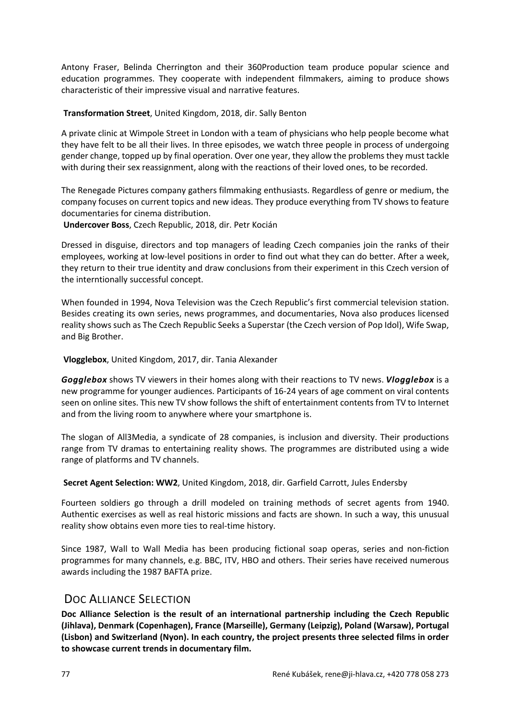Antony Fraser, Belinda Cherrington and their 360Production team produce popular science and education programmes. They cooperate with independent filmmakers, aiming to produce shows characteristic of their impressive visual and narrative features.

**Transformation Street**, United Kingdom, 2018, dir. Sally Benton

A private clinic at Wimpole Street in London with a team of physicians who help people become what they have felt to be all their lives. In three episodes, we watch three people in process of undergoing gender change, topped up by final operation. Over one year, they allow the problems they must tackle with during their sex reassignment, along with the reactions of their loved ones, to be recorded.

The Renegade Pictures company gathers filmmaking enthusiasts. Regardless of genre or medium, the company focuses on current topics and new ideas. They produce everything from TV shows to feature documentaries for cinema distribution.

**Undercover Boss**, Czech Republic, 2018, dir. Petr Kocián

Dressed in disguise, directors and top managers of leading Czech companies join the ranks of their employees, working at low-level positions in order to find out what they can do better. After a week, they return to their true identity and draw conclusions from their experiment in this Czech version of the interntionally successful concept.

When founded in 1994, Nova Television was the Czech Republic's first commercial television station. Besides creating its own series, news programmes, and documentaries, Nova also produces licensed reality shows such as The Czech Republic Seeks a Superstar (the Czech version of Pop Idol), Wife Swap, and Big Brother.

**Vlogglebox**, United Kingdom, 2017, dir. Tania Alexander

*Gogglebox* shows TV viewers in their homes along with their reactions to TV news. *Vlogglebox* is a new programme for younger audiences. Participants of 16-24 years of age comment on viral contents seen on online sites. This new TV show follows the shift of entertainment contents from TV to Internet and from the living room to anywhere where your smartphone is.

The slogan of All3Media, a syndicate of 28 companies, is inclusion and diversity. Their productions range from TV dramas to entertaining reality shows. The programmes are distributed using a wide range of platforms and TV channels.

**Secret Agent Selection: WW2**, United Kingdom, 2018, dir. Garfield Carrott, Jules Endersby

Fourteen soldiers go through a drill modeled on training methods of secret agents from 1940. Authentic exercises as well as real historic missions and facts are shown. In such a way, this unusual reality show obtains even more ties to real-time history.

Since 1987, Wall to Wall Media has been producing fictional soap operas, series and non-fiction programmes for many channels, e.g. BBC, ITV, HBO and others. Their series have received numerous awards including the 1987 BAFTA prize.

## DOC ALLIANCE SELECTION

**Doc Alliance Selection is the result of an international partnership including the Czech Republic (Jihlava), Denmark (Copenhagen), France (Marseille), Germany (Leipzig), Poland (Warsaw), Portugal (Lisbon) and Switzerland (Nyon). In each country, the project presents three selected films in order to showcase current trends in documentary film.**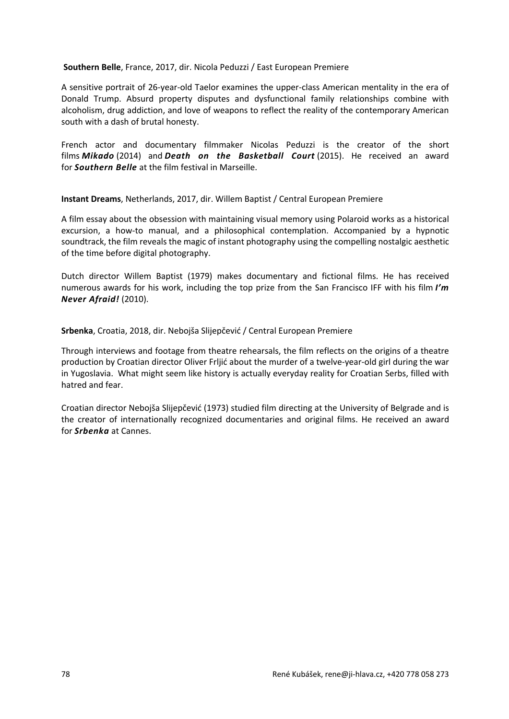#### **Southern Belle**, France, 2017, dir. Nicola Peduzzi / East European Premiere

A sensitive portrait of 26-year-old Taelor examines the upper-class American mentality in the era of Donald Trump. Absurd property disputes and dysfunctional family relationships combine with alcoholism, drug addiction, and love of weapons to reflect the reality of the contemporary American south with a dash of brutal honesty.

French actor and documentary filmmaker Nicolas Peduzzi is the creator of the short films *Mikado* (2014) and *Death on the Basketball Court* (2015). He received an award for *Southern Belle* at the film festival in Marseille.

**Instant Dreams**, Netherlands, 2017, dir. Willem Baptist / Central European Premiere

A film essay about the obsession with maintaining visual memory using Polaroid works as a historical excursion, a how-to manual, and a philosophical contemplation. Accompanied by a hypnotic soundtrack, the film reveals the magic of instant photography using the compelling nostalgic aesthetic of the time before digital photography.

Dutch director Willem Baptist (1979) makes documentary and fictional films. He has received numerous awards for his work, including the top prize from the San Francisco IFF with his film *I'm Never Afraid!* (2010).

**Srbenka**, Croatia, 2018, dir. Nebojša Slijepčević / Central European Premiere

Through interviews and footage from theatre rehearsals, the film reflects on the origins of a theatre production by Croatian director Oliver Frljić about the murder of a twelve-year-old girl during the war in Yugoslavia. What might seem like history is actually everyday reality for Croatian Serbs, filled with hatred and fear.

Croatian director Nebojša Slijepčević (1973) studied film directing at the University of Belgrade and is the creator of internationally recognized documentaries and original films. He received an award for *Srbenka* at Cannes.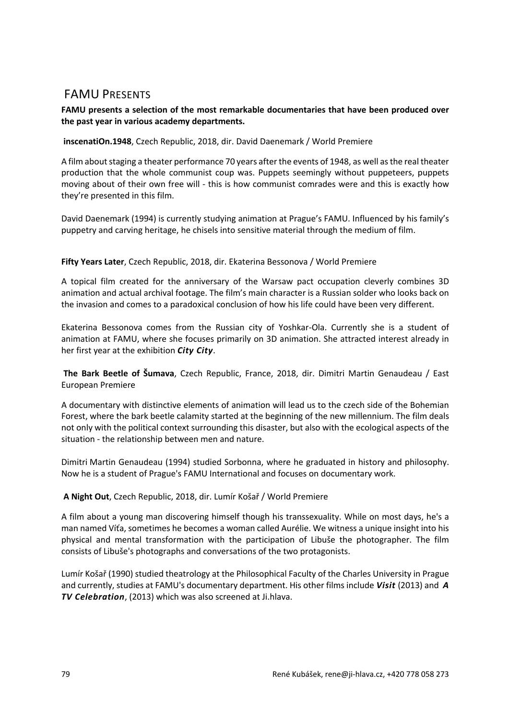## FAMU PRESENTS

## **FAMU presents a selection of the most remarkable documentaries that have been produced over the past year in various academy departments.**

## **inscenatiOn.1948**, Czech Republic, 2018, dir. David Daenemark / World Premiere

A film about staging a theater performance 70 years after the events of 1948, as well as the real theater production that the whole communist coup was. Puppets seemingly without puppeteers, puppets moving about of their own free will - this is how communist comrades were and this is exactly how they're presented in this film.

David Daenemark (1994) is currently studying animation at Prague's FAMU. Influenced by his family's puppetry and carving heritage, he chisels into sensitive material through the medium of film.

## **Fifty Years Later**, Czech Republic, 2018, dir. Ekaterina Bessonova / World Premiere

A topical film created for the anniversary of the Warsaw pact occupation cleverly combines 3D animation and actual archival footage. The film's main character is a Russian solder who looks back on the invasion and comes to a paradoxical conclusion of how his life could have been very different.

Ekaterina Bessonova comes from the Russian city of Yoshkar-Ola. Currently she is a student of animation at FAMU, where she focuses primarily on 3D animation. She attracted interest already in her first year at the exhibition *City City*.

**The Bark Beetle of Šumava**, Czech Republic, France, 2018, dir. Dimitri Martin Genaudeau / East European Premiere

A documentary with distinctive elements of animation will lead us to the czech side of the Bohemian Forest, where the bark beetle calamity started at the beginning of the new millennium. The film deals not only with the political context surrounding this disaster, but also with the ecological aspects of the situation - the relationship between men and nature.

Dimitri Martin Genaudeau (1994) studied Sorbonna, where he graduated in history and philosophy. Now he is a student of Prague's FAMU International and focuses on documentary work.

## **A Night Out**, Czech Republic, 2018, dir. Lumír Košař / World Premiere

A film about a young man discovering himself though his transsexuality. While on most days, he's a man named Víťa, sometimes he becomes a woman called Aurélie. We witness a unique insight into his physical and mental transformation with the participation of Libuše the photographer. The film consists of Libuše's photographs and conversations of the two protagonists.

Lumír Košař (1990) studied theatrology at the Philosophical Faculty of the Charles University in Prague and currently, studies at FAMU's documentary department. His other films include *Visit* (2013) and *A TV Celebration*, (2013) which was also screened at Ji.hlava.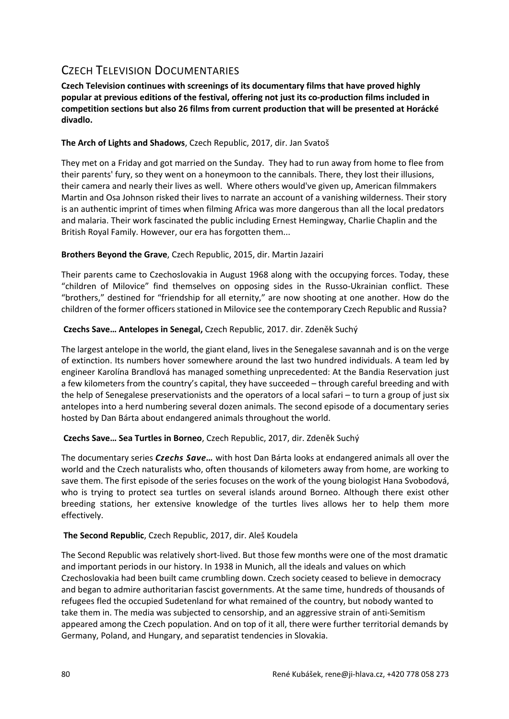# CZECH TELEVISION DOCUMENTARIES

**Czech Television continues with screenings of its documentary films that have proved highly popular at previous editions of the festival, offering not just its co-production films included in competition sections but also 26 films from current production that will be presented at Horácké divadlo.**

## **The Arch of Lights and Shadows**, Czech Republic, 2017, dir. Jan Svatoš

They met on a Friday and got married on the Sunday. They had to run away from home to flee from their parents' fury, so they went on a honeymoon to the cannibals. There, they lost their illusions, their camera and nearly their lives as well. Where others would've given up, American filmmakers Martin and Osa Johnson risked their lives to narrate an account of a vanishing wilderness. Their story is an authentic imprint of times when filming Africa was more dangerous than all the local predators and malaria. Their work fascinated the public including Ernest Hemingway, Charlie Chaplin and the British Royal Family. However, our era has forgotten them...

## **Brothers Beyond the Grave**, Czech Republic, 2015, dir. Martin Jazairi

Their parents came to Czechoslovakia in August 1968 along with the occupying forces. Today, these "children of Milovice" find themselves on opposing sides in the Russo-Ukrainian conflict. These "brothers," destined for "friendship for all eternity," are now shooting at one another. How do the children of the former officers stationed in Milovice see the contemporary Czech Republic and Russia?

## **Czechs Save… Antelopes in Senegal,** Czech Republic, 2017. dir. Zdeněk Suchý

The largest antelope in the world, the giant eland, lives in the Senegalese savannah and is on the verge of extinction. Its numbers hover somewhere around the last two hundred individuals. A team led by engineer Karolína Brandlová has managed something unprecedented: At the Bandia Reservation just a few kilometers from the country's capital, they have succeeded – through careful breeding and with the help of Senegalese preservationists and the operators of a local safari – to turn a group of just six antelopes into a herd numbering several dozen animals. The second episode of a documentary series hosted by Dan Bárta about endangered animals throughout the world.

## **Czechs Save… Sea Turtles in Borneo**, Czech Republic, 2017, dir. Zdeněk Suchý

The documentary series *Czechs Save…* with host Dan Bárta looks at endangered animals all over the world and the Czech naturalists who, often thousands of kilometers away from home, are working to save them. The first episode of the series focuses on the work of the young biologist Hana Svobodová, who is trying to protect sea turtles on several islands around Borneo. Although there exist other breeding stations, her extensive knowledge of the turtles lives allows her to help them more effectively.

## **The Second Republic**, Czech Republic, 2017, dir. Aleš Koudela

The Second Republic was relatively short-lived. But those few months were one of the most dramatic and important periods in our history. In 1938 in Munich, all the ideals and values on which Czechoslovakia had been built came crumbling down. Czech society ceased to believe in democracy and began to admire authoritarian fascist governments. At the same time, hundreds of thousands of refugees fled the occupied Sudetenland for what remained of the country, but nobody wanted to take them in. The media was subjected to censorship, and an aggressive strain of anti-Semitism appeared among the Czech population. And on top of it all, there were further territorial demands by Germany, Poland, and Hungary, and separatist tendencies in Slovakia.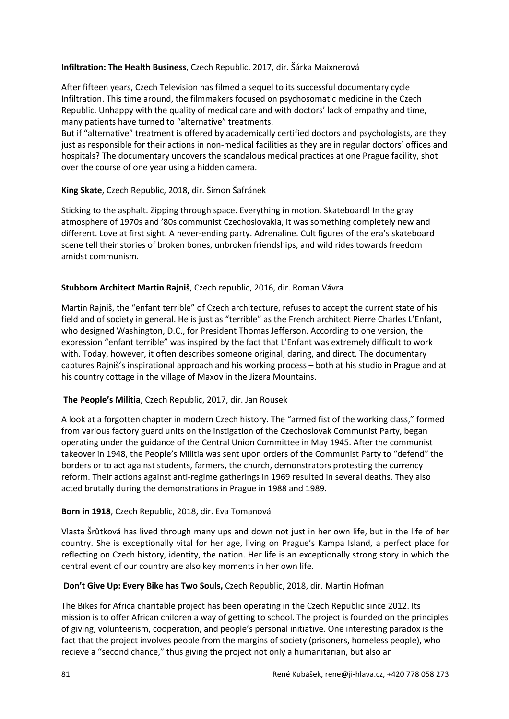#### **Infiltration: The Health Business**, Czech Republic, 2017, dir. Šárka Maixnerová

After fifteen years, Czech Television has filmed a sequel to its successful documentary cycle Infiltration. This time around, the filmmakers focused on psychosomatic medicine in the Czech Republic. Unhappy with the quality of medical care and with doctors' lack of empathy and time, many patients have turned to "alternative" treatments.

But if "alternative" treatment is offered by academically certified doctors and psychologists, are they just as responsible for their actions in non-medical facilities as they are in regular doctors' offices and hospitals? The documentary uncovers the scandalous medical practices at one Prague facility, shot over the course of one year using a hidden camera.

#### **King Skate**, Czech Republic, 2018, dir. Šimon Šafránek

Sticking to the asphalt. Zipping through space. Everything in motion. Skateboard! In the gray atmosphere of 1970s and '80s communist Czechoslovakia, it was something completely new and different. Love at first sight. A never-ending party. Adrenaline. Cult figures of the era's skateboard scene tell their stories of broken bones, unbroken friendships, and wild rides towards freedom amidst communism.

#### **Stubborn Architect Martin Rajniš**, Czech republic, 2016, dir. Roman Vávra

Martin Rajniš, the "enfant terrible" of Czech architecture, refuses to accept the current state of his field and of society in general. He is just as "terrible" as the French architect Pierre Charles L'Enfant, who designed Washington, D.C., for President Thomas Jefferson. According to one version, the expression "enfant terrible" was inspired by the fact that L'Enfant was extremely difficult to work with. Today, however, it often describes someone original, daring, and direct. The documentary captures Rajniš's inspirational approach and his working process – both at his studio in Prague and at his country cottage in the village of Maxov in the Jizera Mountains.

#### **The People's Militia**, Czech Republic, 2017, dir. Jan Rousek

A look at a forgotten chapter in modern Czech history. The "armed fist of the working class," formed from various factory guard units on the instigation of the Czechoslovak Communist Party, began operating under the guidance of the Central Union Committee in May 1945. After the communist takeover in 1948, the People's Militia was sent upon orders of the Communist Party to "defend" the borders or to act against students, farmers, the church, demonstrators protesting the currency reform. Their actions against anti-regime gatherings in 1969 resulted in several deaths. They also acted brutally during the demonstrations in Prague in 1988 and 1989.

#### **Born in 1918**, Czech Republic, 2018, dir. Eva Tomanová

Vlasta Šrůtková has lived through many ups and down not just in her own life, but in the life of her country. She is exceptionally vital for her age, living on Prague's Kampa Island, a perfect place for reflecting on Czech history, identity, the nation. Her life is an exceptionally strong story in which the central event of our country are also key moments in her own life.

#### **Don't Give Up: Every Bike has Two Souls,** Czech Republic, 2018, dir. Martin Hofman

The Bikes for Africa charitable project has been operating in the Czech Republic since 2012. Its mission is to offer African children a way of getting to school. The project is founded on the principles of giving, volunteerism, cooperation, and people's personal initiative. One interesting paradox is the fact that the project involves people from the margins of society (prisoners, homeless people), who recieve a "second chance," thus giving the project not only a humanitarian, but also an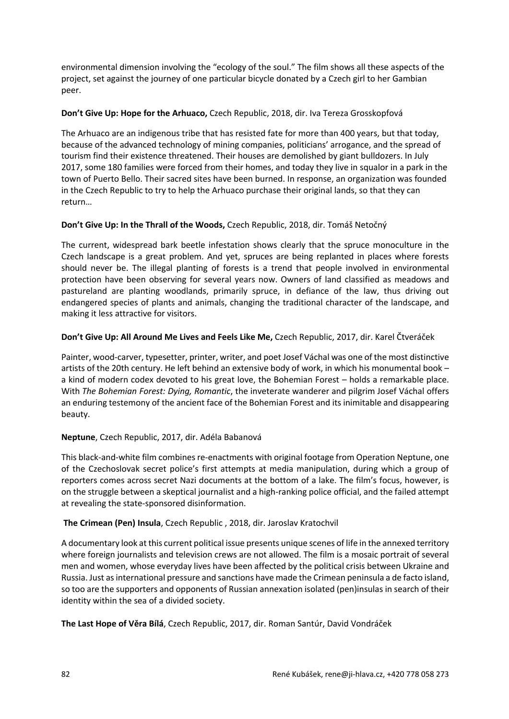environmental dimension involving the "ecology of the soul." The film shows all these aspects of the project, set against the journey of one particular bicycle donated by a Czech girl to her Gambian peer.

#### **Don't Give Up: Hope for the Arhuaco,** Czech Republic, 2018, dir. Iva Tereza Grosskopfová

The Arhuaco are an indigenous tribe that has resisted fate for more than 400 years, but that today, because of the advanced technology of mining companies, politicians' arrogance, and the spread of tourism find their existence threatened. Their houses are demolished by giant bulldozers. In July 2017, some 180 families were forced from their homes, and today they live in squalor in a park in the town of Puerto Bello. Their sacred sites have been burned. In response, an organization was founded in the Czech Republic to try to help the Arhuaco purchase their original lands, so that they can return…

## **Don't Give Up: In the Thrall of the Woods,** Czech Republic, 2018, dir. Tomáš Netočný

The current, widespread bark beetle infestation shows clearly that the spruce monoculture in the Czech landscape is a great problem. And yet, spruces are being replanted in places where forests should never be. The illegal planting of forests is a trend that people involved in environmental protection have been observing for several years now. Owners of land classified as meadows and pastureland are planting woodlands, primarily spruce, in defiance of the law, thus driving out endangered species of plants and animals, changing the traditional character of the landscape, and making it less attractive for visitors.

## **Don't Give Up: All Around Me Lives and Feels Like Me,** Czech Republic, 2017, dir. Karel Čtveráček

Painter, wood-carver, typesetter, printer, writer, and poet Josef Váchal was one of the most distinctive artists of the 20th century. He left behind an extensive body of work, in which his monumental book – a kind of modern codex devoted to his great love, the Bohemian Forest – holds a remarkable place. With *The Bohemian Forest: Dying, Romantic*, the inveterate wanderer and pilgrim Josef Váchal offers an enduring testemony of the ancient face of the Bohemian Forest and its inimitable and disappearing beauty.

## **Neptune**, Czech Republic, 2017, dir. Adéla Babanová

This black-and-white film combines re-enactments with original footage from Operation Neptune, one of the Czechoslovak secret police's first attempts at media manipulation, during which a group of reporters comes across secret Nazi documents at the bottom of a lake. The film's focus, however, is on the struggle between a skeptical journalist and a high-ranking police official, and the failed attempt at revealing the state-sponsored disinformation.

## **The Crimean (Pen) Insula**, Czech Republic , 2018, dir. Jaroslav Kratochvil

A documentary look at this current political issue presents unique scenes of life in the annexed territory where foreign journalists and television crews are not allowed. The film is a mosaic portrait of several men and women, whose everyday lives have been affected by the political crisis between Ukraine and Russia. Just as international pressure and sanctions have made the Crimean peninsula a de facto island, so too are the supporters and opponents of Russian annexation isolated (pen)insulas in search of their identity within the sea of a divided society.

**The Last Hope of Věra Bílá**, Czech Republic, 2017, dir. Roman Santúr, David Vondráček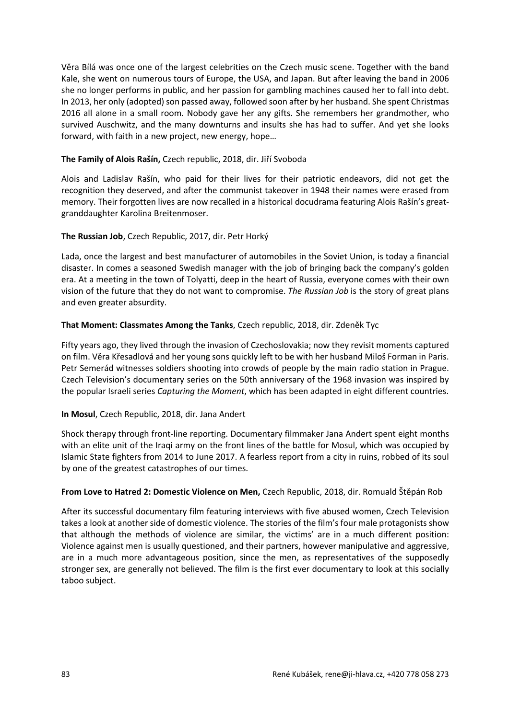Věra Bílá was once one of the largest celebrities on the Czech music scene. Together with the band Kale, she went on numerous tours of Europe, the USA, and Japan. But after leaving the band in 2006 she no longer performs in public, and her passion for gambling machines caused her to fall into debt. In 2013, her only (adopted) son passed away, followed soon after by her husband. She spent Christmas 2016 all alone in a small room. Nobody gave her any gifts. She remembers her grandmother, who survived Auschwitz, and the many downturns and insults she has had to suffer. And yet she looks forward, with faith in a new project, new energy, hope…

#### **The Family of Alois Rašín,** Czech republic, 2018, dir. Jiří Svoboda

Alois and Ladislav Rašín, who paid for their lives for their patriotic endeavors, did not get the recognition they deserved, and after the communist takeover in 1948 their names were erased from memory. Their forgotten lives are now recalled in a historical docudrama featuring Alois Rašín's greatgranddaughter Karolina Breitenmoser.

#### **The Russian Job**, Czech Republic, 2017, dir. Petr Horký

Lada, once the largest and best manufacturer of automobiles in the Soviet Union, is today a financial disaster. In comes a seasoned Swedish manager with the job of bringing back the company's golden era. At a meeting in the town of Tolyatti, deep in the heart of Russia, everyone comes with their own vision of the future that they do not want to compromise. *The Russian Job* is the story of great plans and even greater absurdity.

#### **That Moment: Classmates Among the Tanks**, Czech republic, 2018, dir. Zdeněk Tyc

Fifty years ago, they lived through the invasion of Czechoslovakia; now they revisit moments captured on film. Věra Křesadlová and her young sons quickly left to be with her husband Miloš Forman in Paris. Petr Semerád witnesses soldiers shooting into crowds of people by the main radio station in Prague. Czech Television's documentary series on the 50th anniversary of the 1968 invasion was inspired by the popular Israeli series *Capturing the Moment*, which has been adapted in eight different countries.

#### **In Mosul**, Czech Republic, 2018, dir. Jana Andert

Shock therapy through front-line reporting. Documentary filmmaker Jana Andert spent eight months with an elite unit of the Iraqi army on the front lines of the battle for Mosul, which was occupied by Islamic State fighters from 2014 to June 2017. A fearless report from a city in ruins, robbed of its soul by one of the greatest catastrophes of our times.

#### **From Love to Hatred 2: Domestic Violence on Men,** Czech Republic, 2018, dir. Romuald Štěpán Rob

After its successful documentary film featuring interviews with five abused women, Czech Television takes a look at another side of domestic violence. The stories of the film's four male protagonists show that although the methods of violence are similar, the victims' are in a much different position: Violence against men is usually questioned, and their partners, however manipulative and aggressive, are in a much more advantageous position, since the men, as representatives of the supposedly stronger sex, are generally not believed. The film is the first ever documentary to look at this socially taboo subject.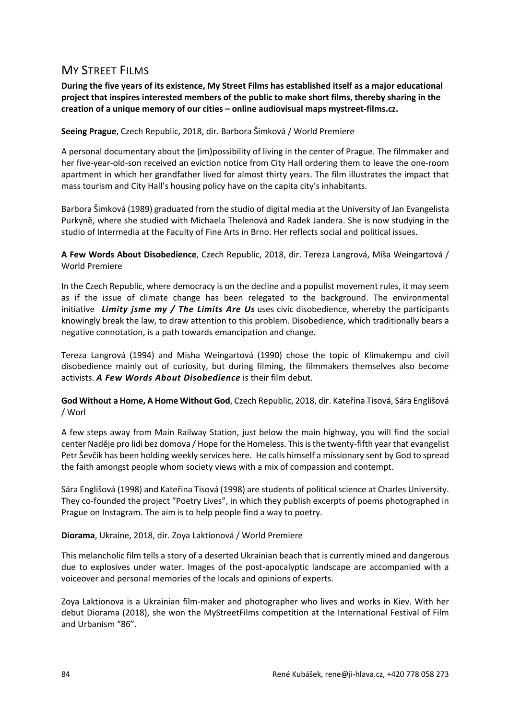## **MY STREET FILMS**

**During the five years of its existence, My Street Films has established itself as a major educational project that inspires interested members of the public to make short films, thereby sharing in the creation of a unique memory of our cities – online audiovisual maps mystreet-films.cz.**

**Seeing Prague**, Czech Republic, 2018, dir. Barbora Šimková / World Premiere

A personal documentary about the (im)possibility of living in the center of Prague. The filmmaker and her five-year-old-son received an eviction notice from City Hall ordering them to leave the one-room apartment in which her grandfather lived for almost thirty years. The film illustrates the impact that mass tourism and City Hall's housing policy have on the capita city's inhabitants.

Barbora Šimková (1989) graduated from the studio of digital media at the University of Jan Evangelista Purkyně, where she studied with Michaela Thelenová and Radek Jandera. She is now studying in the studio of Intermedia at the Faculty of Fine Arts in Brno. Her reflects social and political issues.

**A Few Words About Disobedience**, Czech Republic, 2018, dir. Tereza Langrová, Míša Weingartová / World Premiere

In the Czech Republic, where democracy is on the decline and a populist movement rules, it may seem as if the issue of climate change has been relegated to the background. The environmental initiative *Limity jsme my / The Limits Are Us* uses civic disobedience, whereby the participants knowingly break the law, to draw attention to this problem. Disobedience, which traditionally bears a negative connotation, is a path towards emancipation and change.

Tereza Langrová (1994) and Misha Weingartová (1990) chose the topic of Klimakempu and civil disobedience mainly out of curiosity, but during filming, the filmmakers themselves also become activists. *A Few Words About Disobedience* is their film debut.

**God Without a Home, A Home Without God**, Czech Republic, 2018, dir. Kateřina Tisová, Sára Englišová / Worl

A few steps away from Main Railway Station, just below the main highway, you will find the social center Naděje pro lidi bez domova / Hope for the Homeless. This is the twenty-fifth year that evangelist Petr Ševčík has been holding weekly services here. He calls himself a missionary sent by God to spread the faith amongst people whom society views with a mix of compassion and contempt.

Sára Englišová (1998) and Kateřina Tisová (1998) are students of political science at Charles University. They co-founded the project "Poetry Lives", in which they publish excerpts of poems photographed in Prague on Instagram. The aim is to help people find a way to poetry.

#### **Diorama**, Ukraine, 2018, dir. Zoya Laktionová / World Premiere

This melancholic film tells a story of a deserted Ukrainian beach that is currently mined and dangerous due to explosives under water. Images of the post-apocalyptic landscape are accompanied with a voiceover and personal memories of the locals and opinions of experts.

Zoya Laktionova is a Ukrainian film-maker and photographer who lives and works in Kiev. With her debut Diorama (2018), she won the MyStreetFilms competition at the International Festival of Film and Urbanism "86".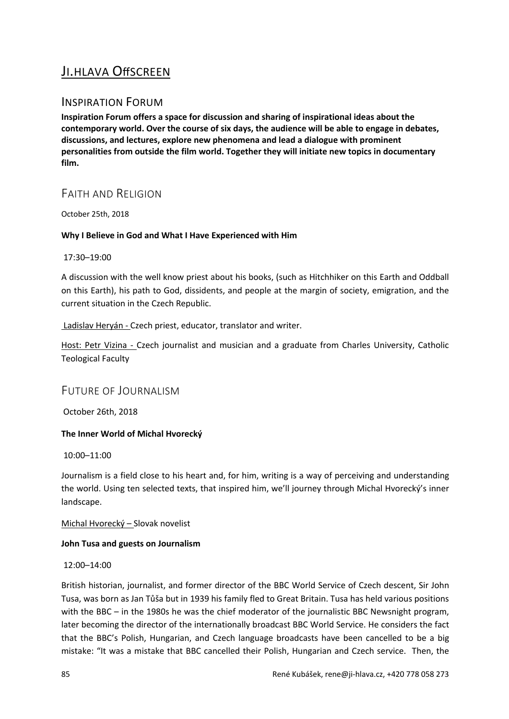# JI.HLAVA OffSCREEN

## INSPIRATION FORUM

**Inspiration Forum offers a space for discussion and sharing of inspirational ideas about the contemporary world. Over the course of six days, the audience will be able to engage in debates, discussions, and lectures, explore new phenomena and lead a dialogue with prominent personalities from outside the film world. Together they will initiate new topics in documentary film.**

## FAITH AND RELIGION

October 25th, 2018

## **Why I Believe in God and What I Have Experienced with Him**

17:30–19:00

A discussion with the well know priest about his books, (such as Hitchhiker on this Earth and Oddball on this Earth), his path to God, dissidents, and people at the margin of society, emigration, and the current situation in the Czech Republic.

## Ladislav Heryán - Czech priest, educator, translator and writer.

Host: Petr Vizina - Czech journalist and musician and a graduate from Charles University, Catholic Teological Faculty

## FUTURE OF JOURNALISM

October 26th, 2018

## **The Inner World of Michal Hvorecký**

10:00–11:00

Journalism is a field close to his heart and, for him, writing is a way of perceiving and understanding the world. Using ten selected texts, that inspired him, we'll journey through Michal Hvorecký's inner landscape.

Michal Hvorecký – Slovak novelist

## **John Tusa and guests on Journalism**

#### 12:00–14:00

British historian, journalist, and former director of the BBC World Service of Czech descent, Sir John Tusa, was born as Jan Tůša but in 1939 his family fled to Great Britain. Tusa has held various positions with the BBC – in the 1980s he was the chief moderator of the journalistic BBC Newsnight program, later becoming the director of the internationally broadcast BBC World Service. He considers the fact that the BBC's Polish, Hungarian, and Czech language broadcasts have been cancelled to be a big mistake: "It was a mistake that BBC cancelled their Polish, Hungarian and Czech service. Then, the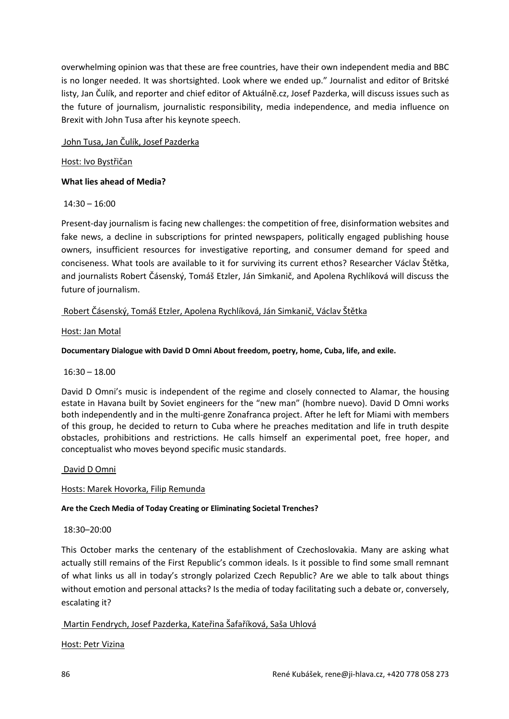overwhelming opinion was that these are free countries, have their own independent media and BBC is no longer needed. It was shortsighted. Look where we ended up." Journalist and editor of Britské listy, Jan Čulík, and reporter and chief editor of Aktuálně.cz, Josef Pazderka, will discuss issues such as the future of journalism, journalistic responsibility, media independence, and media influence on Brexit with John Tusa after his keynote speech.

## John Tusa, Jan Čulík, Josef Pazderka

## Host: Ivo Bystřičan

## **What lies ahead of Media?**

## 14:30 – 16:00

Present-day journalism is facing new challenges: the competition of free, disinformation websites and fake news, a decline in subscriptions for printed newspapers, politically engaged publishing house owners, insufficient resources for investigative reporting, and consumer demand for speed and conciseness. What tools are available to it for surviving its current ethos? Researcher Václav Štětka, and journalists Robert Čásenský, Tomáš Etzler, Ján Simkanič, and Apolena Rychlíková will discuss the future of journalism.

## Robert Čásenský, Tomáš Etzler, Apolena Rychlíková, Ján Simkanič, Václav Štětka

## Host: Jan Motal

## **Documentary Dialogue with David D Omni About freedom, poetry, home, Cuba, life, and exile.**

## 16:30 – 18.00

David D Omni's music is independent of the regime and closely connected to Alamar, the housing estate in Havana built by Soviet engineers for the "new man" (hombre nuevo). David D Omni works both independently and in the multi-genre Zonafranca project. After he left for Miami with members of this group, he decided to return to Cuba where he preaches meditation and life in truth despite obstacles, prohibitions and restrictions. He calls himself an experimental poet, free hoper, and conceptualist who moves beyond specific music standards.

## David D Omni

## Hosts: Marek Hovorka, Filip Remunda

## **Are the Czech Media of Today Creating or Eliminating Societal Trenches?**

## 18:30–20:00

This October marks the centenary of the establishment of Czechoslovakia. Many are asking what actually still remains of the First Republic's common ideals. Is it possible to find some small remnant of what links us all in today's strongly polarized Czech Republic? Are we able to talk about things without emotion and personal attacks? Is the media of today facilitating such a debate or, conversely, escalating it?

## Martin Fendrych, Josef Pazderka, Kateřina Šafaříková, Saša Uhlová

## Host: Petr Vizina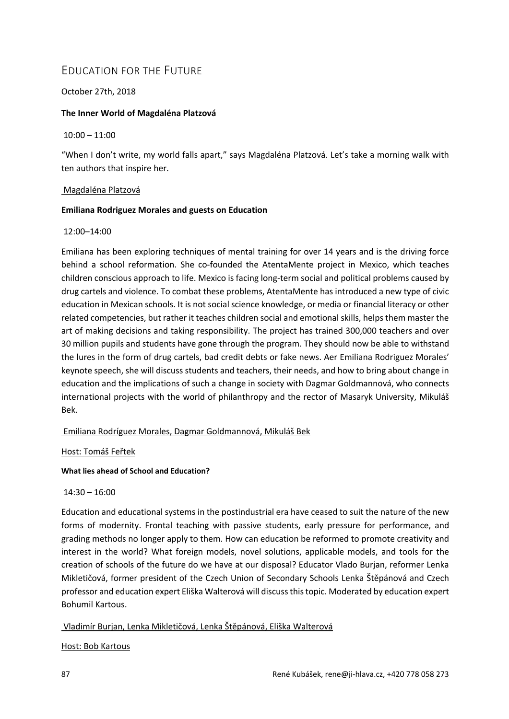## EDUCATION FOR THE FUTURE

## October 27th, 2018

## **The Inner World of Magdaléna Platzová**

10:00 – 11:00

"When I don't write, my world falls apart," says Magdaléna Platzová. Let's take a morning walk with ten authors that inspire her.

## Magdaléna Platzová

## **Emiliana Rodriguez Morales and guests on Education**

#### 12:00–14:00

Emiliana has been exploring techniques of mental training for over 14 years and is the driving force behind a school reformation. She co-founded the AtentaMente project in Mexico, which teaches children conscious approach to life. Mexico is facing long-term social and political problems caused by drug cartels and violence. To combat these problems, AtentaMente has introduced a new type of civic education in Mexican schools. It is not social science knowledge, or media or financial literacy or other related competencies, but rather it teaches children social and emotional skills, helps them master the art of making decisions and taking responsibility. The project has trained 300,000 teachers and over 30 million pupils and students have gone through the program. They should now be able to withstand the lures in the form of drug cartels, bad credit debts or fake news. Aer Emiliana Rodriguez Morales' keynote speech, she will discuss students and teachers, their needs, and how to bring about change in education and the implications of such a change in society with Dagmar Goldmannová, who connects international projects with the world of philanthropy and the rector of Masaryk University, Mikuláš Bek.

## Emiliana Rodríguez Morales, Dagmar Goldmannová, Mikuláš Bek

Host: Tomáš Feřtek

#### **What lies ahead of School and Education?**

 $14:30 - 16:00$ 

Education and educational systems in the postindustrial era have ceased to suit the nature of the new forms of modernity. Frontal teaching with passive students, early pressure for performance, and grading methods no longer apply to them. How can education be reformed to promote creativity and interest in the world? What foreign models, novel solutions, applicable models, and tools for the creation of schools of the future do we have at our disposal? Educator Vlado Burjan, reformer Lenka Mikletičová, former president of the Czech Union of Secondary Schools Lenka Štěpánová and Czech professor and education expert Eliška Walterová will discuss this topic. Moderated by education expert Bohumil Kartous.

## Vladimír Burjan, Lenka Mikletičová, Lenka Štěpánová, Eliška Walterová

## Host: Bob Kartous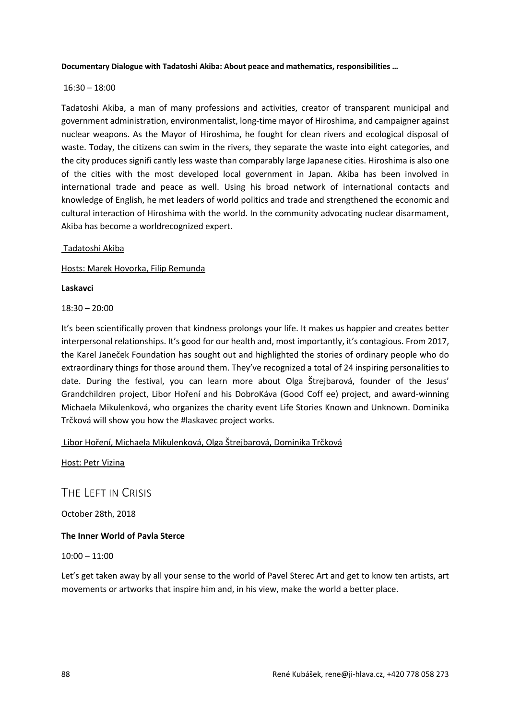#### **Documentary Dialogue with Tadatoshi Akiba: About peace and mathematics, responsibilities …**

#### 16:30 – 18:00

Tadatoshi Akiba, a man of many professions and activities, creator of transparent municipal and government administration, environmentalist, long-time mayor of Hiroshima, and campaigner against nuclear weapons. As the Mayor of Hiroshima, he fought for clean rivers and ecological disposal of waste. Today, the citizens can swim in the rivers, they separate the waste into eight categories, and the city produces signifi cantly less waste than comparably large Japanese cities. Hiroshima is also one of the cities with the most developed local government in Japan. Akiba has been involved in international trade and peace as well. Using his broad network of international contacts and knowledge of English, he met leaders of world politics and trade and strengthened the economic and cultural interaction of Hiroshima with the world. In the community advocating nuclear disarmament, Akiba has become a worldrecognized expert.

#### Tadatoshi Akiba

Hosts: Marek Hovorka, Filip Remunda

**Laskavci**

18:30 – 20:00

It's been scientifically proven that kindness prolongs your life. It makes us happier and creates better interpersonal relationships. It's good for our health and, most importantly, it's contagious. From 2017, the Karel Janeček Foundation has sought out and highlighted the stories of ordinary people who do extraordinary things for those around them. They've recognized a total of 24 inspiring personalities to date. During the festival, you can learn more about Olga Štrejbarová, founder of the Jesus' Grandchildren project, Libor Hoření and his DobroKáva (Good Coff ee) project, and award-winning Michaela Mikulenková, who organizes the charity event Life Stories Known and Unknown. Dominika Trčková will show you how the #laskavec project works.

Libor Hoření, Michaela Mikulenková, Olga Štrejbarová, Dominika Trčková

Host: Petr Vizina

THE LEFT IN CRISIS

October 28th, 2018

#### **The Inner World of Pavla Sterce**

10:00 – 11:00

Let's get taken away by all your sense to the world of Pavel Sterec Art and get to know ten artists, art movements or artworks that inspire him and, in his view, make the world a better place.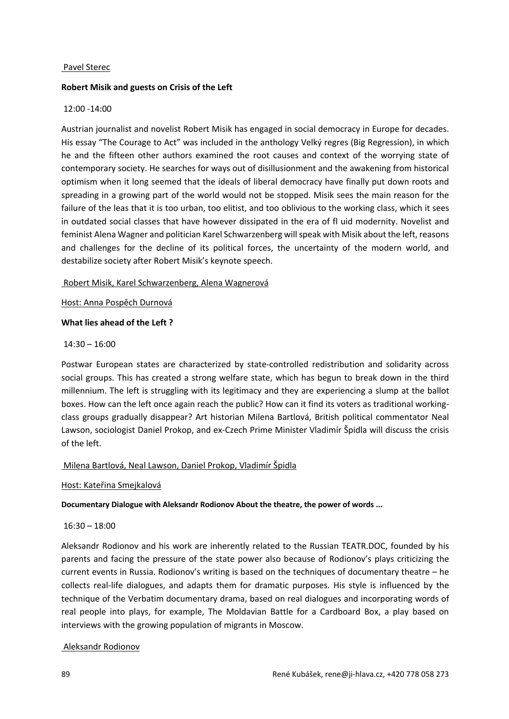#### Pavel Sterec

#### **Robert Misik and guests on Crisis of the Left**

#### 12:00 -14:00

Austrian journalist and novelist Robert Misik has engaged in social democracy in Europe for decades. His essay "The Courage to Act" was included in the anthology Velký regres (Big Regression), in which he and the fifteen other authors examined the root causes and context of the worrying state of contemporary society. He searches for ways out of disillusionment and the awakening from historical optimism when it long seemed that the ideals of liberal democracy have finally put down roots and spreading in a growing part of the world would not be stopped. Misik sees the main reason for the failure of the leas that it is too urban, too elitist, and too oblivious to the working class, which it sees in outdated social classes that have however dissipated in the era of fl uid modernity. Novelist and feminist Alena Wagner and politician Karel Schwarzenberg will speak with Misik about the left, reasons and challenges for the decline of its political forces, the uncertainty of the modern world, and destabilize society after Robert Misik's keynote speech.

#### Robert Misik, Karel Schwarzenberg, Alena Wagnerová

#### Host: Anna Pospěch Durnová

#### **What lies ahead of the Left ?**

#### 14:30 – 16:00

Postwar European states are characterized by state-controlled redistribution and solidarity across social groups. This has created a strong welfare state, which has begun to break down in the third millennium. The left is struggling with its legitimacy and they are experiencing a slump at the ballot boxes. How can the left once again reach the public? How can it find its voters as traditional workingclass groups gradually disappear? Art historian Milena Bartlová, British political commentator Neal Lawson, sociologist Daniel Prokop, and ex-Czech Prime Minister Vladimír Špidla will discuss the crisis of the left.

## Milena Bartlová, Neal Lawson, Daniel Prokop, Vladimír Špidla

#### Host: Kateřina Smejkalová

#### **Documentary Dialogue with Aleksandr Rodionov About the theatre, the power of words ...**

#### 16:30 – 18:00

Aleksandr Rodionov and his work are inherently related to the Russian TEATR.DOC, founded by his parents and facing the pressure of the state power also because of Rodionov's plays criticizing the current events in Russia. Rodionov's writing is based on the techniques of documentary theatre – he collects real-life dialogues, and adapts them for dramatic purposes. His style is influenced by the technique of the Verbatim documentary drama, based on real dialogues and incorporating words of real people into plays, for example, The Moldavian Battle for a Cardboard Box, a play based on interviews with the growing population of migrants in Moscow.

## Aleksandr Rodionov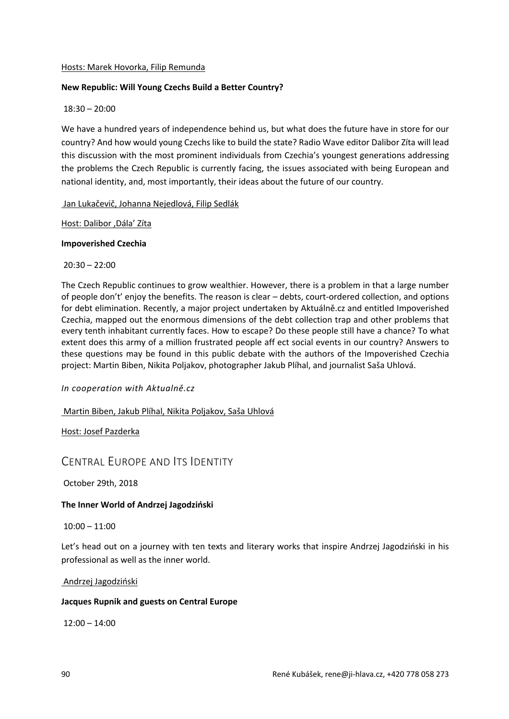#### Hosts: Marek Hovorka, Filip Remunda

#### **New Republic: Will Young Czechs Build a Better Country?**

#### 18:30 – 20:00

We have a hundred years of independence behind us, but what does the future have in store for our country? And how would young Czechs like to build the state? Radio Wave editor Dalibor Zíta will lead this discussion with the most prominent individuals from Czechia's youngest generations addressing the problems the Czech Republic is currently facing, the issues associated with being European and national identity, and, most importantly, their ideas about the future of our country.

#### Jan Lukačevič, Johanna Nejedlová, Filip Sedlák

#### Host: Dalibor , Dála' Zíta

#### **Impoverished Czechia**

20:30 – 22:00

The Czech Republic continues to grow wealthier. However, there is a problem in that a large number of people don't' enjoy the benefits. The reason is clear – debts, court-ordered collection, and options for debt elimination. Recently, a major project undertaken by Aktuálně.cz and entitled Impoverished Czechia, mapped out the enormous dimensions of the debt collection trap and other problems that every tenth inhabitant currently faces. How to escape? Do these people still have a chance? To what extent does this army of a million frustrated people aff ect social events in our country? Answers to these questions may be found in this public debate with the authors of the Impoverished Czechia project: Martin Biben, Nikita Poljakov, photographer Jakub Plíhal, and journalist Saša Uhlová.

*In cooperation with Aktualně.cz*

Martin Biben, Jakub Plíhal, Nikita Poljakov, Saša Uhlová

Host: Josef Pazderka

## CENTRAL EUROPE AND ITS IDENTITY

October 29th, 2018

#### **The Inner World of Andrzej Jagodziński**

10:00 – 11:00

Let's head out on a journey with ten texts and literary works that inspire Andrzej Jagodziński in his professional as well as the inner world.

#### Andrzej Jagodziński

#### **Jacques Rupnik and guests on Central Europe**

 $12:00 - 14:00$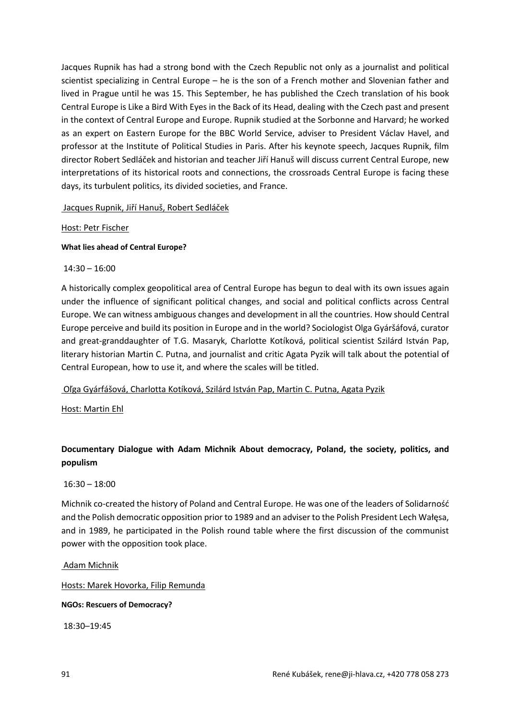Jacques Rupnik has had a strong bond with the Czech Republic not only as a journalist and political scientist specializing in Central Europe – he is the son of a French mother and Slovenian father and lived in Prague until he was 15. This September, he has published the Czech translation of his book Central Europe is Like a Bird With Eyes in the Back of its Head, dealing with the Czech past and present in the context of Central Europe and Europe. Rupnik studied at the Sorbonne and Harvard; he worked as an expert on Eastern Europe for the BBC World Service, adviser to President Václav Havel, and professor at the Institute of Political Studies in Paris. After his keynote speech, Jacques Rupnik, film director Robert Sedláček and historian and teacher Jiří Hanuš will discuss current Central Europe, new interpretations of its historical roots and connections, the crossroads Central Europe is facing these days, its turbulent politics, its divided societies, and France.

#### Jacques Rupnik, Jiří Hanuš, Robert Sedláček

#### Host: Petr Fischer

#### **What lies ahead of Central Europe?**

14:30 – 16:00

A historically complex geopolitical area of Central Europe has begun to deal with its own issues again under the influence of significant political changes, and social and political conflicts across Central Europe. We can witness ambiguous changes and development in all the countries. How should Central Europe perceive and build its position in Europe and in the world? Sociologist Olga Gyáršáfová, curator and great-granddaughter of T.G. Masaryk, Charlotte Kotíková, political scientist Szilárd István Pap, literary historian Martin C. Putna, and journalist and critic Agata Pyzik will talk about the potential of Central European, how to use it, and where the scales will be titled.

Oľga Gyárfášová, Charlotta Kotíková, Szilárd István Pap, Martin C. Putna, Agata Pyzik

Host: Martin Ehl

## **Documentary Dialogue with Adam Michnik About democracy, Poland, the society, politics, and populism**

16:30 – 18:00

Michnik co-created the history of Poland and Central Europe. He was one of the leaders of Solidarność and the Polish democratic opposition prior to 1989 and an adviser to the Polish President Lech Wałęsa, and in 1989, he participated in the Polish round table where the first discussion of the communist power with the opposition took place.

Adam Michnik

Hosts: Marek Hovorka, Filip Remunda

**NGOs: Rescuers of Democracy?**

18:30–19:45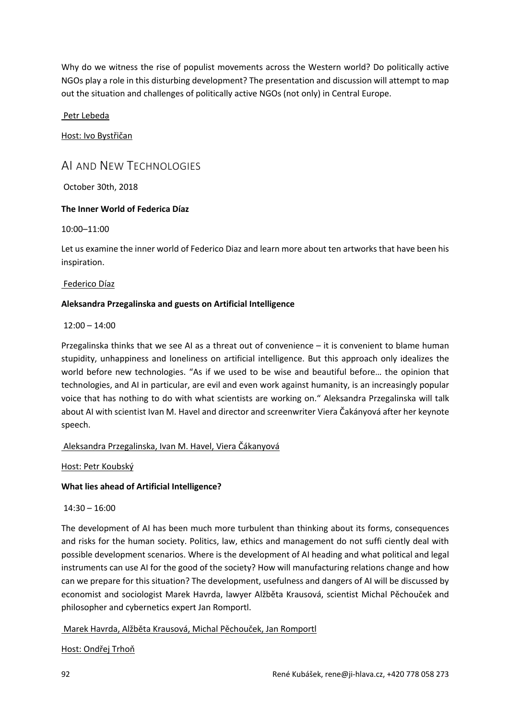Why do we witness the rise of populist movements across the Western world? Do politically active NGOs play a role in this disturbing development? The presentation and discussion will attempt to map out the situation and challenges of politically active NGOs (not only) in Central Europe.

Petr Lebeda

Host: Ivo Bystřičan

## AI AND NEW TECHNOLOGIES

October 30th, 2018

## **The Inner World of Federica Díaz**

10:00–11:00

Let us examine the inner world of Federico Diaz and learn more about ten artworks that have been his inspiration.

#### Federico Díaz

## **Aleksandra Przegalinska and guests on Artificial Intelligence**

12:00 – 14:00

Przegalinska thinks that we see AI as a threat out of convenience – it is convenient to blame human stupidity, unhappiness and loneliness on artificial intelligence. But this approach only idealizes the world before new technologies. "As if we used to be wise and beautiful before… the opinion that technologies, and AI in particular, are evil and even work against humanity, is an increasingly popular voice that has nothing to do with what scientists are working on." Aleksandra Przegalinska will talk about AI with scientist Ivan M. Havel and director and screenwriter Viera Čakányová after her keynote speech.

## Aleksandra Przegalinska, Ivan M. Havel, Viera Čákanyová

Host: Petr Koubský

## **What lies ahead of Artificial Intelligence?**

14:30 – 16:00

The development of AI has been much more turbulent than thinking about its forms, consequences and risks for the human society. Politics, law, ethics and management do not suffi ciently deal with possible development scenarios. Where is the development of AI heading and what political and legal instruments can use AI for the good of the society? How will manufacturing relations change and how can we prepare for this situation? The development, usefulness and dangers of AI will be discussed by economist and sociologist Marek Havrda, lawyer Alžběta Krausová, scientist Michal Pěchouček and philosopher and cybernetics expert Jan Romportl.

#### Marek Havrda, Alžběta Krausová, Michal Pěchouček, Jan Romportl

Host: Ondřej Trhoň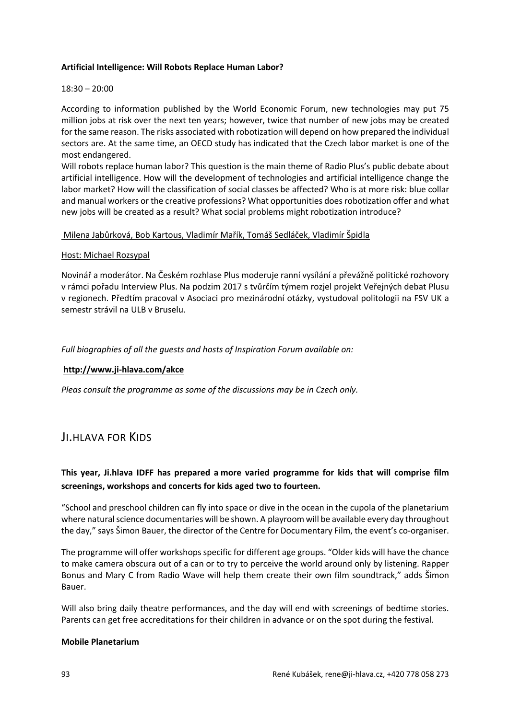#### **Artificial Intelligence: Will Robots Replace Human Labor?**

#### 18:30 – 20:00

According to information published by the World Economic Forum, new technologies may put 75 million jobs at risk over the next ten years; however, twice that number of new jobs may be created for the same reason. The risks associated with robotization will depend on how prepared the individual sectors are. At the same time, an OECD study has indicated that the Czech labor market is one of the most endangered.

Will robots replace human labor? This question is the main theme of Radio Plus's public debate about artificial intelligence. How will the development of technologies and artificial intelligence change the labor market? How will the classification of social classes be affected? Who is at more risk: blue collar and manual workers or the creative professions? What opportunities does robotization offer and what new jobs will be created as a result? What social problems might robotization introduce?

#### Milena Jabůrková, Bob Kartous, Vladimír Mařík, Tomáš Sedláček, Vladimír Špidla

#### Host: Michael Rozsypal

Novinář a moderátor. Na Českém rozhlase Plus moderuje ranní vysílání a převážně politické rozhovory v rámci pořadu Interview Plus. Na podzim 2017 s tvůrčím týmem rozjel projekt Veřejných debat Plusu v regionech. Předtím pracoval v Asociaci pro mezinárodní otázky, vystudoval politologii na FSV UK a semestr strávil na ULB v Bruselu.

*Full biographies of all the guests and hosts of Inspiration Forum available on:*

## **http://www.ji-hlava.com/akce**

*Pleas consult the programme as some of the discussions may be in Czech only.*

## JI.HLAVA FOR KIDS

## **This year, Ji.hlava IDFF has prepared a more varied programme for kids that will comprise film screenings, workshops and concerts for kids aged two to fourteen.**

"School and preschool children can fly into space or dive in the ocean in the cupola of the planetarium where natural science documentaries will be shown. A playroom will be available every day throughout the day," says Šimon Bauer, the director of the Centre for Documentary Film, the event's co-organiser.

The programme will offer workshops specific for different age groups. "Older kids will have the chance to make camera obscura out of a can or to try to perceive the world around only by listening. Rapper Bonus and Mary C from Radio Wave will help them create their own film soundtrack," adds Šimon Bauer.

Will also bring daily theatre performances, and the day will end with screenings of bedtime stories. Parents can get free accreditations for their children in advance or on the spot during the festival.

#### **Mobile Planetarium**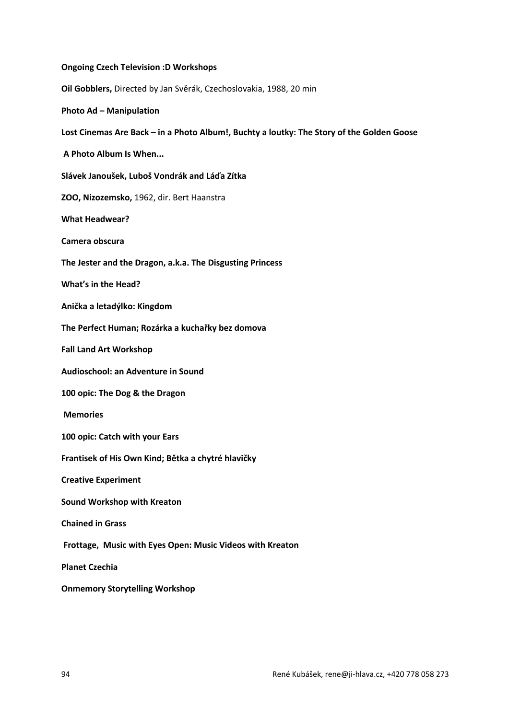| <b>Ongoing Czech Television :D Workshops</b>                                              |
|-------------------------------------------------------------------------------------------|
| Oil Gobblers, Directed by Jan Svěrák, Czechoslovakia, 1988, 20 min                        |
| <b>Photo Ad - Manipulation</b>                                                            |
| Lost Cinemas Are Back - in a Photo Album!, Buchty a loutky: The Story of the Golden Goose |
| A Photo Album Is When                                                                     |
| Slávek Janoušek, Luboš Vondrák and Láďa Zítka                                             |
| ZOO, Nizozemsko, 1962, dir. Bert Haanstra                                                 |
| <b>What Headwear?</b>                                                                     |
| Camera obscura                                                                            |
| The Jester and the Dragon, a.k.a. The Disgusting Princess                                 |
| <b>What's in the Head?</b>                                                                |
| Anička a letadýlko: Kingdom                                                               |
| The Perfect Human; Rozárka a kuchařky bez domova                                          |
| <b>Fall Land Art Workshop</b>                                                             |
| Audioschool: an Adventure in Sound                                                        |
| 100 opic: The Dog & the Dragon                                                            |
| <b>Memories</b>                                                                           |
| 100 opic: Catch with your Ears                                                            |
| Frantisek of His Own Kind; Bětka a chytré hlavičky                                        |
| <b>Creative Experiment</b>                                                                |
| <b>Sound Workshop with Kreaton</b>                                                        |
| <b>Chained in Grass</b>                                                                   |
| Frottage, Music with Eyes Open: Music Videos with Kreaton                                 |
| <b>Planet Czechia</b>                                                                     |
| <b>Onmemory Storytelling Workshop</b>                                                     |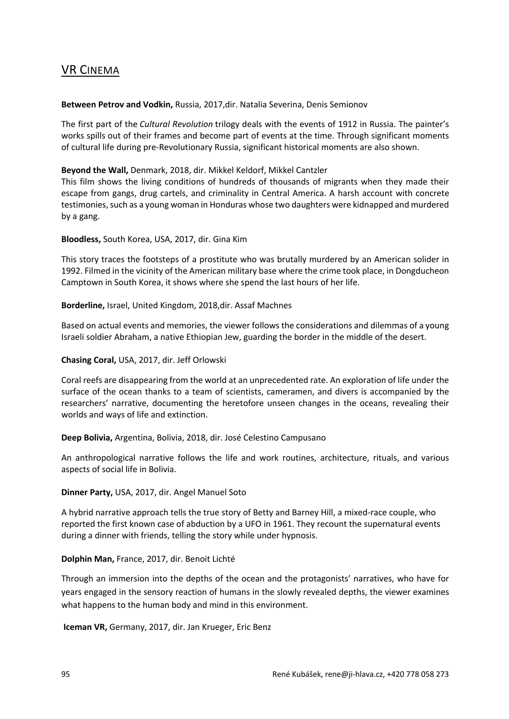## VR CINEMA

#### **Between Petrov and Vodkin,** Russia, 2017,dir. Natalia Severina, Denis Semionov

The first part of the *Cultural Revolution* trilogy deals with the events of 1912 in Russia. The painter's works spills out of their frames and become part of events at the time. Through significant moments of cultural life during pre-Revolutionary Russia, significant historical moments are also shown.

#### **Beyond the Wall,** Denmark, 2018, dir. Mikkel Keldorf, Mikkel Cantzler

This film shows the living conditions of hundreds of thousands of migrants when they made their escape from gangs, drug cartels, and criminality in Central America. A harsh account with concrete testimonies, such as a young woman in Honduras whose two daughters were kidnapped and murdered by a gang.

#### **Bloodless,** South Korea, USA, 2017, dir. Gina Kim

This story traces the footsteps of a prostitute who was brutally murdered by an American solider in 1992. Filmed in the vicinity of the American military base where the crime took place, in Dongducheon Camptown in South Korea, it shows where she spend the last hours of her life.

#### **Borderline,** Israel, United Kingdom, 2018,dir. Assaf Machnes

Based on actual events and memories, the viewer follows the considerations and dilemmas of a young Israeli soldier Abraham, a native Ethiopian Jew, guarding the border in the middle of the desert.

#### **Chasing Coral,** USA, 2017, dir. Jeff Orlowski

Coral reefs are disappearing from the world at an unprecedented rate. An exploration of life under the surface of the ocean thanks to a team of scientists, cameramen, and divers is accompanied by the researchers' narrative, documenting the heretofore unseen changes in the oceans, revealing their worlds and ways of life and extinction.

#### **Deep Bolivia,** Argentina, Bolivia, 2018, dir. José Celestino Campusano

An anthropological narrative follows the life and work routines, architecture, rituals, and various aspects of social life in Bolivia.

#### **Dinner Party,** USA, 2017, dir. Angel Manuel Soto

A hybrid narrative approach tells the true story of Betty and Barney Hill, a mixed-race couple, who reported the first known case of abduction by a UFO in 1961. They recount the supernatural events during a dinner with friends, telling the story while under hypnosis.

## **Dolphin Man,** France, 2017, dir. Benoit Lichté

Through an immersion into the depths of the ocean and the protagonists' narratives, who have for years engaged in the sensory reaction of humans in the slowly revealed depths, the viewer examines what happens to the human body and mind in this environment.

**Iceman VR,** Germany, 2017, dir. Jan Krueger, Eric Benz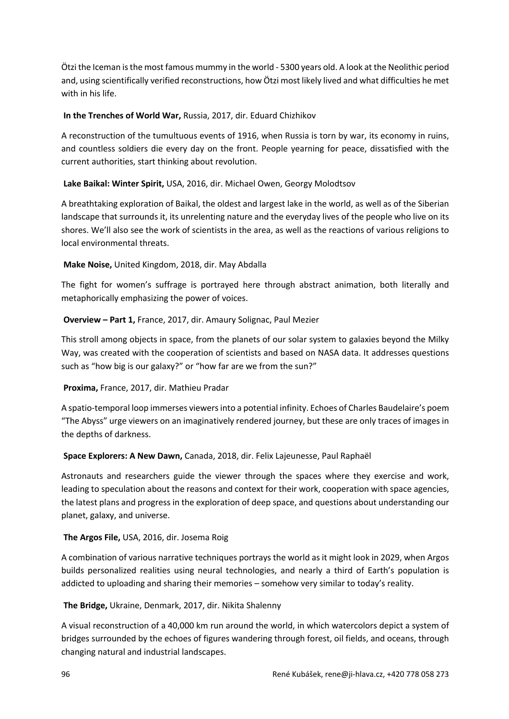Ötzi the Iceman is the most famous mummy in the world - 5300 years old. A look at the Neolithic period and, using scientifically verified reconstructions, how Ötzi most likely lived and what difficulties he met with in his life.

## **In the Trenches of World War,** Russia, 2017, dir. Eduard Chizhikov

A reconstruction of the tumultuous events of 1916, when Russia is torn by war, its economy in ruins, and countless soldiers die every day on the front. People yearning for peace, dissatisfied with the current authorities, start thinking about revolution.

**Lake Baikal: Winter Spirit,** USA, 2016, dir. Michael Owen, Georgy Molodtsov

A breathtaking exploration of Baikal, the oldest and largest lake in the world, as well as of the Siberian landscape that surrounds it, its unrelenting nature and the everyday lives of the people who live on its shores. We'll also see the work of scientists in the area, as well as the reactions of various religions to local environmental threats.

## **Make Noise,** United Kingdom, 2018, dir. May Abdalla

The fight for women's suffrage is portrayed here through abstract animation, both literally and metaphorically emphasizing the power of voices.

**Overview – Part 1,** France, 2017, dir. Amaury Solignac, Paul Mezier

This stroll among objects in space, from the planets of our solar system to galaxies beyond the Milky Way, was created with the cooperation of scientists and based on NASA data. It addresses questions such as "how big is our galaxy?" or "how far are we from the sun?"

**Proxima,** France, 2017, dir. Mathieu Pradar

A spatio-temporal loop immerses viewers into a potential infinity. Echoes of Charles Baudelaire's poem "The Abyss" urge viewers on an imaginatively rendered journey, but these are only traces of images in the depths of darkness.

## **Space Explorers: A New Dawn,** Canada, 2018, dir. Felix Lajeunesse, Paul Raphaël

Astronauts and researchers guide the viewer through the spaces where they exercise and work, leading to speculation about the reasons and context for their work, cooperation with space agencies, the latest plans and progress in the exploration of deep space, and questions about understanding our planet, galaxy, and universe.

## **The Argos File,** USA, 2016, dir. Josema Roig

A combination of various narrative techniques portrays the world as it might look in 2029, when Argos builds personalized realities using neural technologies, and nearly a third of Earth's population is addicted to uploading and sharing their memories – somehow very similar to today's reality.

**The Bridge,** Ukraine, Denmark, 2017, dir. Nikita Shalenny

A visual reconstruction of a 40,000 km run around the world, in which watercolors depict a system of bridges surrounded by the echoes of figures wandering through forest, oil fields, and oceans, through changing natural and industrial landscapes.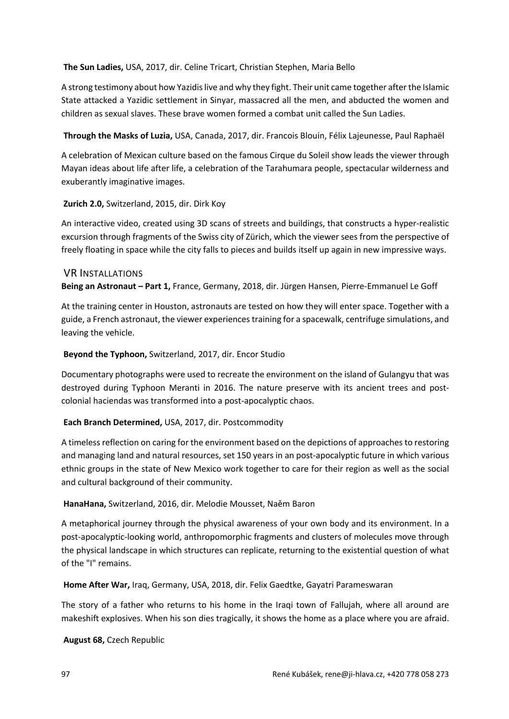#### **The Sun Ladies,** USA, 2017, dir. Celine Tricart, Christian Stephen, Maria Bello

A strong testimony about how Yazidis live and why they fight. Their unit came together after the Islamic State attacked a Yazidic settlement in Sinyar, massacred all the men, and abducted the women and children as sexual slaves. These brave women formed a combat unit called the Sun Ladies.

**Through the Masks of Luzia,** USA, Canada, 2017, dir. Francois Blouin, Félix Lajeunesse, Paul Raphaël

A celebration of Mexican culture based on the famous Cirque du Soleil show leads the viewer through Mayan ideas about life after life, a celebration of the Tarahumara people, spectacular wilderness and exuberantly imaginative images.

## **Zurich 2.0,** Switzerland, 2015, dir. Dirk Koy

An interactive video, created using 3D scans of streets and buildings, that constructs a hyper-realistic excursion through fragments of the Swiss city of Zürich, which the viewer sees from the perspective of freely floating in space while the city falls to pieces and builds itself up again in new impressive ways.

## VR INSTALLATIONS

**Being an Astronaut – Part 1,** France, Germany, 2018, dir. Jürgen Hansen, Pierre-Emmanuel Le Goff

At the training center in Houston, astronauts are tested on how they will enter space. Together with a guide, a French astronaut, the viewer experiences training for a spacewalk, centrifuge simulations, and leaving the vehicle.

## **Beyond the Typhoon,** Switzerland, 2017, dir. Encor Studio

Documentary photographs were used to recreate the environment on the island of Gulangyu that was destroyed during Typhoon Meranti in 2016. The nature preserve with its ancient trees and postcolonial haciendas was transformed into a post-apocalyptic chaos.

## **Each Branch Determined,** USA, 2017, dir. Postcommodity

A timeless reflection on caring for the environment based on the depictions of approaches to restoring and managing land and natural resources, set 150 years in an post-apocalyptic future in which various ethnic groups in the state of New Mexico work together to care for their region as well as the social and cultural background of their community.

## **HanaHana,** Switzerland, 2016, dir. Melodie Mousset, Naěm Baron

A metaphorical journey through the physical awareness of your own body and its environment. In a post-apocalyptic-looking world, anthropomorphic fragments and clusters of molecules move through the physical landscape in which structures can replicate, returning to the existential question of what of the "I" remains.

**Home After War,** Iraq, Germany, USA, 2018, dir. Felix Gaedtke, Gayatri Parameswaran

The story of a father who returns to his home in the Iraqi town of Fallujah, where all around are makeshift explosives. When his son dies tragically, it shows the home as a place where you are afraid.

**August 68,** Czech Republic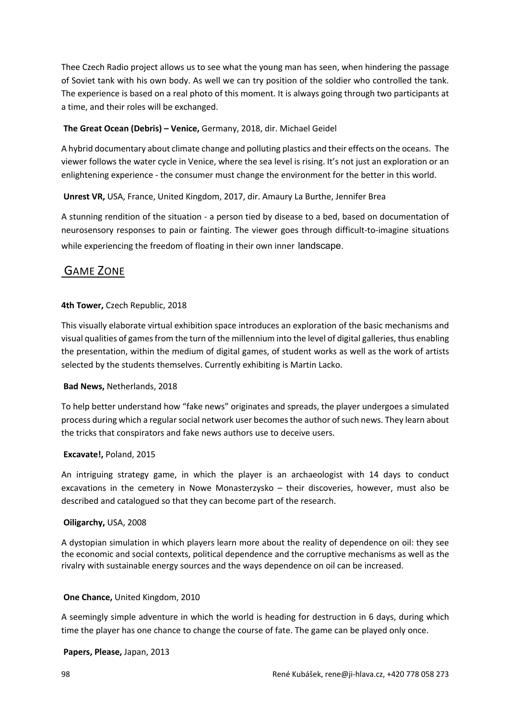Thee Czech Radio project allows us to see what the young man has seen, when hindering the passage of Soviet tank with his own body. As well we can try position of the soldier who controlled the tank. The experience is based on a real photo of this moment. It is always going through two participants at a time, and their roles will be exchanged.

## **The Great Ocean (Debris) – Venice,** Germany, 2018, dir. Michael Geidel

A hybrid documentary about climate change and polluting plastics and their effects on the oceans. The viewer follows the water cycle in Venice, where the sea level is rising. It's not just an exploration or an enlightening experience - the consumer must change the environment for the better in this world.

## **Unrest VR,** USA, France, United Kingdom, 2017, dir. Amaury La Burthe, Jennifer Brea

A stunning rendition of the situation - a person tied by disease to a bed, based on documentation of neurosensory responses to pain or fainting. The viewer goes through difficult-to-imagine situations while experiencing the freedom of floating in their own inner landscape.

## GAME ZONE

## **4th Tower,** Czech Republic, 2018

This visually elaborate virtual exhibition space introduces an exploration of the basic mechanisms and visual qualities of games from the turn of the millennium into the level of digital galleries, thus enabling the presentation, within the medium of digital games, of student works as well as the work of artists selected by the students themselves. Currently exhibiting is Martin Lacko.

## **Bad News,** Netherlands, 2018

To help better understand how "fake news" originates and spreads, the player undergoes a simulated process during which a regular social network user becomes the author of such news. They learn about the tricks that conspirators and fake news authors use to deceive users.

## **Excavate!,** Poland, 2015

An intriguing strategy game, in which the player is an archaeologist with 14 days to conduct excavations in the cemetery in Nowe Monasterzysko – their discoveries, however, must also be described and catalogued so that they can become part of the research.

## **Oiligarchy,** USA, 2008

A dystopian simulation in which players learn more about the reality of dependence on oil: they see the economic and social contexts, political dependence and the corruptive mechanisms as well as the rivalry with sustainable energy sources and the ways dependence on oil can be increased.

## **One Chance,** United Kingdom, 2010

A seemingly simple adventure in which the world is heading for destruction in 6 days, during which time the player has one chance to change the course of fate. The game can be played only once.

#### **Papers, Please,** Japan, 2013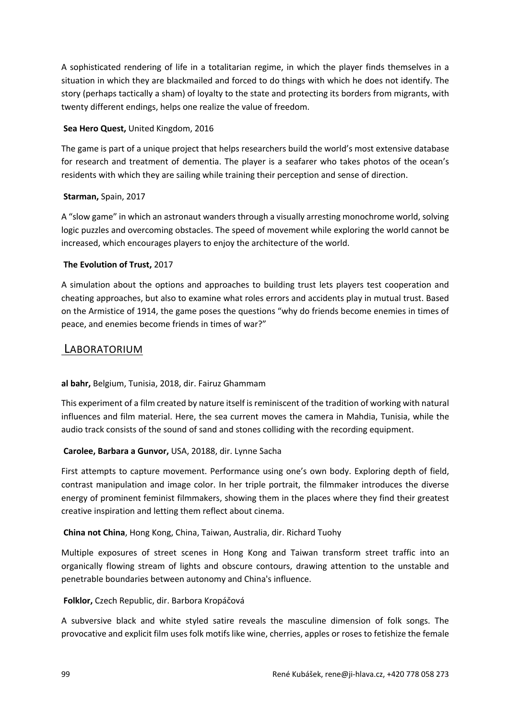A sophisticated rendering of life in a totalitarian regime, in which the player finds themselves in a situation in which they are blackmailed and forced to do things with which he does not identify. The story (perhaps tactically a sham) of loyalty to the state and protecting its borders from migrants, with twenty different endings, helps one realize the value of freedom.

## **Sea Hero Quest,** United Kingdom, 2016

The game is part of a unique project that helps researchers build the world's most extensive database for research and treatment of dementia. The player is a seafarer who takes photos of the ocean's residents with which they are sailing while training their perception and sense of direction.

## **Starman,** Spain, 2017

A "slow game" in which an astronaut wanders through a visually arresting monochrome world, solving logic puzzles and overcoming obstacles. The speed of movement while exploring the world cannot be increased, which encourages players to enjoy the architecture of the world.

## **The Evolution of Trust,** 2017

A simulation about the options and approaches to building trust lets players test cooperation and cheating approaches, but also to examine what roles errors and accidents play in mutual trust. Based on the Armistice of 1914, the game poses the questions "why do friends become enemies in times of peace, and enemies become friends in times of war?"

## LABORATORIUM

## **al bahr,** Belgium, Tunisia, 2018, dir. Fairuz Ghammam

This experiment of a film created by nature itself is reminiscent of the tradition of working with natural influences and film material. Here, the sea current moves the camera in Mahdia, Tunisia, while the audio track consists of the sound of sand and stones colliding with the recording equipment.

## **Carolee, Barbara a Gunvor,** USA, 20188, dir. Lynne Sacha

First attempts to capture movement. Performance using one's own body. Exploring depth of field, contrast manipulation and image color. In her triple portrait, the filmmaker introduces the diverse energy of prominent feminist filmmakers, showing them in the places where they find their greatest creative inspiration and letting them reflect about cinema.

## **China not China**, Hong Kong, China, Taiwan, Australia, dir. Richard Tuohy

Multiple exposures of street scenes in Hong Kong and Taiwan transform street traffic into an organically flowing stream of lights and obscure contours, drawing attention to the unstable and penetrable boundaries between autonomy and China's influence.

## **Folklor,** Czech Republic, dir. Barbora Kropáčová

A subversive black and white styled satire reveals the masculine dimension of folk songs. The provocative and explicit film uses folk motifs like wine, cherries, apples or roses to fetishize the female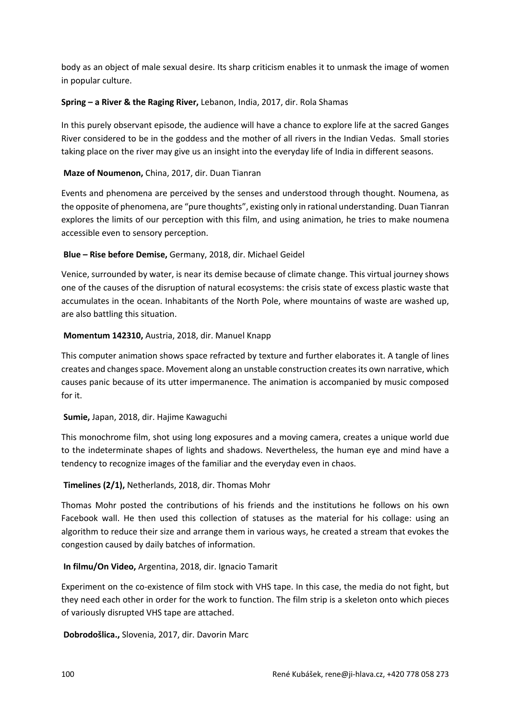body as an object of male sexual desire. Its sharp criticism enables it to unmask the image of women in popular culture.

## **Spring – a River & the Raging River,** Lebanon, India, 2017, dir. Rola Shamas

In this purely observant episode, the audience will have a chance to explore life at the sacred Ganges River considered to be in the goddess and the mother of all rivers in the Indian Vedas. Small stories taking place on the river may give us an insight into the everyday life of India in different seasons.

## **Maze of Noumenon,** China, 2017, dir. Duan Tianran

Events and phenomena are perceived by the senses and understood through thought. Noumena, as the opposite of phenomena, are "pure thoughts", existing only in rational understanding. Duan Tianran explores the limits of our perception with this film, and using animation, he tries to make noumena accessible even to sensory perception.

## **Blue – Rise before Demise,** Germany, 2018, dir. Michael Geidel

Venice, surrounded by water, is near its demise because of climate change. This virtual journey shows one of the causes of the disruption of natural ecosystems: the crisis state of excess plastic waste that accumulates in the ocean. Inhabitants of the North Pole, where mountains of waste are washed up, are also battling this situation.

## **Momentum 142310,** Austria, 2018, dir. Manuel Knapp

This computer animation shows space refracted by texture and further elaborates it. A tangle of lines creates and changes space. Movement along an unstable construction creates its own narrative, which causes panic because of its utter impermanence. The animation is accompanied by music composed for it.

## **Sumie,** Japan, 2018, dir. Hajime Kawaguchi

This monochrome film, shot using long exposures and a moving camera, creates a unique world due to the indeterminate shapes of lights and shadows. Nevertheless, the human eye and mind have a tendency to recognize images of the familiar and the everyday even in chaos.

## **Timelines (2/1),** Netherlands, 2018, dir. Thomas Mohr

Thomas Mohr posted the contributions of his friends and the institutions he follows on his own Facebook wall. He then used this collection of statuses as the material for his collage: using an algorithm to reduce their size and arrange them in various ways, he created a stream that evokes the congestion caused by daily batches of information.

## **In filmu/On Video,** Argentina, 2018, dir. Ignacio Tamarit

Experiment on the co-existence of film stock with VHS tape. In this case, the media do not fight, but they need each other in order for the work to function. The film strip is a skeleton onto which pieces of variously disrupted VHS tape are attached.

**Dobrodošlica.,** Slovenia, 2017, dir. Davorin Marc